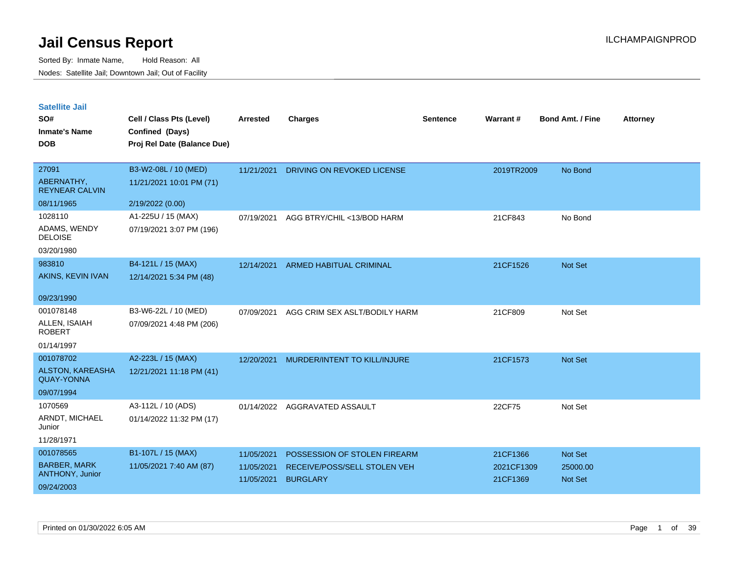| <b>Satellite Jail</b> |  |
|-----------------------|--|
|                       |  |

| SO#<br><b>Inmate's Name</b><br><b>DOB</b>    | Cell / Class Pts (Level)<br>Confined (Days)<br>Proj Rel Date (Balance Due) | <b>Arrested</b> | <b>Charges</b>                | <b>Sentence</b> | Warrant#   | <b>Bond Amt. / Fine</b> | <b>Attorney</b> |
|----------------------------------------------|----------------------------------------------------------------------------|-----------------|-------------------------------|-----------------|------------|-------------------------|-----------------|
|                                              |                                                                            |                 |                               |                 |            |                         |                 |
| 27091                                        | B3-W2-08L / 10 (MED)                                                       | 11/21/2021      | DRIVING ON REVOKED LICENSE    |                 | 2019TR2009 | No Bond                 |                 |
| ABERNATHY,<br><b>REYNEAR CALVIN</b>          | 11/21/2021 10:01 PM (71)                                                   |                 |                               |                 |            |                         |                 |
| 08/11/1965                                   | 2/19/2022 (0.00)                                                           |                 |                               |                 |            |                         |                 |
| 1028110                                      | A1-225U / 15 (MAX)                                                         | 07/19/2021      | AGG BTRY/CHIL <13/BOD HARM    |                 | 21CF843    | No Bond                 |                 |
| ADAMS, WENDY<br><b>DELOISE</b>               | 07/19/2021 3:07 PM (196)                                                   |                 |                               |                 |            |                         |                 |
| 03/20/1980                                   |                                                                            |                 |                               |                 |            |                         |                 |
| 983810                                       | B4-121L / 15 (MAX)                                                         | 12/14/2021      | ARMED HABITUAL CRIMINAL       |                 | 21CF1526   | Not Set                 |                 |
| AKINS, KEVIN IVAN                            | 12/14/2021 5:34 PM (48)                                                    |                 |                               |                 |            |                         |                 |
| 09/23/1990                                   |                                                                            |                 |                               |                 |            |                         |                 |
| 001078148                                    | B3-W6-22L / 10 (MED)                                                       | 07/09/2021      | AGG CRIM SEX ASLT/BODILY HARM |                 | 21CF809    | Not Set                 |                 |
| ALLEN, ISAIAH<br><b>ROBERT</b>               | 07/09/2021 4:48 PM (206)                                                   |                 |                               |                 |            |                         |                 |
| 01/14/1997                                   |                                                                            |                 |                               |                 |            |                         |                 |
| 001078702                                    | A2-223L / 15 (MAX)                                                         | 12/20/2021      | MURDER/INTENT TO KILL/INJURE  |                 | 21CF1573   | Not Set                 |                 |
| <b>ALSTON, KAREASHA</b><br><b>QUAY-YONNA</b> | 12/21/2021 11:18 PM (41)                                                   |                 |                               |                 |            |                         |                 |
| 09/07/1994                                   |                                                                            |                 |                               |                 |            |                         |                 |
| 1070569                                      | A3-112L / 10 (ADS)                                                         | 01/14/2022      | AGGRAVATED ASSAULT            |                 | 22CF75     | Not Set                 |                 |
| ARNDT, MICHAEL<br>Junior                     | 01/14/2022 11:32 PM (17)                                                   |                 |                               |                 |            |                         |                 |
| 11/28/1971                                   |                                                                            |                 |                               |                 |            |                         |                 |
| 001078565                                    | B1-107L / 15 (MAX)                                                         | 11/05/2021      | POSSESSION OF STOLEN FIREARM  |                 | 21CF1366   | Not Set                 |                 |
| <b>BARBER, MARK</b>                          | 11/05/2021 7:40 AM (87)                                                    | 11/05/2021      | RECEIVE/POSS/SELL STOLEN VEH  |                 | 2021CF1309 | 25000.00                |                 |
| ANTHONY, Junior<br>09/24/2003                |                                                                            | 11/05/2021      | <b>BURGLARY</b>               |                 | 21CF1369   | Not Set                 |                 |
|                                              |                                                                            |                 |                               |                 |            |                         |                 |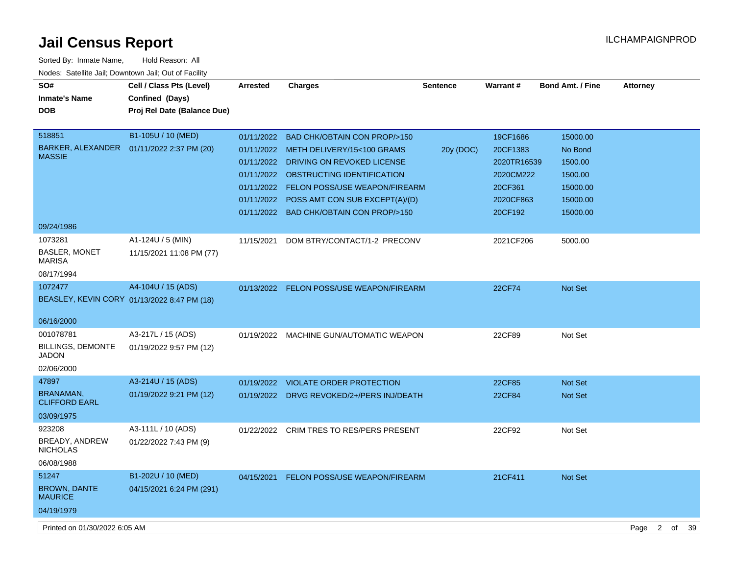| Sorted By: Inmate Name,                               | Hold Reason: All                            |                 |                                          |                 |                 |                         |                 |
|-------------------------------------------------------|---------------------------------------------|-----------------|------------------------------------------|-----------------|-----------------|-------------------------|-----------------|
| Nodes: Satellite Jail; Downtown Jail; Out of Facility |                                             |                 |                                          |                 |                 |                         |                 |
| SO#                                                   | Cell / Class Pts (Level)                    | <b>Arrested</b> | <b>Charges</b>                           | <b>Sentence</b> | <b>Warrant#</b> | <b>Bond Amt. / Fine</b> | <b>Attorney</b> |
| <b>Inmate's Name</b>                                  | Confined (Days)                             |                 |                                          |                 |                 |                         |                 |
| <b>DOB</b>                                            | Proj Rel Date (Balance Due)                 |                 |                                          |                 |                 |                         |                 |
|                                                       |                                             |                 |                                          |                 |                 |                         |                 |
| 518851                                                | B1-105U / 10 (MED)                          | 01/11/2022      | <b>BAD CHK/OBTAIN CON PROP/&gt;150</b>   |                 | 19CF1686        | 15000.00                |                 |
|                                                       | BARKER, ALEXANDER  01/11/2022 2:37 PM (20)  |                 | 01/11/2022 METH DELIVERY/15<100 GRAMS    | 20y (DOC)       | 20CF1383        | No Bond                 |                 |
| <b>MASSIE</b>                                         |                                             | 01/11/2022      | DRIVING ON REVOKED LICENSE               |                 | 2020TR16539     | 1500.00                 |                 |
|                                                       |                                             | 01/11/2022      | OBSTRUCTING IDENTIFICATION               |                 | 2020CM222       | 1500.00                 |                 |
|                                                       |                                             |                 | 01/11/2022 FELON POSS/USE WEAPON/FIREARM |                 | 20CF361         | 15000.00                |                 |
|                                                       |                                             | 01/11/2022      | POSS AMT CON SUB EXCEPT(A)/(D)           |                 | 2020CF863       | 15000.00                |                 |
|                                                       |                                             |                 | 01/11/2022 BAD CHK/OBTAIN CON PROP/>150  |                 | 20CF192         | 15000.00                |                 |
| 09/24/1986                                            |                                             |                 |                                          |                 |                 |                         |                 |
| 1073281                                               | A1-124U / 5 (MIN)                           | 11/15/2021      | DOM BTRY/CONTACT/1-2 PRECONV             |                 | 2021CF206       | 5000.00                 |                 |
| <b>BASLER, MONET</b>                                  | 11/15/2021 11:08 PM (77)                    |                 |                                          |                 |                 |                         |                 |
| <b>MARISA</b>                                         |                                             |                 |                                          |                 |                 |                         |                 |
| 08/17/1994                                            |                                             |                 |                                          |                 |                 |                         |                 |
| 1072477                                               | A4-104U / 15 (ADS)                          |                 | 01/13/2022 FELON POSS/USE WEAPON/FIREARM |                 | <b>22CF74</b>   | <b>Not Set</b>          |                 |
|                                                       | BEASLEY, KEVIN CORY 01/13/2022 8:47 PM (18) |                 |                                          |                 |                 |                         |                 |
|                                                       |                                             |                 |                                          |                 |                 |                         |                 |
| 06/16/2000                                            |                                             |                 |                                          |                 |                 |                         |                 |
| 001078781                                             | A3-217L / 15 (ADS)                          | 01/19/2022      | MACHINE GUN/AUTOMATIC WEAPON             |                 | 22CF89          | Not Set                 |                 |
| <b>BILLINGS, DEMONTE</b><br><b>JADON</b>              | 01/19/2022 9:57 PM (12)                     |                 |                                          |                 |                 |                         |                 |
| 02/06/2000                                            |                                             |                 |                                          |                 |                 |                         |                 |
| 47897                                                 | A3-214U / 15 (ADS)                          |                 |                                          |                 |                 |                         |                 |
| <b>BRANAMAN,</b>                                      |                                             | 01/19/2022      | <b>VIOLATE ORDER PROTECTION</b>          |                 | 22CF85          | <b>Not Set</b>          |                 |
| <b>CLIFFORD EARL</b>                                  | 01/19/2022 9:21 PM (12)                     | 01/19/2022      | DRVG REVOKED/2+/PERS INJ/DEATH           |                 | 22CF84          | <b>Not Set</b>          |                 |
| 03/09/1975                                            |                                             |                 |                                          |                 |                 |                         |                 |
| 923208                                                | A3-111L / 10 (ADS)                          | 01/22/2022      | <b>CRIM TRES TO RES/PERS PRESENT</b>     |                 | 22CF92          | Not Set                 |                 |
| BREADY, ANDREW                                        | 01/22/2022 7:43 PM (9)                      |                 |                                          |                 |                 |                         |                 |
| <b>NICHOLAS</b>                                       |                                             |                 |                                          |                 |                 |                         |                 |
| 06/08/1988                                            |                                             |                 |                                          |                 |                 |                         |                 |
| 51247                                                 | B1-202U / 10 (MED)                          | 04/15/2021      | <b>FELON POSS/USE WEAPON/FIREARM</b>     |                 | 21CF411         | <b>Not Set</b>          |                 |
| <b>BROWN, DANTE</b>                                   | 04/15/2021 6:24 PM (291)                    |                 |                                          |                 |                 |                         |                 |
| <b>MAURICE</b>                                        |                                             |                 |                                          |                 |                 |                         |                 |
| 04/19/1979                                            |                                             |                 |                                          |                 |                 |                         |                 |

Printed on 01/30/2022 6:05 AM Page 2 of 39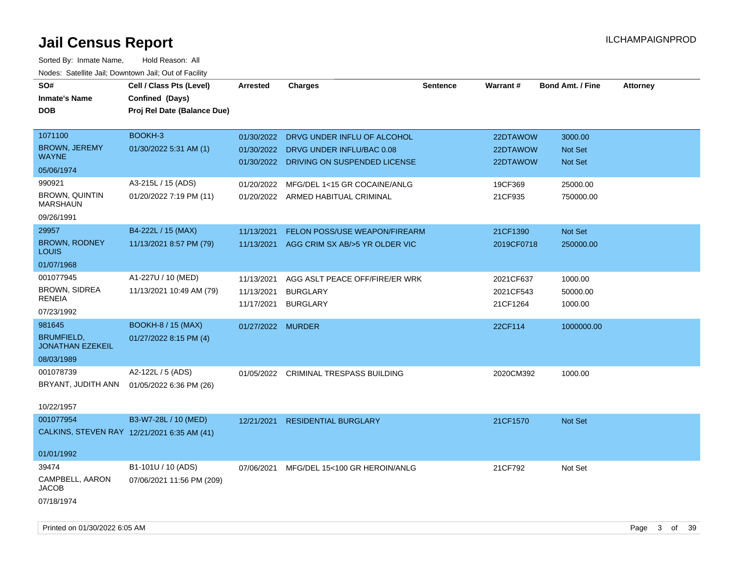| SO#<br><b>Inmate's Name</b><br><b>DOB</b>                              | Cell / Class Pts (Level)<br>Confined (Days)<br>Proj Rel Date (Balance Due) | <b>Arrested</b>                        | <b>Charges</b>                                                                                      | <b>Sentence</b> | <b>Warrant#</b>                    | <b>Bond Amt. / Fine</b>        | <b>Attorney</b> |
|------------------------------------------------------------------------|----------------------------------------------------------------------------|----------------------------------------|-----------------------------------------------------------------------------------------------------|-----------------|------------------------------------|--------------------------------|-----------------|
| 1071100<br><b>BROWN, JEREMY</b><br><b>WAYNE</b><br>05/06/1974          | BOOKH-3<br>01/30/2022 5:31 AM (1)                                          | 01/30/2022<br>01/30/2022               | DRVG UNDER INFLU OF ALCOHOL<br>DRVG UNDER INFLU/BAC 0.08<br>01/30/2022 DRIVING ON SUSPENDED LICENSE |                 | 22DTAWOW<br>22DTAWOW<br>22DTAWOW   | 3000.00<br>Not Set<br>Not Set  |                 |
| 990921<br><b>BROWN, QUINTIN</b><br><b>MARSHAUN</b><br>09/26/1991       | A3-215L / 15 (ADS)<br>01/20/2022 7:19 PM (11)                              | 01/20/2022                             | MFG/DEL 1<15 GR COCAINE/ANLG<br>01/20/2022 ARMED HABITUAL CRIMINAL                                  |                 | 19CF369<br>21CF935                 | 25000.00<br>750000.00          |                 |
| 29957<br><b>BROWN, RODNEY</b><br>LOUIS<br>01/07/1968                   | B4-222L / 15 (MAX)<br>11/13/2021 8:57 PM (79)                              | 11/13/2021<br>11/13/2021               | FELON POSS/USE WEAPON/FIREARM<br>AGG CRIM SX AB/>5 YR OLDER VIC                                     |                 | 21CF1390<br>2019CF0718             | Not Set<br>250000.00           |                 |
| 001077945<br><b>BROWN, SIDREA</b><br><b>RENEIA</b><br>07/23/1992       | A1-227U / 10 (MED)<br>11/13/2021 10:49 AM (79)                             | 11/13/2021<br>11/13/2021<br>11/17/2021 | AGG ASLT PEACE OFF/FIRE/ER WRK<br><b>BURGLARY</b><br><b>BURGLARY</b>                                |                 | 2021CF637<br>2021CF543<br>21CF1264 | 1000.00<br>50000.00<br>1000.00 |                 |
| 981645<br><b>BRUMFIELD,</b><br><b>JONATHAN EZEKEIL</b><br>08/03/1989   | <b>BOOKH-8 / 15 (MAX)</b><br>01/27/2022 8:15 PM (4)                        | 01/27/2022 MURDER                      |                                                                                                     |                 | 22CF114                            | 1000000.00                     |                 |
| 001078739<br>BRYANT, JUDITH ANN<br>10/22/1957                          | A2-122L / 5 (ADS)<br>01/05/2022 6:36 PM (26)                               |                                        | 01/05/2022 CRIMINAL TRESPASS BUILDING                                                               |                 | 2020CM392                          | 1000.00                        |                 |
| 001077954<br>CALKINS, STEVEN RAY 12/21/2021 6:35 AM (41)<br>01/01/1992 | B3-W7-28L / 10 (MED)                                                       | 12/21/2021                             | <b>RESIDENTIAL BURGLARY</b>                                                                         |                 | 21CF1570                           | Not Set                        |                 |
| 39474<br>CAMPBELL, AARON<br>JACOB<br>07/18/1974                        | B1-101U / 10 (ADS)<br>07/06/2021 11:56 PM (209)                            | 07/06/2021                             | MFG/DEL 15<100 GR HEROIN/ANLG                                                                       |                 | 21CF792                            | Not Set                        |                 |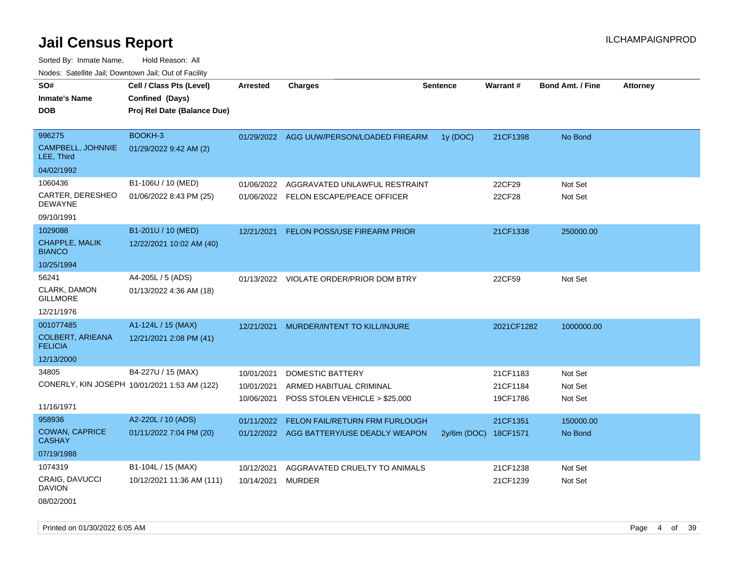Sorted By: Inmate Name, Hold Reason: All Nodes: Satellite Jail; Downtown Jail; Out of Facility

| roaco. Calcinio dan, Domntonn dan, Out or Fability |                                                                            |                 |                                          |                      |                 |                         |                 |
|----------------------------------------------------|----------------------------------------------------------------------------|-----------------|------------------------------------------|----------------------|-----------------|-------------------------|-----------------|
| SO#<br>Inmate's Name<br><b>DOB</b>                 | Cell / Class Pts (Level)<br>Confined (Days)<br>Proj Rel Date (Balance Due) | <b>Arrested</b> | <b>Charges</b>                           | <b>Sentence</b>      | <b>Warrant#</b> | <b>Bond Amt. / Fine</b> | <b>Attorney</b> |
| 996275                                             | BOOKH-3                                                                    |                 | 01/29/2022 AGG UUW/PERSON/LOADED FIREARM | 1y (DOC)             | 21CF1398        | No Bond                 |                 |
| CAMPBELL, JOHNNIE<br>LEE, Third                    | 01/29/2022 9:42 AM (2)                                                     |                 |                                          |                      |                 |                         |                 |
| 04/02/1992                                         |                                                                            |                 |                                          |                      |                 |                         |                 |
| 1060436                                            | B1-106U / 10 (MED)                                                         | 01/06/2022      | AGGRAVATED UNLAWFUL RESTRAINT            |                      | 22CF29          | Not Set                 |                 |
| CARTER, DERESHEO<br>DEWAYNE                        | 01/06/2022 8:43 PM (25)                                                    | 01/06/2022      | FELON ESCAPE/PEACE OFFICER               |                      | 22CF28          | Not Set                 |                 |
| 09/10/1991                                         |                                                                            |                 |                                          |                      |                 |                         |                 |
| 1029088                                            | B1-201U / 10 (MED)                                                         | 12/21/2021      | <b>FELON POSS/USE FIREARM PRIOR</b>      |                      | 21CF1338        | 250000.00               |                 |
| CHAPPLE, MALIK<br><b>BIANCO</b>                    | 12/22/2021 10:02 AM (40)                                                   |                 |                                          |                      |                 |                         |                 |
| 10/25/1994                                         |                                                                            |                 |                                          |                      |                 |                         |                 |
| 56241                                              | A4-205L / 5 (ADS)                                                          |                 | 01/13/2022 VIOLATE ORDER/PRIOR DOM BTRY  |                      | 22CF59          | Not Set                 |                 |
| CLARK, DAMON<br>GILLMORE                           | 01/13/2022 4:36 AM (18)                                                    |                 |                                          |                      |                 |                         |                 |
| 12/21/1976                                         |                                                                            |                 |                                          |                      |                 |                         |                 |
| 001077485                                          | A1-124L / 15 (MAX)                                                         | 12/21/2021      | MURDER/INTENT TO KILL/INJURE             |                      | 2021CF1282      | 1000000.00              |                 |
| COLBERT, ARIEANA<br><b>FELICIA</b>                 | 12/21/2021 2:08 PM (41)                                                    |                 |                                          |                      |                 |                         |                 |
| 12/13/2000                                         |                                                                            |                 |                                          |                      |                 |                         |                 |
| 34805                                              | B4-227U / 15 (MAX)                                                         | 10/01/2021      | DOMESTIC BATTERY                         |                      | 21CF1183        | Not Set                 |                 |
|                                                    | CONERLY, KIN JOSEPH 10/01/2021 1:53 AM (122)                               | 10/01/2021      | ARMED HABITUAL CRIMINAL                  |                      | 21CF1184        | Not Set                 |                 |
|                                                    |                                                                            | 10/06/2021      | POSS STOLEN VEHICLE > \$25,000           |                      | 19CF1786        | Not Set                 |                 |
| 11/16/1971                                         |                                                                            |                 |                                          |                      |                 |                         |                 |
| 958936                                             | A2-220L / 10 (ADS)                                                         | 01/11/2022      | <b>FELON FAIL/RETURN FRM FURLOUGH</b>    |                      | 21CF1351        | 150000.00               |                 |
| <b>COWAN, CAPRICE</b><br>CASHAY                    | 01/11/2022 7:04 PM (20)                                                    |                 | 01/12/2022 AGG BATTERY/USE DEADLY WEAPON | 2y/6m (DOC) 18CF1571 |                 | No Bond                 |                 |
| 07/19/1988                                         |                                                                            |                 |                                          |                      |                 |                         |                 |
| 1074319                                            | B1-104L / 15 (MAX)                                                         | 10/12/2021      | AGGRAVATED CRUELTY TO ANIMALS            |                      | 21CF1238        | Not Set                 |                 |
| CRAIG, DAVUCCI<br><b>DAVION</b>                    | 10/12/2021 11:36 AM (111)                                                  | 10/14/2021      | <b>MURDER</b>                            |                      | 21CF1239        | Not Set                 |                 |
|                                                    |                                                                            |                 |                                          |                      |                 |                         |                 |

08/02/2001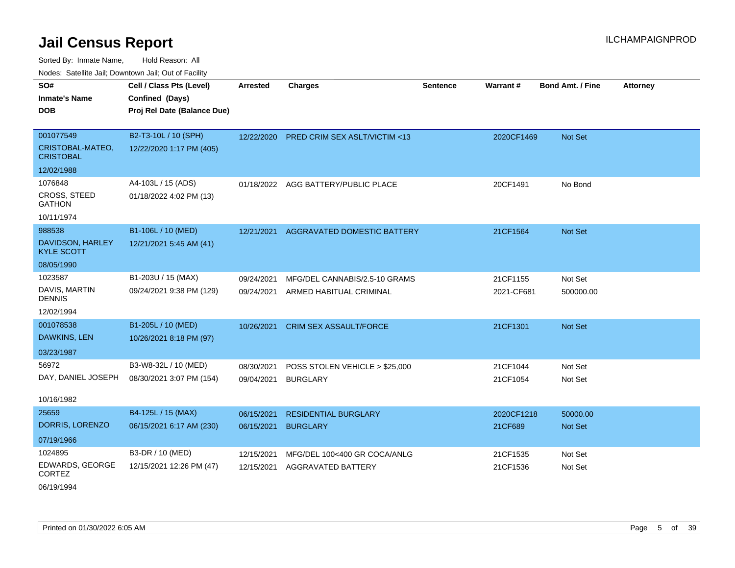Sorted By: Inmate Name, Hold Reason: All Nodes: Satellite Jail; Downtown Jail; Out of Facility

| <u>Houco. Catolino dall, Downtown dall, Out of Fuolint</u> |                             |            |                                         |                 |                 |                         |                 |
|------------------------------------------------------------|-----------------------------|------------|-----------------------------------------|-----------------|-----------------|-------------------------|-----------------|
| SO#                                                        | Cell / Class Pts (Level)    | Arrested   | <b>Charges</b>                          | <b>Sentence</b> | <b>Warrant#</b> | <b>Bond Amt. / Fine</b> | <b>Attorney</b> |
| <b>Inmate's Name</b>                                       | Confined (Days)             |            |                                         |                 |                 |                         |                 |
| <b>DOB</b>                                                 | Proj Rel Date (Balance Due) |            |                                         |                 |                 |                         |                 |
|                                                            |                             |            |                                         |                 |                 |                         |                 |
| 001077549                                                  | B2-T3-10L / 10 (SPH)        | 12/22/2020 | <b>PRED CRIM SEX ASLT/VICTIM &lt;13</b> |                 | 2020CF1469      | Not Set                 |                 |
| CRISTOBAL-MATEO,<br><b>CRISTOBAL</b>                       | 12/22/2020 1:17 PM (405)    |            |                                         |                 |                 |                         |                 |
| 12/02/1988                                                 |                             |            |                                         |                 |                 |                         |                 |
| 1076848                                                    | A4-103L / 15 (ADS)          |            | 01/18/2022 AGG BATTERY/PUBLIC PLACE     |                 | 20CF1491        | No Bond                 |                 |
| <b>CROSS, STEED</b><br><b>GATHON</b>                       | 01/18/2022 4:02 PM (13)     |            |                                         |                 |                 |                         |                 |
| 10/11/1974                                                 |                             |            |                                         |                 |                 |                         |                 |
| 988538                                                     | B1-106L / 10 (MED)          | 12/21/2021 | AGGRAVATED DOMESTIC BATTERY             |                 | 21CF1564        | Not Set                 |                 |
| DAVIDSON, HARLEY<br><b>KYLE SCOTT</b>                      | 12/21/2021 5:45 AM (41)     |            |                                         |                 |                 |                         |                 |
| 08/05/1990                                                 |                             |            |                                         |                 |                 |                         |                 |
| 1023587                                                    | B1-203U / 15 (MAX)          | 09/24/2021 | MFG/DEL CANNABIS/2.5-10 GRAMS           |                 | 21CF1155        | Not Set                 |                 |
| DAVIS, MARTIN<br><b>DENNIS</b>                             | 09/24/2021 9:38 PM (129)    | 09/24/2021 | ARMED HABITUAL CRIMINAL                 |                 | 2021-CF681      | 500000.00               |                 |
| 12/02/1994                                                 |                             |            |                                         |                 |                 |                         |                 |
| 001078538                                                  | B1-205L / 10 (MED)          | 10/26/2021 | <b>CRIM SEX ASSAULT/FORCE</b>           |                 | 21CF1301        | Not Set                 |                 |
| DAWKINS, LEN                                               | 10/26/2021 8:18 PM (97)     |            |                                         |                 |                 |                         |                 |
| 03/23/1987                                                 |                             |            |                                         |                 |                 |                         |                 |
| 56972                                                      | B3-W8-32L / 10 (MED)        | 08/30/2021 | POSS STOLEN VEHICLE > \$25,000          |                 | 21CF1044        | Not Set                 |                 |
| DAY, DANIEL JOSEPH                                         | 08/30/2021 3:07 PM (154)    | 09/04/2021 | <b>BURGLARY</b>                         |                 | 21CF1054        | Not Set                 |                 |
|                                                            |                             |            |                                         |                 |                 |                         |                 |
| 10/16/1982                                                 |                             |            |                                         |                 |                 |                         |                 |
| 25659                                                      | B4-125L / 15 (MAX)          | 06/15/2021 | <b>RESIDENTIAL BURGLARY</b>             |                 | 2020CF1218      | 50000.00                |                 |
| DORRIS, LORENZO                                            | 06/15/2021 6:17 AM (230)    | 06/15/2021 | <b>BURGLARY</b>                         |                 | 21CF689         | Not Set                 |                 |
| 07/19/1966                                                 |                             |            |                                         |                 |                 |                         |                 |
| 1024895                                                    | B3-DR / 10 (MED)            | 12/15/2021 | MFG/DEL 100<400 GR COCA/ANLG            |                 | 21CF1535        | Not Set                 |                 |
| EDWARDS, GEORGE<br><b>CORTEZ</b>                           | 12/15/2021 12:26 PM (47)    | 12/15/2021 | <b>AGGRAVATED BATTERY</b>               |                 | 21CF1536        | Not Set                 |                 |

06/19/1994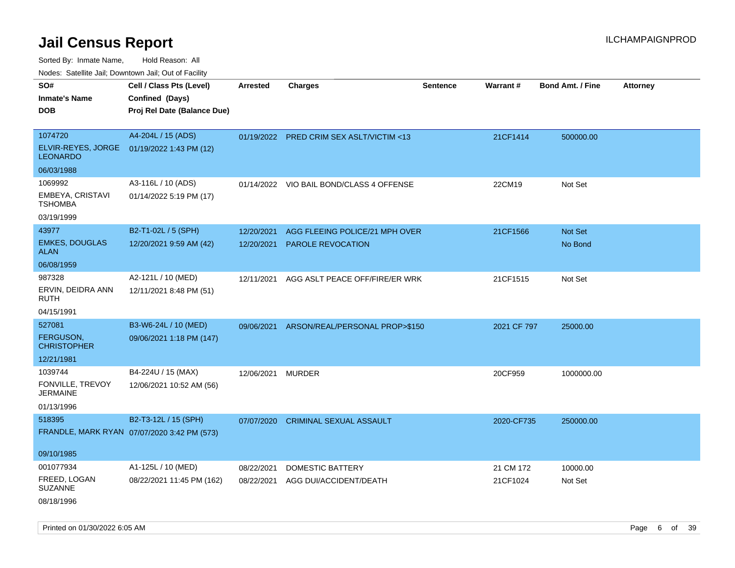Sorted By: Inmate Name, Hold Reason: All

Nodes: Satellite Jail; Downtown Jail; Out of Facility

| roaco. Catolino dall, Downtown dall, Out of Fability           |                                             |                 |                                           |                 |             |                         |                 |
|----------------------------------------------------------------|---------------------------------------------|-----------------|-------------------------------------------|-----------------|-------------|-------------------------|-----------------|
| SO#                                                            | Cell / Class Pts (Level)                    | <b>Arrested</b> | <b>Charges</b>                            | <b>Sentence</b> | Warrant#    | <b>Bond Amt. / Fine</b> | <b>Attorney</b> |
| <b>Inmate's Name</b>                                           | Confined (Days)                             |                 |                                           |                 |             |                         |                 |
| <b>DOB</b>                                                     | Proj Rel Date (Balance Due)                 |                 |                                           |                 |             |                         |                 |
|                                                                |                                             |                 |                                           |                 |             |                         |                 |
| 1074720                                                        | A4-204L / 15 (ADS)                          |                 | 01/19/2022 PRED CRIM SEX ASLT/VICTIM <13  |                 | 21CF1414    | 500000.00               |                 |
| ELVIR-REYES, JORGE  01/19/2022 1:43 PM (12)<br><b>LEONARDO</b> |                                             |                 |                                           |                 |             |                         |                 |
| 06/03/1988                                                     |                                             |                 |                                           |                 |             |                         |                 |
| 1069992                                                        | A3-116L / 10 (ADS)                          |                 | 01/14/2022 VIO BAIL BOND/CLASS 4 OFFENSE  |                 | 22CM19      | Not Set                 |                 |
| EMBEYA, CRISTAVI<br><b>TSHOMBA</b>                             | 01/14/2022 5:19 PM (17)                     |                 |                                           |                 |             |                         |                 |
| 03/19/1999                                                     |                                             |                 |                                           |                 |             |                         |                 |
| 43977                                                          | B2-T1-02L / 5 (SPH)                         | 12/20/2021      | AGG FLEEING POLICE/21 MPH OVER            |                 | 21CF1566    | Not Set                 |                 |
| <b>EMKES, DOUGLAS</b><br><b>ALAN</b>                           | 12/20/2021 9:59 AM (42)                     | 12/20/2021      | <b>PAROLE REVOCATION</b>                  |                 |             | No Bond                 |                 |
| 06/08/1959                                                     |                                             |                 |                                           |                 |             |                         |                 |
| 987328                                                         | A2-121L / 10 (MED)                          | 12/11/2021      | AGG ASLT PEACE OFF/FIRE/ER WRK            |                 | 21CF1515    | Not Set                 |                 |
| ERVIN, DEIDRA ANN<br>RUTH                                      | 12/11/2021 8:48 PM (51)                     |                 |                                           |                 |             |                         |                 |
| 04/15/1991                                                     |                                             |                 |                                           |                 |             |                         |                 |
| 527081                                                         | B3-W6-24L / 10 (MED)                        |                 | 09/06/2021 ARSON/REAL/PERSONAL PROP>\$150 |                 | 2021 CF 797 | 25000.00                |                 |
| FERGUSON,<br><b>CHRISTOPHER</b>                                | 09/06/2021 1:18 PM (147)                    |                 |                                           |                 |             |                         |                 |
| 12/21/1981                                                     |                                             |                 |                                           |                 |             |                         |                 |
| 1039744                                                        | B4-224U / 15 (MAX)                          | 12/06/2021      | <b>MURDER</b>                             |                 | 20CF959     | 1000000.00              |                 |
| FONVILLE, TREVOY<br><b>JERMAINE</b>                            | 12/06/2021 10:52 AM (56)                    |                 |                                           |                 |             |                         |                 |
| 01/13/1996                                                     |                                             |                 |                                           |                 |             |                         |                 |
| 518395                                                         | B2-T3-12L / 15 (SPH)                        | 07/07/2020      | <b>CRIMINAL SEXUAL ASSAULT</b>            |                 | 2020-CF735  | 250000.00               |                 |
|                                                                | FRANDLE, MARK RYAN 07/07/2020 3:42 PM (573) |                 |                                           |                 |             |                         |                 |
|                                                                |                                             |                 |                                           |                 |             |                         |                 |
| 09/10/1985                                                     |                                             |                 |                                           |                 |             |                         |                 |
| 001077934                                                      | A1-125L / 10 (MED)                          | 08/22/2021      | <b>DOMESTIC BATTERY</b>                   |                 | 21 CM 172   | 10000.00                |                 |
| FREED, LOGAN<br><b>SUZANNE</b>                                 | 08/22/2021 11:45 PM (162)                   | 08/22/2021      | AGG DUI/ACCIDENT/DEATH                    |                 | 21CF1024    | Not Set                 |                 |
| 08/18/1996                                                     |                                             |                 |                                           |                 |             |                         |                 |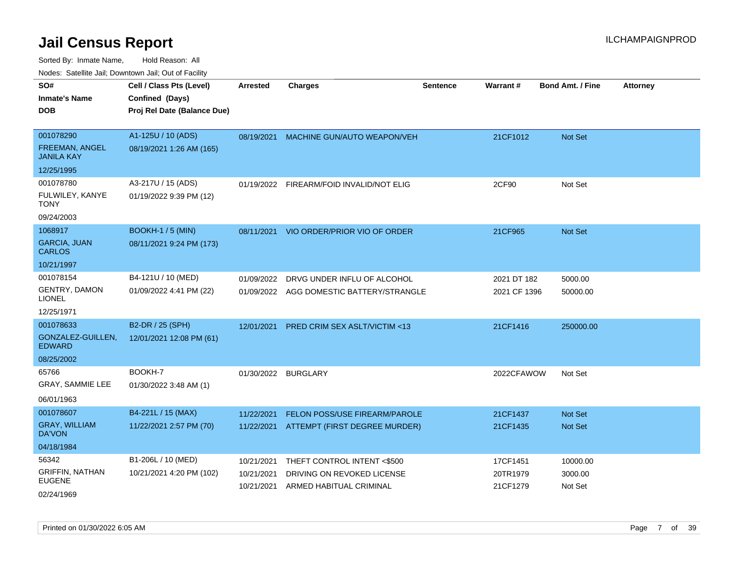| rouco. Calcillo Jali, Downtown Jali, Out of Facility    |                                                                            |                          |                                                       |                 |                      |                         |                 |
|---------------------------------------------------------|----------------------------------------------------------------------------|--------------------------|-------------------------------------------------------|-----------------|----------------------|-------------------------|-----------------|
| SO#<br>Inmate's Name<br>DOB                             | Cell / Class Pts (Level)<br>Confined (Days)<br>Proj Rel Date (Balance Due) | Arrested                 | <b>Charges</b>                                        | <b>Sentence</b> | <b>Warrant#</b>      | <b>Bond Amt. / Fine</b> | <b>Attorney</b> |
| 001078290<br><b>FREEMAN, ANGEL</b><br><b>JANILA KAY</b> | A1-125U / 10 (ADS)<br>08/19/2021 1:26 AM (165)                             | 08/19/2021               | MACHINE GUN/AUTO WEAPON/VEH                           |                 | 21CF1012             | Not Set                 |                 |
| 12/25/1995                                              |                                                                            |                          |                                                       |                 |                      |                         |                 |
| 001078780<br>FULWILEY, KANYE<br>TONY<br>09/24/2003      | A3-217U / 15 (ADS)<br>01/19/2022 9:39 PM (12)                              |                          | 01/19/2022 FIREARM/FOID INVALID/NOT ELIG              |                 | 2CF90                | Not Set                 |                 |
| 1068917                                                 | <b>BOOKH-1 / 5 (MIN)</b>                                                   |                          |                                                       |                 |                      |                         |                 |
| <b>GARCIA, JUAN</b><br><b>CARLOS</b>                    | 08/11/2021 9:24 PM (173)                                                   |                          | 08/11/2021 VIO ORDER/PRIOR VIO OF ORDER               |                 | 21CF965              | <b>Not Set</b>          |                 |
| 10/21/1997                                              |                                                                            |                          |                                                       |                 |                      |                         |                 |
| 001078154                                               | B4-121U / 10 (MED)                                                         | 01/09/2022               | DRVG UNDER INFLU OF ALCOHOL                           |                 | 2021 DT 182          | 5000.00                 |                 |
| <b>GENTRY, DAMON</b><br>LIONEL                          | 01/09/2022 4:41 PM (22)                                                    | 01/09/2022               | AGG DOMESTIC BATTERY/STRANGLE                         |                 | 2021 CF 1396         | 50000.00                |                 |
| 12/25/1971                                              |                                                                            |                          |                                                       |                 |                      |                         |                 |
| 001078633                                               | B2-DR / 25 (SPH)                                                           | 12/01/2021               | <b>PRED CRIM SEX ASLT/VICTIM &lt;13</b>               |                 | 21CF1416             | 250000.00               |                 |
| GONZALEZ-GUILLEN.<br>EDWARD                             | 12/01/2021 12:08 PM (61)                                                   |                          |                                                       |                 |                      |                         |                 |
| 08/25/2002                                              |                                                                            |                          |                                                       |                 |                      |                         |                 |
| 65766<br>GRAY, SAMMIE LEE<br>06/01/1963                 | BOOKH-7<br>01/30/2022 3:48 AM (1)                                          | 01/30/2022               | <b>BURGLARY</b>                                       |                 | 2022CFAWOW           | Not Set                 |                 |
| 001078607                                               | B4-221L / 15 (MAX)                                                         | 11/22/2021               | FELON POSS/USE FIREARM/PAROLE                         |                 | 21CF1437             | <b>Not Set</b>          |                 |
| <b>GRAY, WILLIAM</b><br>DA'VON                          | 11/22/2021 2:57 PM (70)                                                    | 11/22/2021               | ATTEMPT (FIRST DEGREE MURDER)                         |                 | 21CF1435             | <b>Not Set</b>          |                 |
| 04/18/1984                                              |                                                                            |                          |                                                       |                 |                      |                         |                 |
| 56342                                                   | B1-206L / 10 (MED)                                                         | 10/21/2021               | THEFT CONTROL INTENT <\$500                           |                 | 17CF1451             | 10000.00                |                 |
| GRIFFIN, NATHAN<br>EUGENE<br>02/24/1969                 | 10/21/2021 4:20 PM (102)                                                   | 10/21/2021<br>10/21/2021 | DRIVING ON REVOKED LICENSE<br>ARMED HABITUAL CRIMINAL |                 | 20TR1979<br>21CF1279 | 3000.00<br>Not Set      |                 |
|                                                         |                                                                            |                          |                                                       |                 |                      |                         |                 |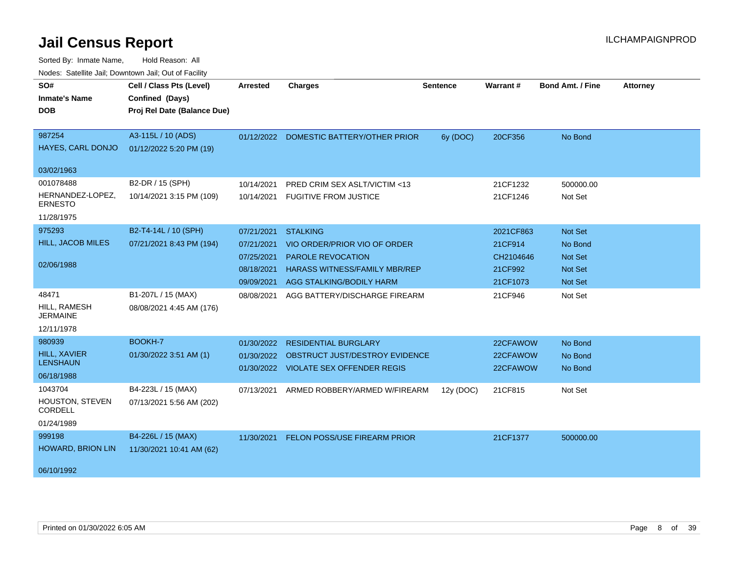| Noucs. Catchitic sail, Downtown sail, Out of Facility |                             |            |                                         |                 |           |                         |                 |
|-------------------------------------------------------|-----------------------------|------------|-----------------------------------------|-----------------|-----------|-------------------------|-----------------|
| SO#                                                   | Cell / Class Pts (Level)    | Arrested   | <b>Charges</b>                          | <b>Sentence</b> | Warrant#  | <b>Bond Amt. / Fine</b> | <b>Attorney</b> |
| <b>Inmate's Name</b>                                  | Confined (Days)             |            |                                         |                 |           |                         |                 |
| <b>DOB</b>                                            | Proj Rel Date (Balance Due) |            |                                         |                 |           |                         |                 |
|                                                       |                             |            |                                         |                 |           |                         |                 |
| 987254                                                | A3-115L / 10 (ADS)          |            | 01/12/2022 DOMESTIC BATTERY/OTHER PRIOR | 6y (DOC)        | 20CF356   | No Bond                 |                 |
| <b>HAYES, CARL DONJO</b>                              | 01/12/2022 5:20 PM (19)     |            |                                         |                 |           |                         |                 |
| 03/02/1963                                            |                             |            |                                         |                 |           |                         |                 |
| 001078488                                             | B2-DR / 15 (SPH)            | 10/14/2021 | PRED CRIM SEX ASLT/VICTIM <13           |                 | 21CF1232  | 500000.00               |                 |
| HERNANDEZ-LOPEZ,<br><b>ERNESTO</b>                    | 10/14/2021 3:15 PM (109)    | 10/14/2021 | <b>FUGITIVE FROM JUSTICE</b>            |                 | 21CF1246  | Not Set                 |                 |
| 11/28/1975                                            |                             |            |                                         |                 |           |                         |                 |
| 975293                                                | B2-T4-14L / 10 (SPH)        | 07/21/2021 | <b>STALKING</b>                         |                 | 2021CF863 | Not Set                 |                 |
| HILL, JACOB MILES                                     | 07/21/2021 8:43 PM (194)    | 07/21/2021 | VIO ORDER/PRIOR VIO OF ORDER            |                 | 21CF914   | No Bond                 |                 |
|                                                       |                             | 07/25/2021 | <b>PAROLE REVOCATION</b>                |                 | CH2104646 | Not Set                 |                 |
| 02/06/1988                                            |                             | 08/18/2021 | <b>HARASS WITNESS/FAMILY MBR/REP</b>    |                 | 21CF992   | <b>Not Set</b>          |                 |
|                                                       |                             | 09/09/2021 | AGG STALKING/BODILY HARM                |                 | 21CF1073  | <b>Not Set</b>          |                 |
| 48471                                                 | B1-207L / 15 (MAX)          | 08/08/2021 | AGG BATTERY/DISCHARGE FIREARM           |                 | 21CF946   | Not Set                 |                 |
| HILL, RAMESH<br><b>JERMAINE</b>                       | 08/08/2021 4:45 AM (176)    |            |                                         |                 |           |                         |                 |
| 12/11/1978                                            |                             |            |                                         |                 |           |                         |                 |
| 980939                                                | BOOKH-7                     | 01/30/2022 | <b>RESIDENTIAL BURGLARY</b>             |                 | 22CFAWOW  | No Bond                 |                 |
| HILL, XAVIER                                          | 01/30/2022 3:51 AM (1)      | 01/30/2022 | OBSTRUCT JUST/DESTROY EVIDENCE          |                 | 22CFAWOW  | No Bond                 |                 |
| <b>LENSHAUN</b>                                       |                             |            | 01/30/2022 VIOLATE SEX OFFENDER REGIS   |                 | 22CFAWOW  | No Bond                 |                 |
| 06/18/1988                                            |                             |            |                                         |                 |           |                         |                 |
| 1043704                                               | B4-223L / 15 (MAX)          | 07/13/2021 | ARMED ROBBERY/ARMED W/FIREARM           | 12y (DOC)       | 21CF815   | Not Set                 |                 |
| HOUSTON, STEVEN<br><b>CORDELL</b>                     | 07/13/2021 5:56 AM (202)    |            |                                         |                 |           |                         |                 |
| 01/24/1989                                            |                             |            |                                         |                 |           |                         |                 |
| 999198                                                | B4-226L / 15 (MAX)          | 11/30/2021 | FELON POSS/USE FIREARM PRIOR            |                 | 21CF1377  | 500000.00               |                 |
| HOWARD, BRION LIN                                     | 11/30/2021 10:41 AM (62)    |            |                                         |                 |           |                         |                 |
|                                                       |                             |            |                                         |                 |           |                         |                 |
| 06/10/1992                                            |                             |            |                                         |                 |           |                         |                 |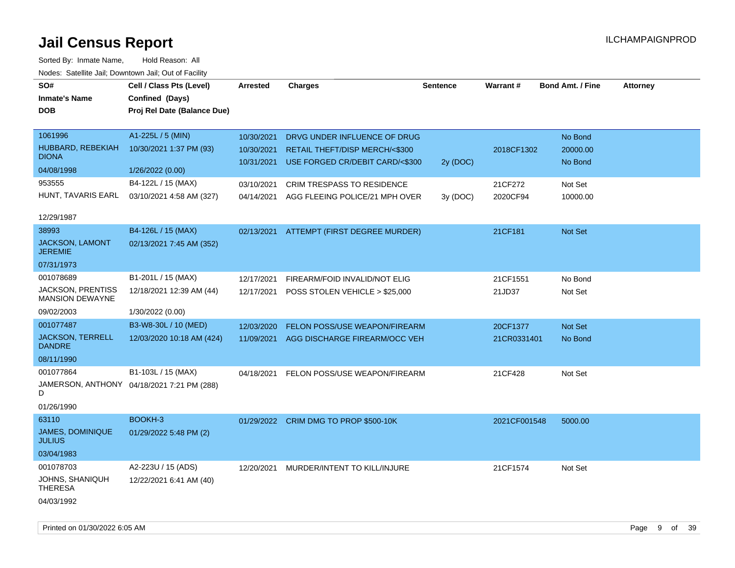| <u>Houce.</u> Catoling bail, Downtown bail, Out of Fability |                                            |                 |                                           |                 |              |                         |                 |
|-------------------------------------------------------------|--------------------------------------------|-----------------|-------------------------------------------|-----------------|--------------|-------------------------|-----------------|
| SO#                                                         | Cell / Class Pts (Level)                   | <b>Arrested</b> | <b>Charges</b>                            | <b>Sentence</b> | Warrant#     | <b>Bond Amt. / Fine</b> | <b>Attorney</b> |
| <b>Inmate's Name</b>                                        | Confined (Days)                            |                 |                                           |                 |              |                         |                 |
| <b>DOB</b>                                                  | Proj Rel Date (Balance Due)                |                 |                                           |                 |              |                         |                 |
|                                                             |                                            |                 |                                           |                 |              |                         |                 |
| 1061996                                                     | A1-225L / 5 (MIN)                          | 10/30/2021      | DRVG UNDER INFLUENCE OF DRUG              |                 |              | No Bond                 |                 |
| HUBBARD, REBEKIAH                                           | 10/30/2021 1:37 PM (93)                    | 10/30/2021      | RETAIL THEFT/DISP MERCH/<\$300            |                 | 2018CF1302   | 20000.00                |                 |
| <b>DIONA</b>                                                |                                            | 10/31/2021      | USE FORGED CR/DEBIT CARD/<\$300           | 2y (DOC)        |              | No Bond                 |                 |
| 04/08/1998                                                  | 1/26/2022 (0.00)                           |                 |                                           |                 |              |                         |                 |
| 953555                                                      | B4-122L / 15 (MAX)                         | 03/10/2021      | CRIM TRESPASS TO RESIDENCE                |                 | 21CF272      | Not Set                 |                 |
| HUNT, TAVARIS EARL                                          | 03/10/2021 4:58 AM (327)                   |                 | 04/14/2021 AGG FLEEING POLICE/21 MPH OVER | 3y (DOC)        | 2020CF94     | 10000.00                |                 |
|                                                             |                                            |                 |                                           |                 |              |                         |                 |
| 12/29/1987                                                  |                                            |                 |                                           |                 |              |                         |                 |
| 38993                                                       | B4-126L / 15 (MAX)                         |                 | 02/13/2021 ATTEMPT (FIRST DEGREE MURDER)  |                 | 21CF181      | Not Set                 |                 |
| <b>JACKSON, LAMONT</b><br><b>JEREMIE</b>                    | 02/13/2021 7:45 AM (352)                   |                 |                                           |                 |              |                         |                 |
| 07/31/1973                                                  |                                            |                 |                                           |                 |              |                         |                 |
| 001078689                                                   | B1-201L / 15 (MAX)                         | 12/17/2021      | FIREARM/FOID INVALID/NOT ELIG             |                 | 21CF1551     | No Bond                 |                 |
| <b>JACKSON, PRENTISS</b>                                    | 12/18/2021 12:39 AM (44)                   |                 | 12/17/2021 POSS STOLEN VEHICLE > \$25,000 |                 | 21JD37       | Not Set                 |                 |
| MANSION DEWAYNE                                             |                                            |                 |                                           |                 |              |                         |                 |
| 09/02/2003                                                  | 1/30/2022 (0.00)                           |                 |                                           |                 |              |                         |                 |
| 001077487                                                   | B3-W8-30L / 10 (MED)                       | 12/03/2020      | FELON POSS/USE WEAPON/FIREARM             |                 | 20CF1377     | Not Set                 |                 |
| <b>JACKSON, TERRELL</b><br><b>DANDRE</b>                    | 12/03/2020 10:18 AM (424)                  | 11/09/2021      | AGG DISCHARGE FIREARM/OCC VEH             |                 | 21CR0331401  | No Bond                 |                 |
| 08/11/1990                                                  |                                            |                 |                                           |                 |              |                         |                 |
| 001077864                                                   | B1-103L / 15 (MAX)                         | 04/18/2021      | FELON POSS/USE WEAPON/FIREARM             |                 | 21CF428      | Not Set                 |                 |
|                                                             | JAMERSON, ANTHONY 04/18/2021 7:21 PM (288) |                 |                                           |                 |              |                         |                 |
| D                                                           |                                            |                 |                                           |                 |              |                         |                 |
| 01/26/1990                                                  |                                            |                 |                                           |                 |              |                         |                 |
| 63110                                                       | BOOKH-3                                    |                 | 01/29/2022 CRIM DMG TO PROP \$500-10K     |                 | 2021CF001548 | 5000.00                 |                 |
| JAMES, DOMINIQUE<br><b>JULIUS</b>                           | 01/29/2022 5:48 PM (2)                     |                 |                                           |                 |              |                         |                 |
| 03/04/1983                                                  |                                            |                 |                                           |                 |              |                         |                 |
| 001078703                                                   | A2-223U / 15 (ADS)                         | 12/20/2021      | MURDER/INTENT TO KILL/INJURE              |                 | 21CF1574     | Not Set                 |                 |
| JOHNS, SHANIQUH<br><b>THERESA</b>                           | 12/22/2021 6:41 AM (40)                    |                 |                                           |                 |              |                         |                 |
| 04/03/1992                                                  |                                            |                 |                                           |                 |              |                         |                 |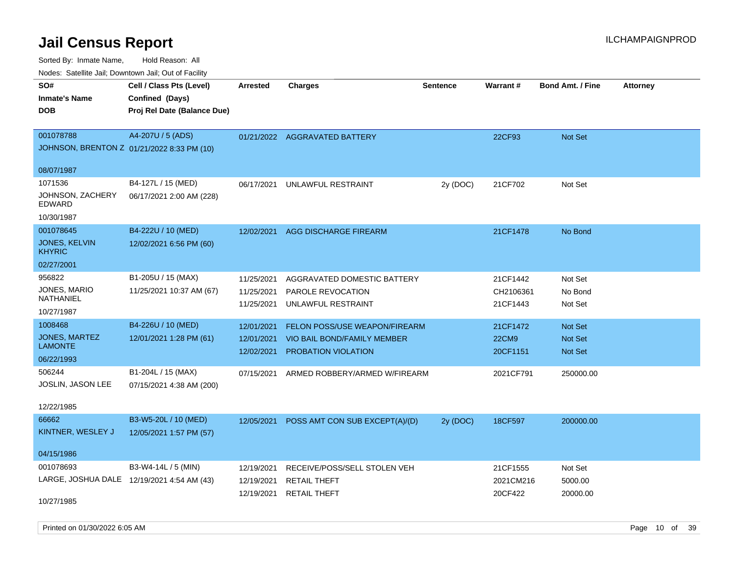Sorted By: Inmate Name, Hold Reason: All

|  |  |  | Nodes: Satellite Jail; Downtown Jail; Out of Facility |  |
|--|--|--|-------------------------------------------------------|--|
|--|--|--|-------------------------------------------------------|--|

| SO#<br><b>Inmate's Name</b><br><b>DOB</b>                  | Cell / Class Pts (Level)<br>Confined (Days)<br>Proj Rel Date (Balance Due) | <b>Arrested</b>                        | <b>Charges</b>                                                                             | <b>Sentence</b> | Warrant#                             | <b>Bond Amt. / Fine</b>              | <b>Attorney</b> |
|------------------------------------------------------------|----------------------------------------------------------------------------|----------------------------------------|--------------------------------------------------------------------------------------------|-----------------|--------------------------------------|--------------------------------------|-----------------|
| 001078788<br>08/07/1987                                    | A4-207U / 5 (ADS)<br>JOHNSON, BRENTON Z 01/21/2022 8:33 PM (10)            |                                        | 01/21/2022 AGGRAVATED BATTERY                                                              |                 | 22CF93                               | Not Set                              |                 |
| 1071536<br>JOHNSON, ZACHERY<br><b>EDWARD</b><br>10/30/1987 | B4-127L / 15 (MED)<br>06/17/2021 2:00 AM (228)                             | 06/17/2021                             | UNLAWFUL RESTRAINT                                                                         | 2y (DOC)        | 21CF702                              | Not Set                              |                 |
| 001078645<br>JONES, KELVIN<br><b>KHYRIC</b><br>02/27/2001  | B4-222U / 10 (MED)<br>12/02/2021 6:56 PM (60)                              | 12/02/2021                             | AGG DISCHARGE FIREARM                                                                      |                 | 21CF1478                             | No Bond                              |                 |
| 956822<br>JONES, MARIO<br>NATHANIEL<br>10/27/1987          | B1-205U / 15 (MAX)<br>11/25/2021 10:37 AM (67)                             | 11/25/2021<br>11/25/2021<br>11/25/2021 | AGGRAVATED DOMESTIC BATTERY<br>PAROLE REVOCATION<br>UNLAWFUL RESTRAINT                     |                 | 21CF1442<br>CH2106361<br>21CF1443    | Not Set<br>No Bond<br>Not Set        |                 |
| 1008468<br>JONES, MARTEZ<br><b>LAMONTE</b><br>06/22/1993   | B4-226U / 10 (MED)<br>12/01/2021 1:28 PM (61)                              | 12/01/2021<br>12/01/2021<br>12/02/2021 | FELON POSS/USE WEAPON/FIREARM<br>VIO BAIL BOND/FAMILY MEMBER<br><b>PROBATION VIOLATION</b> |                 | 21CF1472<br><b>22CM9</b><br>20CF1151 | Not Set<br>Not Set<br><b>Not Set</b> |                 |
| 506244<br>JOSLIN, JASON LEE<br>12/22/1985                  | B1-204L / 15 (MAX)<br>07/15/2021 4:38 AM (200)                             | 07/15/2021                             | ARMED ROBBERY/ARMED W/FIREARM                                                              |                 | 2021CF791                            | 250000.00                            |                 |
| 66662<br>KINTNER, WESLEY J<br>04/15/1986                   | B3-W5-20L / 10 (MED)<br>12/05/2021 1:57 PM (57)                            |                                        | 12/05/2021 POSS AMT CON SUB EXCEPT(A)/(D)                                                  | 2y (DOC)        | 18CF597                              | 200000.00                            |                 |
| 001078693<br>10/27/1985                                    | B3-W4-14L / 5 (MIN)<br>LARGE, JOSHUA DALE 12/19/2021 4:54 AM (43)          | 12/19/2021<br>12/19/2021<br>12/19/2021 | RECEIVE/POSS/SELL STOLEN VEH<br>RETAIL THEFT<br><b>RETAIL THEFT</b>                        |                 | 21CF1555<br>2021CM216<br>20CF422     | Not Set<br>5000.00<br>20000.00       |                 |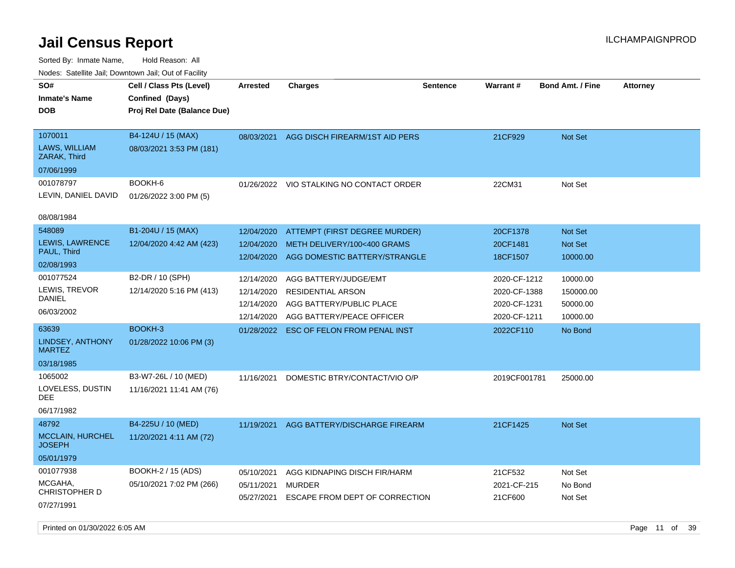| rouco. Calcillo Jali, Downtown Jali, Out of Facility |                                                                            |                          |                                                              |                 |                              |                            |                 |
|------------------------------------------------------|----------------------------------------------------------------------------|--------------------------|--------------------------------------------------------------|-----------------|------------------------------|----------------------------|-----------------|
| SO#<br>Inmate's Name<br><b>DOB</b>                   | Cell / Class Pts (Level)<br>Confined (Days)<br>Proj Rel Date (Balance Due) | <b>Arrested</b>          | <b>Charges</b>                                               | <b>Sentence</b> | Warrant#                     | <b>Bond Amt. / Fine</b>    | <b>Attorney</b> |
| 1070011<br>LAWS, WILLIAM<br>ZARAK, Third             | B4-124U / 15 (MAX)<br>08/03/2021 3:53 PM (181)                             | 08/03/2021               | AGG DISCH FIREARM/1ST AID PERS                               |                 | 21CF929                      | <b>Not Set</b>             |                 |
| 07/06/1999                                           |                                                                            |                          |                                                              |                 |                              |                            |                 |
| 001078797<br>LEVIN, DANIEL DAVID                     | BOOKH-6<br>01/26/2022 3:00 PM (5)                                          |                          | 01/26/2022 VIO STALKING NO CONTACT ORDER                     |                 | 22CM31                       | Not Set                    |                 |
| 08/08/1984                                           |                                                                            |                          |                                                              |                 |                              |                            |                 |
| 548089                                               | B1-204U / 15 (MAX)                                                         | 12/04/2020               | <b>ATTEMPT (FIRST DEGREE MURDER)</b>                         |                 | 20CF1378                     | Not Set                    |                 |
| <b>LEWIS, LAWRENCE</b><br>PAUL, Third                | 12/04/2020 4:42 AM (423)                                                   | 12/04/2020<br>12/04/2020 | METH DELIVERY/100<400 GRAMS<br>AGG DOMESTIC BATTERY/STRANGLE |                 | 20CF1481<br>18CF1507         | <b>Not Set</b><br>10000.00 |                 |
| 02/08/1993                                           |                                                                            |                          |                                                              |                 |                              |                            |                 |
| 001077524                                            | B2-DR / 10 (SPH)                                                           | 12/14/2020               | AGG BATTERY/JUDGE/EMT                                        |                 | 2020-CF-1212                 | 10000.00                   |                 |
| LEWIS, TREVOR<br>DANIEL                              | 12/14/2020 5:16 PM (413)                                                   | 12/14/2020               | <b>RESIDENTIAL ARSON</b>                                     |                 | 2020-CF-1388                 | 150000.00                  |                 |
| 06/03/2002                                           |                                                                            | 12/14/2020<br>12/14/2020 | AGG BATTERY/PUBLIC PLACE<br>AGG BATTERY/PEACE OFFICER        |                 | 2020-CF-1231<br>2020-CF-1211 | 50000.00<br>10000.00       |                 |
| 63639                                                | BOOKH-3                                                                    |                          | 01/28/2022 ESC OF FELON FROM PENAL INST                      |                 | 2022CF110                    | No Bond                    |                 |
| LINDSEY, ANTHONY<br><b>MARTEZ</b>                    | 01/28/2022 10:06 PM (3)                                                    |                          |                                                              |                 |                              |                            |                 |
| 03/18/1985                                           |                                                                            |                          |                                                              |                 |                              |                            |                 |
| 1065002<br>LOVELESS, DUSTIN<br>DEE                   | B3-W7-26L / 10 (MED)<br>11/16/2021 11:41 AM (76)                           | 11/16/2021               | DOMESTIC BTRY/CONTACT/VIO O/P                                |                 | 2019CF001781                 | 25000.00                   |                 |
| 06/17/1982                                           |                                                                            |                          |                                                              |                 |                              |                            |                 |
| 48792                                                | B4-225U / 10 (MED)                                                         | 11/19/2021               | AGG BATTERY/DISCHARGE FIREARM                                |                 | 21CF1425                     | <b>Not Set</b>             |                 |
| <b>MCCLAIN, HURCHEL</b><br>JOSEPH                    | 11/20/2021 4:11 AM (72)                                                    |                          |                                                              |                 |                              |                            |                 |
| 05/01/1979                                           |                                                                            |                          |                                                              |                 |                              |                            |                 |
| 001077938                                            | <b>BOOKH-2 / 15 (ADS)</b>                                                  | 05/10/2021               | AGG KIDNAPING DISCH FIR/HARM                                 |                 | 21CF532                      | Not Set                    |                 |
| MCGAHA,<br>CHRISTOPHER D                             | 05/10/2021 7:02 PM (266)                                                   | 05/11/2021<br>05/27/2021 | MURDER<br>ESCAPE FROM DEPT OF CORRECTION                     |                 | 2021-CF-215<br>21CF600       | No Bond<br>Not Set         |                 |
| 07/27/1991                                           |                                                                            |                          |                                                              |                 |                              |                            |                 |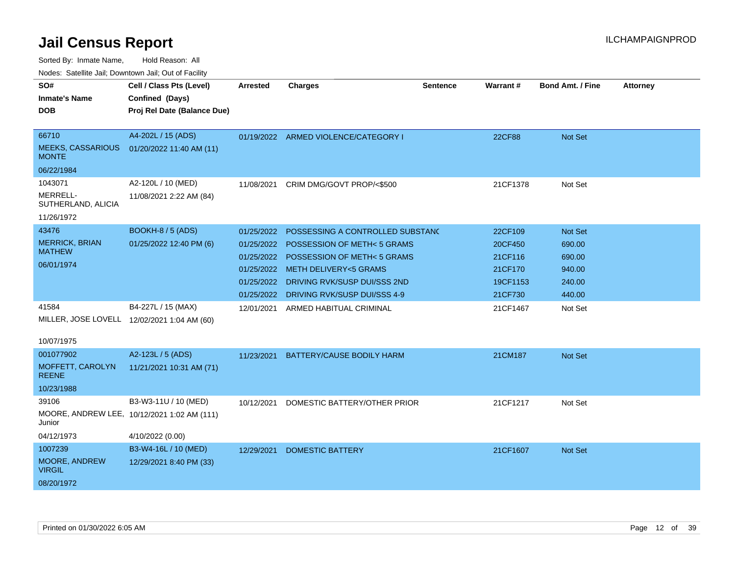Sorted By: Inmate Name, Hold Reason: All

| Nodes: Satellite Jail; Downtown Jail; Out of Facility |  |
|-------------------------------------------------------|--|
|                                                       |  |

| SO#                                      | Cell / Class Pts (Level)                    | <b>Arrested</b> | <b>Charges</b>                       | <b>Sentence</b> | Warrant# | Bond Amt. / Fine | <b>Attorney</b> |
|------------------------------------------|---------------------------------------------|-----------------|--------------------------------------|-----------------|----------|------------------|-----------------|
| <b>Inmate's Name</b>                     | Confined (Days)                             |                 |                                      |                 |          |                  |                 |
| <b>DOB</b>                               | Proj Rel Date (Balance Due)                 |                 |                                      |                 |          |                  |                 |
|                                          |                                             |                 |                                      |                 |          |                  |                 |
| 66710                                    | A4-202L / 15 (ADS)                          |                 | 01/19/2022 ARMED VIOLENCE/CATEGORY I |                 | 22CF88   | Not Set          |                 |
| <b>MEEKS, CASSARIOUS</b><br><b>MONTE</b> | 01/20/2022 11:40 AM (11)                    |                 |                                      |                 |          |                  |                 |
| 06/22/1984                               |                                             |                 |                                      |                 |          |                  |                 |
| 1043071                                  | A2-120L / 10 (MED)                          | 11/08/2021      | CRIM DMG/GOVT PROP/<\$500            |                 | 21CF1378 | Not Set          |                 |
| MERRELL-<br>SUTHERLAND, ALICIA           | 11/08/2021 2:22 AM (84)                     |                 |                                      |                 |          |                  |                 |
| 11/26/1972                               |                                             |                 |                                      |                 |          |                  |                 |
| 43476                                    | BOOKH-8 / 5 (ADS)                           | 01/25/2022      | POSSESSING A CONTROLLED SUBSTANC     |                 | 22CF109  | Not Set          |                 |
| <b>MERRICK, BRIAN</b>                    | 01/25/2022 12:40 PM (6)                     | 01/25/2022      | POSSESSION OF METH<5 GRAMS           |                 | 20CF450  | 690.00           |                 |
| <b>MATHEW</b>                            |                                             | 01/25/2022      | POSSESSION OF METH<5 GRAMS           |                 | 21CF116  | 690.00           |                 |
| 06/01/1974                               |                                             |                 | 01/25/2022 METH DELIVERY<5 GRAMS     |                 | 21CF170  | 940.00           |                 |
|                                          |                                             | 01/25/2022      | DRIVING RVK/SUSP DUI/SSS 2ND         |                 | 19CF1153 | 240.00           |                 |
|                                          |                                             | 01/25/2022      | DRIVING RVK/SUSP DUI/SSS 4-9         |                 | 21CF730  | 440.00           |                 |
| 41584                                    | B4-227L / 15 (MAX)                          | 12/01/2021      | ARMED HABITUAL CRIMINAL              |                 | 21CF1467 | Not Set          |                 |
|                                          | MILLER, JOSE LOVELL 12/02/2021 1:04 AM (60) |                 |                                      |                 |          |                  |                 |
|                                          |                                             |                 |                                      |                 |          |                  |                 |
| 10/07/1975                               |                                             |                 |                                      |                 |          |                  |                 |
| 001077902                                | A2-123L / 5 (ADS)                           | 11/23/2021      | BATTERY/CAUSE BODILY HARM            |                 | 21CM187  | <b>Not Set</b>   |                 |
| MOFFETT, CAROLYN<br><b>REENE</b>         | 11/21/2021 10:31 AM (71)                    |                 |                                      |                 |          |                  |                 |
| 10/23/1988                               |                                             |                 |                                      |                 |          |                  |                 |
| 39106                                    | B3-W3-11U / 10 (MED)                        | 10/12/2021      | DOMESTIC BATTERY/OTHER PRIOR         |                 | 21CF1217 | Not Set          |                 |
| Junior                                   | MOORE, ANDREW LEE, 10/12/2021 1:02 AM (111) |                 |                                      |                 |          |                  |                 |
| 04/12/1973                               | 4/10/2022 (0.00)                            |                 |                                      |                 |          |                  |                 |
| 1007239                                  | B3-W4-16L / 10 (MED)                        | 12/29/2021      | <b>DOMESTIC BATTERY</b>              |                 | 21CF1607 | Not Set          |                 |
| MOORE, ANDREW<br><b>VIRGIL</b>           | 12/29/2021 8:40 PM (33)                     |                 |                                      |                 |          |                  |                 |
| 08/20/1972                               |                                             |                 |                                      |                 |          |                  |                 |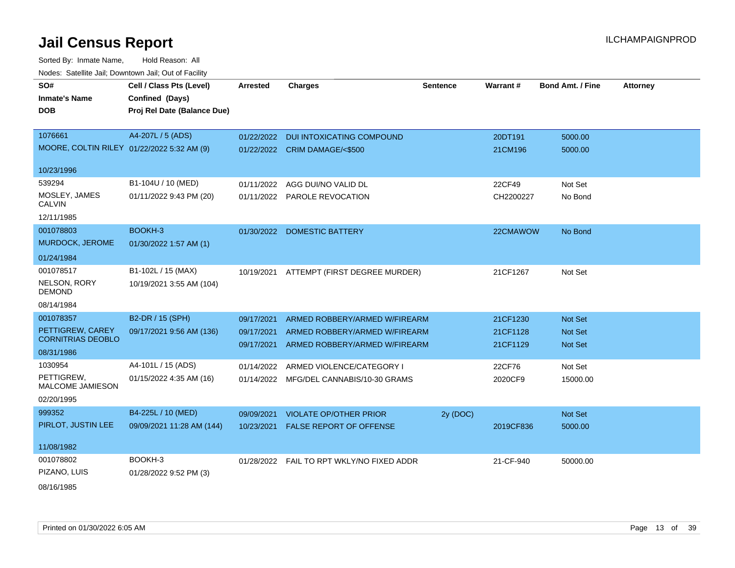| SO#                                          | Cell / Class Pts (Level)    | <b>Arrested</b> | <b>Charges</b>                             | <b>Sentence</b> | <b>Warrant#</b> | <b>Bond Amt. / Fine</b> | <b>Attorney</b> |
|----------------------------------------------|-----------------------------|-----------------|--------------------------------------------|-----------------|-----------------|-------------------------|-----------------|
| <b>Inmate's Name</b>                         | Confined (Days)             |                 |                                            |                 |                 |                         |                 |
| <b>DOB</b>                                   | Proj Rel Date (Balance Due) |                 |                                            |                 |                 |                         |                 |
|                                              |                             |                 |                                            |                 |                 |                         |                 |
| 1076661                                      | A4-207L / 5 (ADS)           | 01/22/2022      | <b>DUI INTOXICATING COMPOUND</b>           |                 | 20DT191         | 5000.00                 |                 |
| MOORE, COLTIN RILEY 01/22/2022 5:32 AM (9)   |                             |                 | 01/22/2022 CRIM DAMAGE/<\$500              |                 | 21CM196         | 5000.00                 |                 |
| 10/23/1996                                   |                             |                 |                                            |                 |                 |                         |                 |
| 539294                                       | B1-104U / 10 (MED)          | 01/11/2022      | AGG DUI/NO VALID DL                        |                 | 22CF49          | Not Set                 |                 |
| MOSLEY, JAMES<br><b>CALVIN</b>               | 01/11/2022 9:43 PM (20)     |                 | 01/11/2022 PAROLE REVOCATION               |                 | CH2200227       | No Bond                 |                 |
| 12/11/1985                                   |                             |                 |                                            |                 |                 |                         |                 |
| 001078803                                    | BOOKH-3                     |                 | 01/30/2022 DOMESTIC BATTERY                |                 | 22CMAWOW        | No Bond                 |                 |
| <b>MURDOCK, JEROME</b>                       | 01/30/2022 1:57 AM (1)      |                 |                                            |                 |                 |                         |                 |
| 01/24/1984                                   |                             |                 |                                            |                 |                 |                         |                 |
| 001078517                                    | B1-102L / 15 (MAX)          | 10/19/2021      | ATTEMPT (FIRST DEGREE MURDER)              |                 | 21CF1267        | Not Set                 |                 |
| NELSON, RORY<br><b>DEMOND</b>                | 10/19/2021 3:55 AM (104)    |                 |                                            |                 |                 |                         |                 |
| 08/14/1984                                   |                             |                 |                                            |                 |                 |                         |                 |
| 001078357                                    | B2-DR / 15 (SPH)            | 09/17/2021      | ARMED ROBBERY/ARMED W/FIREARM              |                 | 21CF1230        | <b>Not Set</b>          |                 |
| PETTIGREW, CAREY<br><b>CORNITRIAS DEOBLO</b> | 09/17/2021 9:56 AM (136)    | 09/17/2021      | ARMED ROBBERY/ARMED W/FIREARM              |                 | 21CF1128        | Not Set                 |                 |
| 08/31/1986                                   |                             | 09/17/2021      | ARMED ROBBERY/ARMED W/FIREARM              |                 | 21CF1129        | <b>Not Set</b>          |                 |
| 1030954                                      | A4-101L / 15 (ADS)          |                 |                                            |                 |                 |                         |                 |
| PETTIGREW,                                   | 01/15/2022 4:35 AM (16)     | 01/14/2022      | ARMED VIOLENCE/CATEGORY I                  |                 | 22CF76          | Not Set                 |                 |
| MALCOME JAMIESON                             |                             | 01/14/2022      | MFG/DEL CANNABIS/10-30 GRAMS               |                 | 2020CF9         | 15000.00                |                 |
| 02/20/1995                                   |                             |                 |                                            |                 |                 |                         |                 |
| 999352                                       | B4-225L / 10 (MED)          | 09/09/2021      | <b>VIOLATE OP/OTHER PRIOR</b>              | 2y (DOC)        |                 | Not Set                 |                 |
| PIRLOT, JUSTIN LEE                           | 09/09/2021 11:28 AM (144)   | 10/23/2021      | <b>FALSE REPORT OF OFFENSE</b>             |                 | 2019CF836       | 5000.00                 |                 |
| 11/08/1982                                   |                             |                 |                                            |                 |                 |                         |                 |
| 001078802                                    | BOOKH-3                     |                 | 01/28/2022  FAIL TO RPT WKLY/NO FIXED ADDR |                 | 21-CF-940       | 50000.00                |                 |
| PIZANO, LUIS                                 | 01/28/2022 9:52 PM (3)      |                 |                                            |                 |                 |                         |                 |
| 08/16/1985                                   |                             |                 |                                            |                 |                 |                         |                 |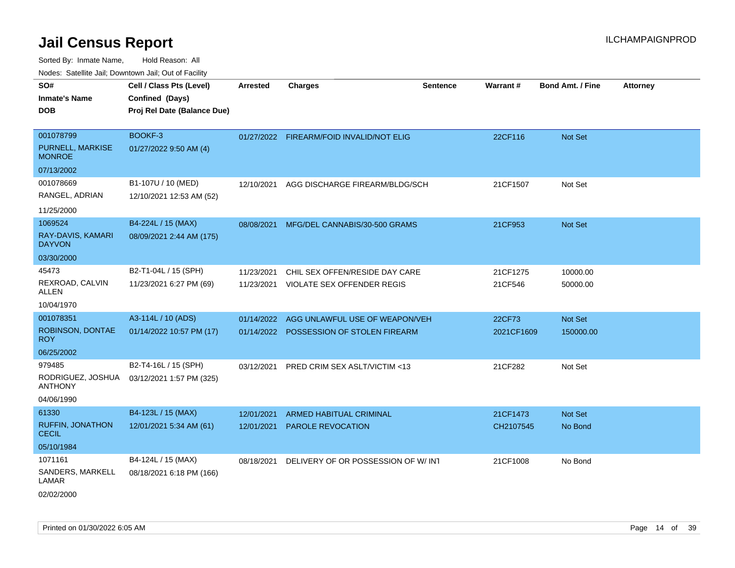Sorted By: Inmate Name, Hold Reason: All

Nodes: Satellite Jail; Downtown Jail; Out of Facility

| SO#<br><b>Inmate's Name</b><br><b>DOB</b>      | Cell / Class Pts (Level)<br>Confined (Days)<br>Proj Rel Date (Balance Due) | <b>Arrested</b> | <b>Charges</b>                           | <b>Sentence</b> | <b>Warrant#</b> | <b>Bond Amt. / Fine</b> | <b>Attorney</b> |
|------------------------------------------------|----------------------------------------------------------------------------|-----------------|------------------------------------------|-----------------|-----------------|-------------------------|-----------------|
| 001078799<br>PURNELL, MARKISE<br><b>MONROE</b> | BOOKF-3<br>01/27/2022 9:50 AM (4)                                          |                 | 01/27/2022 FIREARM/FOID INVALID/NOT ELIG |                 | 22CF116         | Not Set                 |                 |
| 07/13/2002                                     |                                                                            |                 |                                          |                 |                 |                         |                 |
| 001078669<br>RANGEL, ADRIAN                    | B1-107U / 10 (MED)<br>12/10/2021 12:53 AM (52)                             | 12/10/2021      | AGG DISCHARGE FIREARM/BLDG/SCH           |                 | 21CF1507        | Not Set                 |                 |
| 11/25/2000                                     |                                                                            |                 |                                          |                 |                 |                         |                 |
| 1069524<br>RAY-DAVIS, KAMARI<br><b>DAYVON</b>  | B4-224L / 15 (MAX)<br>08/09/2021 2:44 AM (175)                             |                 | 08/08/2021 MFG/DEL CANNABIS/30-500 GRAMS |                 | 21CF953         | Not Set                 |                 |
| 03/30/2000                                     |                                                                            |                 |                                          |                 |                 |                         |                 |
| 45473                                          | B2-T1-04L / 15 (SPH)                                                       | 11/23/2021      | CHIL SEX OFFEN/RESIDE DAY CARE           |                 | 21CF1275        | 10000.00                |                 |
| REXROAD, CALVIN<br><b>ALLEN</b>                | 11/23/2021 6:27 PM (69)                                                    |                 | 11/23/2021 VIOLATE SEX OFFENDER REGIS    |                 | 21CF546         | 50000.00                |                 |
| 10/04/1970                                     |                                                                            |                 |                                          |                 |                 |                         |                 |
| 001078351                                      | A3-114L / 10 (ADS)                                                         | 01/14/2022      | AGG UNLAWFUL USE OF WEAPON/VEH           |                 | 22CF73          | Not Set                 |                 |
| ROBINSON, DONTAE<br><b>ROY</b>                 | 01/14/2022 10:57 PM (17)                                                   |                 | 01/14/2022 POSSESSION OF STOLEN FIREARM  |                 | 2021CF1609      | 150000.00               |                 |
| 06/25/2002                                     |                                                                            |                 |                                          |                 |                 |                         |                 |
| 979485                                         | B2-T4-16L / 15 (SPH)                                                       | 03/12/2021      | <b>PRED CRIM SEX ASLT/VICTIM &lt;13</b>  |                 | 21CF282         | Not Set                 |                 |
| RODRIGUEZ, JOSHUA<br><b>ANTHONY</b>            | 03/12/2021 1:57 PM (325)                                                   |                 |                                          |                 |                 |                         |                 |
| 04/06/1990                                     |                                                                            |                 |                                          |                 |                 |                         |                 |
| 61330                                          | B4-123L / 15 (MAX)                                                         | 12/01/2021      | <b>ARMED HABITUAL CRIMINAL</b>           |                 | 21CF1473        | Not Set                 |                 |
| <b>RUFFIN, JONATHON</b><br><b>CECIL</b>        | 12/01/2021 5:34 AM (61)                                                    | 12/01/2021      | PAROLE REVOCATION                        |                 | CH2107545       | No Bond                 |                 |
| 05/10/1984                                     |                                                                            |                 |                                          |                 |                 |                         |                 |
| 1071161                                        | B4-124L / 15 (MAX)                                                         | 08/18/2021      | DELIVERY OF OR POSSESSION OF W/ INT      |                 | 21CF1008        | No Bond                 |                 |
| SANDERS, MARKELL<br>LAMAR<br>02/02/2000        | 08/18/2021 6:18 PM (166)                                                   |                 |                                          |                 |                 |                         |                 |
|                                                |                                                                            |                 |                                          |                 |                 |                         |                 |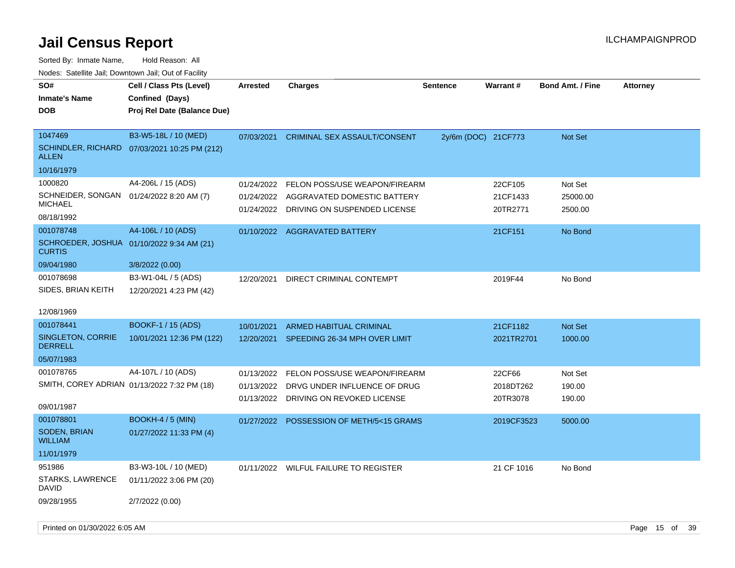| SO#<br><b>Inmate's Name</b><br><b>DOB</b>                                             | Cell / Class Pts (Level)<br>Confined (Days)<br>Proj Rel Date (Balance Due) | <b>Arrested</b>          | <b>Charges</b>                                                                                          | <b>Sentence</b>     | Warrant#                        | <b>Bond Amt. / Fine</b>        | <b>Attorney</b> |
|---------------------------------------------------------------------------------------|----------------------------------------------------------------------------|--------------------------|---------------------------------------------------------------------------------------------------------|---------------------|---------------------------------|--------------------------------|-----------------|
| 1047469<br><b>ALLEN</b><br>10/16/1979                                                 | B3-W5-18L / 10 (MED)<br>SCHINDLER, RICHARD 07/03/2021 10:25 PM (212)       | 07/03/2021               | <b>CRIMINAL SEX ASSAULT/CONSENT</b>                                                                     | 2y/6m (DOC) 21CF773 |                                 | Not Set                        |                 |
| 1000820<br>SCHNEIDER, SONGAN 01/24/2022 8:20 AM (7)<br><b>MICHAEL</b><br>08/18/1992   | A4-206L / 15 (ADS)                                                         | 01/24/2022<br>01/24/2022 | FELON POSS/USE WEAPON/FIREARM<br>AGGRAVATED DOMESTIC BATTERY<br>01/24/2022 DRIVING ON SUSPENDED LICENSE |                     | 22CF105<br>21CF1433<br>20TR2771 | Not Set<br>25000.00<br>2500.00 |                 |
| 001078748<br>SCHROEDER, JOSHUA 01/10/2022 9:34 AM (21)<br><b>CURTIS</b><br>09/04/1980 | A4-106L / 10 (ADS)<br>3/8/2022 (0.00)                                      |                          | 01/10/2022 AGGRAVATED BATTERY                                                                           |                     | 21CF151                         | No Bond                        |                 |
| 001078698<br>SIDES, BRIAN KEITH                                                       | B3-W1-04L / 5 (ADS)<br>12/20/2021 4:23 PM (42)                             | 12/20/2021               | DIRECT CRIMINAL CONTEMPT                                                                                |                     | 2019F44                         | No Bond                        |                 |
| 12/08/1969<br>001078441<br>SINGLETON, CORRIE<br><b>DERRELL</b><br>05/07/1983          | <b>BOOKF-1 / 15 (ADS)</b><br>10/01/2021 12:36 PM (122)                     | 10/01/2021               | ARMED HABITUAL CRIMINAL<br>12/20/2021 SPEEDING 26-34 MPH OVER LIMIT                                     |                     | 21CF1182<br>2021TR2701          | Not Set<br>1000.00             |                 |
| 001078765<br>SMITH, COREY ADRIAN 01/13/2022 7:32 PM (18)<br>09/01/1987                | A4-107L / 10 (ADS)                                                         | 01/13/2022<br>01/13/2022 | FELON POSS/USE WEAPON/FIREARM<br>DRVG UNDER INFLUENCE OF DRUG<br>01/13/2022 DRIVING ON REVOKED LICENSE  |                     | 22CF66<br>2018DT262<br>20TR3078 | Not Set<br>190.00<br>190.00    |                 |
| 001078801<br><b>SODEN, BRIAN</b><br><b>WILLIAM</b><br>11/01/1979                      | <b>BOOKH-4 / 5 (MIN)</b><br>01/27/2022 11:33 PM (4)                        | 01/27/2022               | POSSESSION OF METH/5<15 GRAMS                                                                           |                     | 2019CF3523                      | 5000.00                        |                 |
| 951986<br>STARKS, LAWRENCE<br>DAVID<br>09/28/1955                                     | B3-W3-10L / 10 (MED)<br>01/11/2022 3:06 PM (20)<br>2/7/2022 (0.00)         |                          | 01/11/2022 WILFUL FAILURE TO REGISTER                                                                   |                     | 21 CF 1016                      | No Bond                        |                 |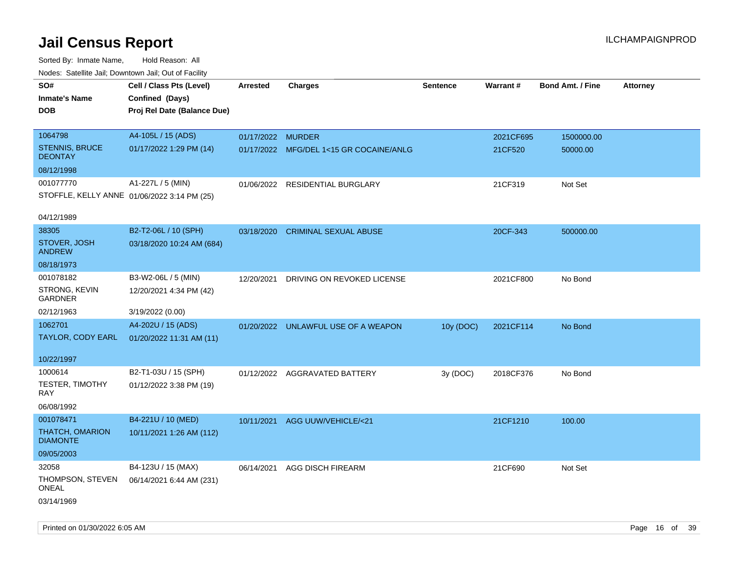| Nodes: Satellite Jali, Downtown Jali, Out of Facility |                                             |                   |                                         |                 |           |                         |                 |
|-------------------------------------------------------|---------------------------------------------|-------------------|-----------------------------------------|-----------------|-----------|-------------------------|-----------------|
| SO#                                                   | Cell / Class Pts (Level)                    | <b>Arrested</b>   | <b>Charges</b>                          | <b>Sentence</b> | Warrant#  | <b>Bond Amt. / Fine</b> | <b>Attorney</b> |
| <b>Inmate's Name</b>                                  | Confined (Days)                             |                   |                                         |                 |           |                         |                 |
| <b>DOB</b>                                            | Proj Rel Date (Balance Due)                 |                   |                                         |                 |           |                         |                 |
|                                                       |                                             |                   |                                         |                 |           |                         |                 |
| 1064798                                               | A4-105L / 15 (ADS)                          | 01/17/2022 MURDER |                                         |                 | 2021CF695 | 1500000.00              |                 |
| <b>STENNIS, BRUCE</b><br><b>DEONTAY</b>               | 01/17/2022 1:29 PM (14)                     |                   | 01/17/2022 MFG/DEL 1<15 GR COCAINE/ANLG |                 | 21CF520   | 50000.00                |                 |
| 08/12/1998                                            |                                             |                   |                                         |                 |           |                         |                 |
| 001077770                                             | A1-227L / 5 (MIN)                           | 01/06/2022        | <b>RESIDENTIAL BURGLARY</b>             |                 | 21CF319   | Not Set                 |                 |
|                                                       | STOFFLE, KELLY ANNE 01/06/2022 3:14 PM (25) |                   |                                         |                 |           |                         |                 |
|                                                       |                                             |                   |                                         |                 |           |                         |                 |
| 04/12/1989                                            |                                             |                   |                                         |                 |           |                         |                 |
| 38305                                                 | B2-T2-06L / 10 (SPH)                        | 03/18/2020        | <b>CRIMINAL SEXUAL ABUSE</b>            |                 | 20CF-343  | 500000.00               |                 |
| STOVER, JOSH<br><b>ANDREW</b>                         | 03/18/2020 10:24 AM (684)                   |                   |                                         |                 |           |                         |                 |
| 08/18/1973                                            |                                             |                   |                                         |                 |           |                         |                 |
| 001078182                                             | B3-W2-06L / 5 (MIN)                         | 12/20/2021        | DRIVING ON REVOKED LICENSE              |                 | 2021CF800 | No Bond                 |                 |
| STRONG, KEVIN<br><b>GARDNER</b>                       | 12/20/2021 4:34 PM (42)                     |                   |                                         |                 |           |                         |                 |
| 02/12/1963                                            | 3/19/2022 (0.00)                            |                   |                                         |                 |           |                         |                 |
| 1062701                                               | A4-202U / 15 (ADS)                          |                   | 01/20/2022 UNLAWFUL USE OF A WEAPON     | 10y (DOC)       | 2021CF114 | No Bond                 |                 |
| TAYLOR, CODY EARL                                     | 01/20/2022 11:31 AM (11)                    |                   |                                         |                 |           |                         |                 |
|                                                       |                                             |                   |                                         |                 |           |                         |                 |
| 10/22/1997                                            |                                             |                   |                                         |                 |           |                         |                 |
| 1000614                                               | B2-T1-03U / 15 (SPH)                        |                   | 01/12/2022 AGGRAVATED BATTERY           | 3y (DOC)        | 2018CF376 | No Bond                 |                 |
| TESTER, TIMOTHY<br>RAY                                | 01/12/2022 3:38 PM (19)                     |                   |                                         |                 |           |                         |                 |
| 06/08/1992                                            |                                             |                   |                                         |                 |           |                         |                 |
| 001078471                                             | B4-221U / 10 (MED)                          | 10/11/2021        | AGG UUW/VEHICLE/<21                     |                 | 21CF1210  | 100.00                  |                 |
| <b>THATCH, OMARION</b><br><b>DIAMONTE</b>             | 10/11/2021 1:26 AM (112)                    |                   |                                         |                 |           |                         |                 |
| 09/05/2003                                            |                                             |                   |                                         |                 |           |                         |                 |
| 32058                                                 | B4-123U / 15 (MAX)                          | 06/14/2021        | <b>AGG DISCH FIREARM</b>                |                 | 21CF690   | Not Set                 |                 |
| THOMPSON, STEVEN<br><b>ONEAL</b>                      | 06/14/2021 6:44 AM (231)                    |                   |                                         |                 |           |                         |                 |
| 03/14/1969                                            |                                             |                   |                                         |                 |           |                         |                 |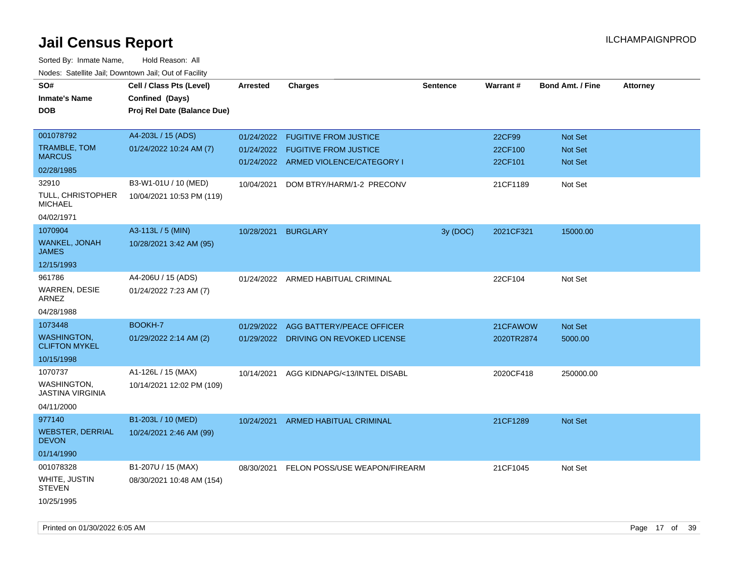| SO#<br><b>Inmate's Name</b><br><b>DOB</b>  | Cell / Class Pts (Level)<br>Confined (Days)<br>Proj Rel Date (Balance Due) | Arrested   | <b>Charges</b>                                                       | <b>Sentence</b> | Warrant#           | <b>Bond Amt. / Fine</b> | <b>Attorney</b> |
|--------------------------------------------|----------------------------------------------------------------------------|------------|----------------------------------------------------------------------|-----------------|--------------------|-------------------------|-----------------|
| 001078792                                  | A4-203L / 15 (ADS)                                                         | 01/24/2022 | <b>FUGITIVE FROM JUSTICE</b>                                         |                 | 22CF99             | <b>Not Set</b>          |                 |
| TRAMBLE, TOM<br><b>MARCUS</b>              | 01/24/2022 10:24 AM (7)                                                    | 01/24/2022 | <b>FUGITIVE FROM JUSTICE</b><br>01/24/2022 ARMED VIOLENCE/CATEGORY I |                 | 22CF100<br>22CF101 | Not Set<br>Not Set      |                 |
| 02/28/1985                                 |                                                                            |            |                                                                      |                 |                    |                         |                 |
| 32910                                      | B3-W1-01U / 10 (MED)                                                       | 10/04/2021 | DOM BTRY/HARM/1-2 PRECONV                                            |                 | 21CF1189           | Not Set                 |                 |
| TULL, CHRISTOPHER<br><b>MICHAEL</b>        | 10/04/2021 10:53 PM (119)                                                  |            |                                                                      |                 |                    |                         |                 |
| 04/02/1971                                 |                                                                            |            |                                                                      |                 |                    |                         |                 |
| 1070904                                    | A3-113L / 5 (MIN)                                                          | 10/28/2021 | <b>BURGLARY</b>                                                      | 3y (DOC)        | 2021CF321          | 15000.00                |                 |
| WANKEL, JONAH<br>JAMES                     | 10/28/2021 3:42 AM (95)                                                    |            |                                                                      |                 |                    |                         |                 |
| 12/15/1993                                 |                                                                            |            |                                                                      |                 |                    |                         |                 |
| 961786<br>WARREN, DESIE                    | A4-206U / 15 (ADS)<br>01/24/2022 7:23 AM (7)                               |            | 01/24/2022 ARMED HABITUAL CRIMINAL                                   |                 | 22CF104            | Not Set                 |                 |
| ARNEZ<br>04/28/1988                        |                                                                            |            |                                                                      |                 |                    |                         |                 |
| 1073448                                    | BOOKH-7                                                                    | 01/29/2022 | AGG BATTERY/PEACE OFFICER                                            |                 | 21CFAWOW           | <b>Not Set</b>          |                 |
| <b>WASHINGTON,</b><br><b>CLIFTON MYKEL</b> | 01/29/2022 2:14 AM (2)                                                     |            | 01/29/2022 DRIVING ON REVOKED LICENSE                                |                 | 2020TR2874         | 5000.00                 |                 |
| 10/15/1998                                 |                                                                            |            |                                                                      |                 |                    |                         |                 |
| 1070737                                    | A1-126L / 15 (MAX)                                                         | 10/14/2021 | AGG KIDNAPG/<13/INTEL DISABL                                         |                 | 2020CF418          | 250000.00               |                 |
| <b>WASHINGTON,</b><br>JASTINA VIRGINIA     | 10/14/2021 12:02 PM (109)                                                  |            |                                                                      |                 |                    |                         |                 |
| 04/11/2000                                 |                                                                            |            |                                                                      |                 |                    |                         |                 |
| 977140                                     | B1-203L / 10 (MED)                                                         | 10/24/2021 | ARMED HABITUAL CRIMINAL                                              |                 | 21CF1289           | <b>Not Set</b>          |                 |
| <b>WEBSTER, DERRIAL</b><br><b>DEVON</b>    | 10/24/2021 2:46 AM (99)                                                    |            |                                                                      |                 |                    |                         |                 |
| 01/14/1990                                 |                                                                            |            |                                                                      |                 |                    |                         |                 |
| 001078328                                  | B1-207U / 15 (MAX)                                                         |            | 08/30/2021 FELON POSS/USE WEAPON/FIREARM                             |                 | 21CF1045           | Not Set                 |                 |
| WHITE, JUSTIN<br><b>STEVEN</b>             | 08/30/2021 10:48 AM (154)                                                  |            |                                                                      |                 |                    |                         |                 |
| 10/25/1995                                 |                                                                            |            |                                                                      |                 |                    |                         |                 |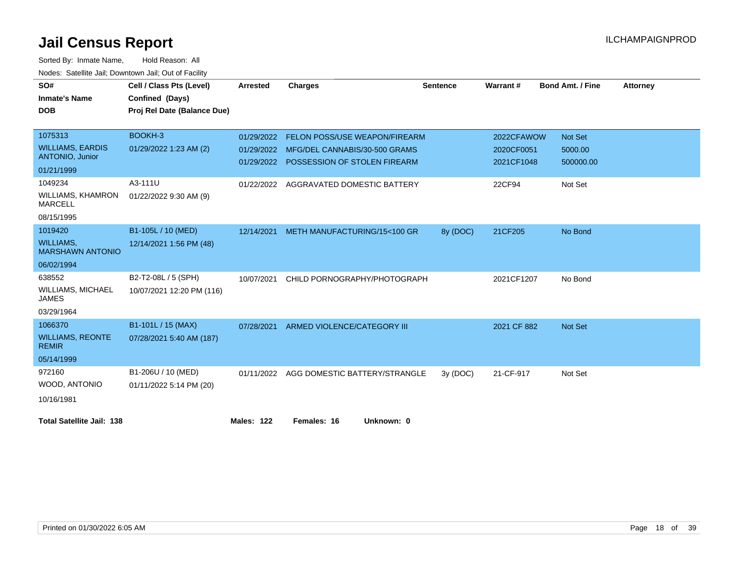| SO#                                               | Cell / Class Pts (Level)    | <b>Arrested</b>   | <b>Charges</b>                                                           | <b>Sentence</b> | Warrant#                 | <b>Bond Amt. / Fine</b> | <b>Attorney</b> |
|---------------------------------------------------|-----------------------------|-------------------|--------------------------------------------------------------------------|-----------------|--------------------------|-------------------------|-----------------|
| <b>Inmate's Name</b>                              | Confined (Days)             |                   |                                                                          |                 |                          |                         |                 |
| <b>DOB</b>                                        | Proj Rel Date (Balance Due) |                   |                                                                          |                 |                          |                         |                 |
|                                                   |                             |                   |                                                                          |                 |                          |                         |                 |
| 1075313                                           | BOOKH-3                     | 01/29/2022        | <b>FELON POSS/USE WEAPON/FIREARM</b>                                     |                 | 2022CFAWOW               | <b>Not Set</b>          |                 |
| <b>WILLIAMS, EARDIS</b><br><b>ANTONIO, Junior</b> | 01/29/2022 1:23 AM (2)      | 01/29/2022        | MFG/DEL CANNABIS/30-500 GRAMS<br>01/29/2022 POSSESSION OF STOLEN FIREARM |                 | 2020CF0051<br>2021CF1048 | 5000.00<br>500000.00    |                 |
| 01/21/1999                                        |                             |                   |                                                                          |                 |                          |                         |                 |
| 1049234                                           | A3-111U                     |                   | 01/22/2022 AGGRAVATED DOMESTIC BATTERY                                   |                 | 22CF94                   | Not Set                 |                 |
| <b>WILLIAMS, KHAMRON</b><br><b>MARCELL</b>        | 01/22/2022 9:30 AM (9)      |                   |                                                                          |                 |                          |                         |                 |
| 08/15/1995                                        |                             |                   |                                                                          |                 |                          |                         |                 |
| 1019420                                           | B1-105L / 10 (MED)          | 12/14/2021        | METH MANUFACTURING/15<100 GR                                             | 8y (DOC)        | 21CF205                  | No Bond                 |                 |
| <b>WILLIAMS,</b><br><b>MARSHAWN ANTONIO</b>       | 12/14/2021 1:56 PM (48)     |                   |                                                                          |                 |                          |                         |                 |
| 06/02/1994                                        |                             |                   |                                                                          |                 |                          |                         |                 |
| 638552                                            | B2-T2-08L / 5 (SPH)         | 10/07/2021        | CHILD PORNOGRAPHY/PHOTOGRAPH                                             |                 | 2021CF1207               | No Bond                 |                 |
| <b>WILLIAMS, MICHAEL</b><br><b>JAMES</b>          | 10/07/2021 12:20 PM (116)   |                   |                                                                          |                 |                          |                         |                 |
| 03/29/1964                                        |                             |                   |                                                                          |                 |                          |                         |                 |
| 1066370                                           | B1-101L / 15 (MAX)          | 07/28/2021        | ARMED VIOLENCE/CATEGORY III                                              |                 | 2021 CF 882              | Not Set                 |                 |
| <b>WILLIAMS, REONTE</b><br><b>REMIR</b>           | 07/28/2021 5:40 AM (187)    |                   |                                                                          |                 |                          |                         |                 |
| 05/14/1999                                        |                             |                   |                                                                          |                 |                          |                         |                 |
| 972160                                            | B1-206U / 10 (MED)          |                   | 01/11/2022 AGG DOMESTIC BATTERY/STRANGLE                                 | 3y(DOC)         | 21-CF-917                | Not Set                 |                 |
| WOOD, ANTONIO                                     | 01/11/2022 5:14 PM (20)     |                   |                                                                          |                 |                          |                         |                 |
| 10/16/1981                                        |                             |                   |                                                                          |                 |                          |                         |                 |
| <b>Total Satellite Jail: 138</b>                  |                             | <b>Males: 122</b> | Females: 16<br>Unknown: 0                                                |                 |                          |                         |                 |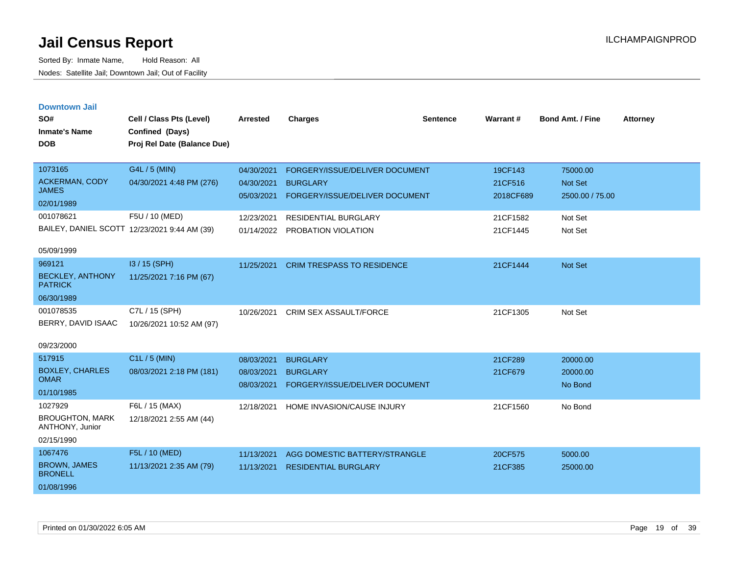|  |  | <b>Downtown Jail</b> |  |
|--|--|----------------------|--|
|  |  |                      |  |

| SO#<br><b>Inmate's Name</b>               | Cell / Class Pts (Level)<br>Confined (Days)  | <b>Arrested</b> | <b>Charges</b>                        | <b>Sentence</b> | Warrant#  | Bond Amt. / Fine | <b>Attorney</b> |
|-------------------------------------------|----------------------------------------------|-----------------|---------------------------------------|-----------------|-----------|------------------|-----------------|
| <b>DOB</b>                                | Proj Rel Date (Balance Due)                  |                 |                                       |                 |           |                  |                 |
| 1073165                                   | G4L / 5 (MIN)                                | 04/30/2021      | FORGERY/ISSUE/DELIVER DOCUMENT        |                 | 19CF143   | 75000.00         |                 |
| <b>ACKERMAN, CODY</b>                     | 04/30/2021 4:48 PM (276)                     | 04/30/2021      | <b>BURGLARY</b>                       |                 | 21CF516   | Not Set          |                 |
| <b>JAMES</b>                              |                                              | 05/03/2021      | FORGERY/ISSUE/DELIVER DOCUMENT        |                 | 2018CF689 | 2500.00 / 75.00  |                 |
| 02/01/1989<br>001078621                   |                                              |                 |                                       |                 |           |                  |                 |
|                                           | F5U / 10 (MED)                               | 12/23/2021      | <b>RESIDENTIAL BURGLARY</b>           |                 | 21CF1582  | Not Set          |                 |
|                                           | BAILEY, DANIEL SCOTT 12/23/2021 9:44 AM (39) | 01/14/2022      | PROBATION VIOLATION                   |                 | 21CF1445  | Not Set          |                 |
| 05/09/1999                                |                                              |                 |                                       |                 |           |                  |                 |
| 969121                                    | I3 / 15 (SPH)                                | 11/25/2021      | <b>CRIM TRESPASS TO RESIDENCE</b>     |                 | 21CF1444  | Not Set          |                 |
| <b>BECKLEY, ANTHONY</b><br><b>PATRICK</b> | 11/25/2021 7:16 PM (67)                      |                 |                                       |                 |           |                  |                 |
| 06/30/1989                                |                                              |                 |                                       |                 |           |                  |                 |
| 001078535                                 | C7L / 15 (SPH)                               | 10/26/2021      | <b>CRIM SEX ASSAULT/FORCE</b>         |                 | 21CF1305  | Not Set          |                 |
| BERRY, DAVID ISAAC                        | 10/26/2021 10:52 AM (97)                     |                 |                                       |                 |           |                  |                 |
| 09/23/2000                                |                                              |                 |                                       |                 |           |                  |                 |
| 517915                                    | C1L / 5 (MIN)                                | 08/03/2021      | <b>BURGLARY</b>                       |                 | 21CF289   | 20000.00         |                 |
| <b>BOXLEY, CHARLES</b>                    | 08/03/2021 2:18 PM (181)                     | 08/03/2021      | <b>BURGLARY</b>                       |                 | 21CF679   | 20000.00         |                 |
| <b>OMAR</b>                               |                                              | 08/03/2021      | FORGERY/ISSUE/DELIVER DOCUMENT        |                 |           | No Bond          |                 |
| 01/10/1985                                |                                              |                 |                                       |                 |           |                  |                 |
| 1027929                                   | F6L / 15 (MAX)                               |                 | 12/18/2021 HOME INVASION/CAUSE INJURY |                 | 21CF1560  | No Bond          |                 |
| <b>BROUGHTON, MARK</b><br>ANTHONY, Junior | 12/18/2021 2:55 AM (44)                      |                 |                                       |                 |           |                  |                 |
| 02/15/1990                                |                                              |                 |                                       |                 |           |                  |                 |
| 1067476                                   | F5L / 10 (MED)                               | 11/13/2021      | AGG DOMESTIC BATTERY/STRANGLE         |                 | 20CF575   | 5000.00          |                 |
| <b>BROWN, JAMES</b><br><b>BRONELL</b>     | 11/13/2021 2:35 AM (79)                      | 11/13/2021      | <b>RESIDENTIAL BURGLARY</b>           |                 | 21CF385   | 25000.00         |                 |
| 01/08/1996                                |                                              |                 |                                       |                 |           |                  |                 |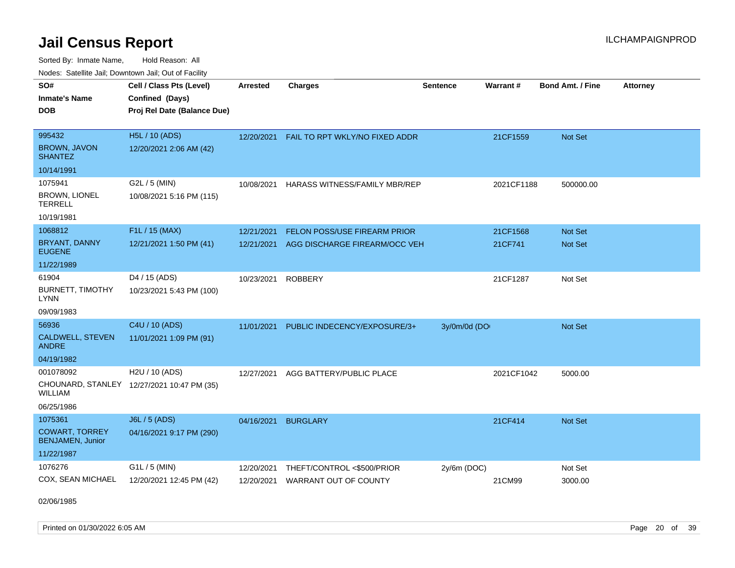Sorted By: Inmate Name, Hold Reason: All Nodes: Satellite Jail; Downtown Jail; Out of Facility

| SO#<br><b>Inmate's Name</b><br><b>DOB</b>                                 | Cell / Class Pts (Level)<br>Confined (Days)<br>Proj Rel Date (Balance Due) | <b>Arrested</b>          | <b>Charges</b>                                             | <b>Sentence</b> | <b>Warrant#</b> | <b>Bond Amt. / Fine</b> | <b>Attorney</b> |
|---------------------------------------------------------------------------|----------------------------------------------------------------------------|--------------------------|------------------------------------------------------------|-----------------|-----------------|-------------------------|-----------------|
| 995432<br><b>BROWN, JAVON</b><br><b>SHANTEZ</b>                           | H5L / 10 (ADS)<br>12/20/2021 2:06 AM (42)                                  | 12/20/2021               | FAIL TO RPT WKLY/NO FIXED ADDR                             |                 | 21CF1559        | Not Set                 |                 |
| 10/14/1991                                                                |                                                                            |                          |                                                            |                 |                 |                         |                 |
| 1075941<br>BROWN, LIONEL<br><b>TERRELL</b><br>10/19/1981                  | G2L / 5 (MIN)<br>10/08/2021 5:16 PM (115)                                  | 10/08/2021               | HARASS WITNESS/FAMILY MBR/REP                              |                 | 2021CF1188      | 500000.00               |                 |
| 1068812                                                                   | F1L / 15 (MAX)                                                             | 12/21/2021               | FELON POSS/USE FIREARM PRIOR                               |                 | 21CF1568        | Not Set                 |                 |
| <b>BRYANT, DANNY</b><br><b>EUGENE</b>                                     | 12/21/2021 1:50 PM (41)                                                    | 12/21/2021               | AGG DISCHARGE FIREARM/OCC VEH                              |                 | 21CF741         | Not Set                 |                 |
| 11/22/1989                                                                |                                                                            |                          |                                                            |                 |                 |                         |                 |
| 61904<br><b>BURNETT, TIMOTHY</b><br><b>LYNN</b><br>09/09/1983             | D4 / 15 (ADS)<br>10/23/2021 5:43 PM (100)                                  | 10/23/2021               | <b>ROBBERY</b>                                             |                 | 21CF1287        | Not Set                 |                 |
| 56936                                                                     | C4U / 10 (ADS)                                                             | 11/01/2021               | PUBLIC INDECENCY/EXPOSURE/3+                               | 3y/0m/0d (DO    |                 | Not Set                 |                 |
| CALDWELL, STEVEN<br><b>ANDRE</b>                                          | 11/01/2021 1:09 PM (91)                                                    |                          |                                                            |                 |                 |                         |                 |
| 04/19/1982                                                                |                                                                            |                          |                                                            |                 |                 |                         |                 |
| 001078092<br><b>WILLIAM</b><br>06/25/1986                                 | H2U / 10 (ADS)<br>CHOUNARD, STANLEY 12/27/2021 10:47 PM (35)               | 12/27/2021               | AGG BATTERY/PUBLIC PLACE                                   |                 | 2021CF1042      | 5000.00                 |                 |
| 1075361<br><b>COWART, TORREY</b><br><b>BENJAMEN, Junior</b><br>11/22/1987 | J6L / 5 (ADS)<br>04/16/2021 9:17 PM (290)                                  | 04/16/2021               | <b>BURGLARY</b>                                            |                 | 21CF414         | Not Set                 |                 |
| 1076276<br>COX, SEAN MICHAEL                                              | G1L / 5 (MIN)<br>12/20/2021 12:45 PM (42)                                  | 12/20/2021<br>12/20/2021 | THEFT/CONTROL <\$500/PRIOR<br><b>WARRANT OUT OF COUNTY</b> | 2y/6m (DOC)     | 21CM99          | Not Set<br>3000.00      |                 |

02/06/1985

Printed on 01/30/2022 6:05 AM Page 20 of 39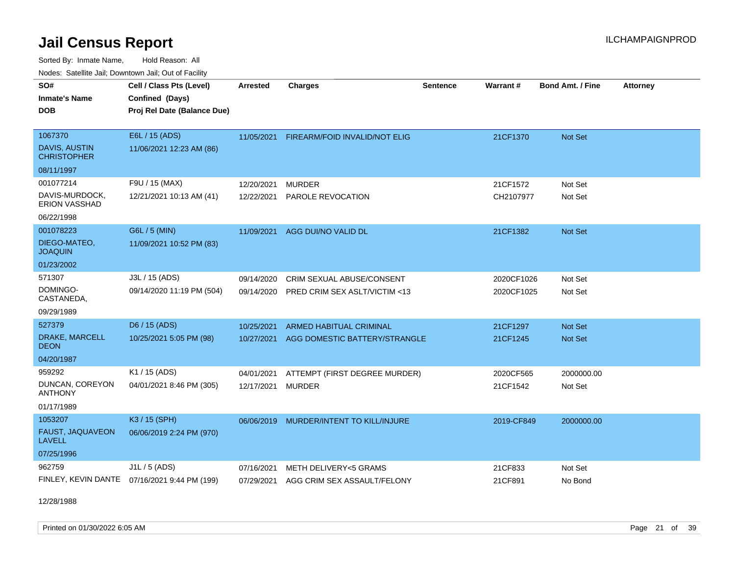Sorted By: Inmate Name, Hold Reason: All Nodes: Satellite Jail; Downtown Jail; Out of Facility

| Noucs. Calcinic Jail, Downtown Jail, Out of Facility |                                              |                 |                                |                 |            |                         |                 |
|------------------------------------------------------|----------------------------------------------|-----------------|--------------------------------|-----------------|------------|-------------------------|-----------------|
| SO#                                                  | Cell / Class Pts (Level)                     | <b>Arrested</b> | <b>Charges</b>                 | <b>Sentence</b> | Warrant#   | <b>Bond Amt. / Fine</b> | <b>Attorney</b> |
| <b>Inmate's Name</b>                                 | Confined (Days)                              |                 |                                |                 |            |                         |                 |
| <b>DOB</b>                                           | Proj Rel Date (Balance Due)                  |                 |                                |                 |            |                         |                 |
|                                                      |                                              |                 |                                |                 |            |                         |                 |
| 1067370                                              | E6L / 15 (ADS)                               | 11/05/2021      | FIREARM/FOID INVALID/NOT ELIG  |                 | 21CF1370   | Not Set                 |                 |
| DAVIS, AUSTIN<br><b>CHRISTOPHER</b>                  | 11/06/2021 12:23 AM (86)                     |                 |                                |                 |            |                         |                 |
| 08/11/1997                                           |                                              |                 |                                |                 |            |                         |                 |
| 001077214                                            | F9U / 15 (MAX)                               | 12/20/2021      | <b>MURDER</b>                  |                 | 21CF1572   | Not Set                 |                 |
| DAVIS-MURDOCK,<br>ERION VASSHAD                      | 12/21/2021 10:13 AM (41)                     | 12/22/2021      | PAROLE REVOCATION              |                 | CH2107977  | Not Set                 |                 |
| 06/22/1998                                           |                                              |                 |                                |                 |            |                         |                 |
| 001078223                                            | G6L / 5 (MIN)                                | 11/09/2021      | AGG DUI/NO VALID DL            |                 | 21CF1382   | Not Set                 |                 |
| DIEGO-MATEO,<br><b>JOAQUIN</b>                       | 11/09/2021 10:52 PM (83)                     |                 |                                |                 |            |                         |                 |
| 01/23/2002                                           |                                              |                 |                                |                 |            |                         |                 |
| 571307                                               | J3L / 15 (ADS)                               | 09/14/2020      | CRIM SEXUAL ABUSE/CONSENT      |                 | 2020CF1026 | Not Set                 |                 |
| DOMINGO-<br>CASTANEDA,                               | 09/14/2020 11:19 PM (504)                    | 09/14/2020      | PRED CRIM SEX ASLT/VICTIM <13  |                 | 2020CF1025 | Not Set                 |                 |
| 09/29/1989                                           |                                              |                 |                                |                 |            |                         |                 |
| 527379                                               | D6 / 15 (ADS)                                | 10/25/2021      | <b>ARMED HABITUAL CRIMINAL</b> |                 | 21CF1297   | <b>Not Set</b>          |                 |
| DRAKE, MARCELL<br><b>DEON</b>                        | 10/25/2021 5:05 PM (98)                      | 10/27/2021      | AGG DOMESTIC BATTERY/STRANGLE  |                 | 21CF1245   | <b>Not Set</b>          |                 |
| 04/20/1987                                           |                                              |                 |                                |                 |            |                         |                 |
| 959292                                               | K1 / 15 (ADS)                                | 04/01/2021      | ATTEMPT (FIRST DEGREE MURDER)  |                 | 2020CF565  | 2000000.00              |                 |
| DUNCAN, COREYON<br><b>ANTHONY</b>                    | 04/01/2021 8:46 PM (305)                     | 12/17/2021      | <b>MURDER</b>                  |                 | 21CF1542   | Not Set                 |                 |
| 01/17/1989                                           |                                              |                 |                                |                 |            |                         |                 |
| 1053207                                              | K3 / 15 (SPH)                                | 06/06/2019      | MURDER/INTENT TO KILL/INJURE   |                 | 2019-CF849 | 2000000.00              |                 |
| FAUST, JAQUAVEON<br><b>LAVELL</b>                    | 06/06/2019 2:24 PM (970)                     |                 |                                |                 |            |                         |                 |
| 07/25/1996                                           |                                              |                 |                                |                 |            |                         |                 |
| 962759                                               | J1L / 5 (ADS)                                | 07/16/2021      | METH DELIVERY<5 GRAMS          |                 | 21CF833    | Not Set                 |                 |
|                                                      | FINLEY, KEVIN DANTE 07/16/2021 9:44 PM (199) | 07/29/2021      | AGG CRIM SEX ASSAULT/FELONY    |                 | 21CF891    | No Bond                 |                 |

12/28/1988

Printed on 01/30/2022 6:05 AM Page 21 of 39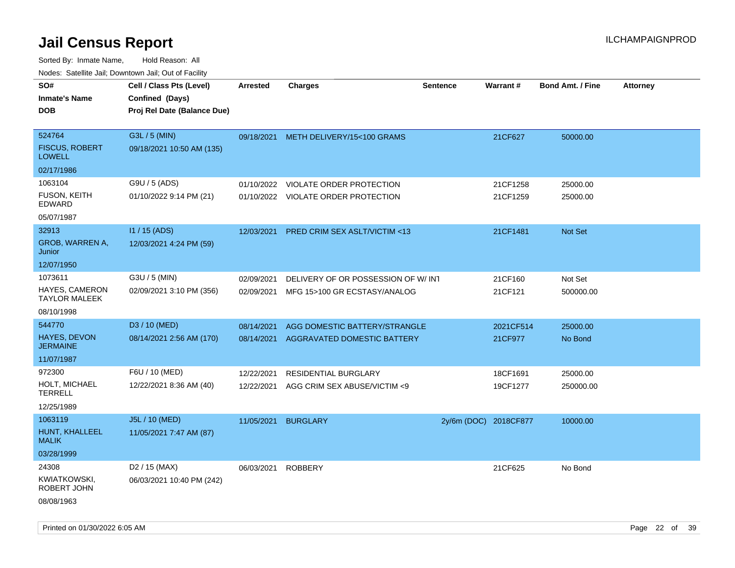| rouco. Calcinic Jan, Downtown Jan, Out of Facility |                                                                            |                 |                                       |                       |           |                         |                 |
|----------------------------------------------------|----------------------------------------------------------------------------|-----------------|---------------------------------------|-----------------------|-----------|-------------------------|-----------------|
| SO#<br>Inmate's Name<br><b>DOB</b>                 | Cell / Class Pts (Level)<br>Confined (Days)<br>Proj Rel Date (Balance Due) | <b>Arrested</b> | <b>Charges</b>                        | <b>Sentence</b>       | Warrant#  | <b>Bond Amt. / Fine</b> | <b>Attorney</b> |
| 524764<br><b>FISCUS, ROBERT</b><br><b>LOWELL</b>   | G3L / 5 (MIN)<br>09/18/2021 10:50 AM (135)                                 |                 | 09/18/2021 METH DELIVERY/15<100 GRAMS |                       | 21CF627   | 50000.00                |                 |
| 02/17/1986                                         |                                                                            |                 |                                       |                       |           |                         |                 |
| 1063104                                            | G9U / 5 (ADS)                                                              | 01/10/2022      | <b>VIOLATE ORDER PROTECTION</b>       |                       | 21CF1258  | 25000.00                |                 |
| fuson, keith<br>EDWARD                             | 01/10/2022 9:14 PM (21)                                                    |                 | 01/10/2022 VIOLATE ORDER PROTECTION   |                       | 21CF1259  | 25000.00                |                 |
| 05/07/1987                                         |                                                                            |                 |                                       |                       |           |                         |                 |
| 32913                                              | I1 / 15 (ADS)                                                              | 12/03/2021      | PRED CRIM SEX ASLT/VICTIM <13         |                       | 21CF1481  | Not Set                 |                 |
| GROB, WARREN A,<br>Junior                          | 12/03/2021 4:24 PM (59)                                                    |                 |                                       |                       |           |                         |                 |
| 12/07/1950                                         |                                                                            |                 |                                       |                       |           |                         |                 |
| 1073611                                            | G3U / 5 (MIN)                                                              | 02/09/2021      | DELIVERY OF OR POSSESSION OF W/ INT   |                       | 21CF160   | Not Set                 |                 |
| HAYES, CAMERON<br>TAYLOR MALEEK                    | 02/09/2021 3:10 PM (356)                                                   | 02/09/2021      | MFG 15>100 GR ECSTASY/ANALOG          |                       | 21CF121   | 500000.00               |                 |
| 08/10/1998                                         |                                                                            |                 |                                       |                       |           |                         |                 |
| 544770                                             | D3 / 10 (MED)                                                              | 08/14/2021      | AGG DOMESTIC BATTERY/STRANGLE         |                       | 2021CF514 | 25000.00                |                 |
| <b>HAYES, DEVON</b><br>JERMAINE                    | 08/14/2021 2:56 AM (170)                                                   | 08/14/2021      | AGGRAVATED DOMESTIC BATTERY           |                       | 21CF977   | No Bond                 |                 |
| 11/07/1987                                         |                                                                            |                 |                                       |                       |           |                         |                 |
| 972300                                             | F6U / 10 (MED)                                                             | 12/22/2021      | <b>RESIDENTIAL BURGLARY</b>           |                       | 18CF1691  | 25000.00                |                 |
| HOLT, MICHAEL<br>TERRELL                           | 12/22/2021 8:36 AM (40)                                                    | 12/22/2021      | AGG CRIM SEX ABUSE/VICTIM <9          |                       | 19CF1277  | 250000.00               |                 |
| 12/25/1989                                         |                                                                            |                 |                                       |                       |           |                         |                 |
| 1063119                                            | J5L / 10 (MED)                                                             | 11/05/2021      | <b>BURGLARY</b>                       | 2y/6m (DOC) 2018CF877 |           | 10000.00                |                 |
| HUNT, KHALLEEL<br>MALIK                            | 11/05/2021 7:47 AM (87)                                                    |                 |                                       |                       |           |                         |                 |
| 03/28/1999                                         |                                                                            |                 |                                       |                       |           |                         |                 |
| 24308                                              | D <sub>2</sub> / 15 (MAX)                                                  | 06/03/2021      | <b>ROBBERY</b>                        |                       | 21CF625   | No Bond                 |                 |
| KWIATKOWSKI,<br>ROBERT JOHN                        | 06/03/2021 10:40 PM (242)                                                  |                 |                                       |                       |           |                         |                 |
| 08/08/1963                                         |                                                                            |                 |                                       |                       |           |                         |                 |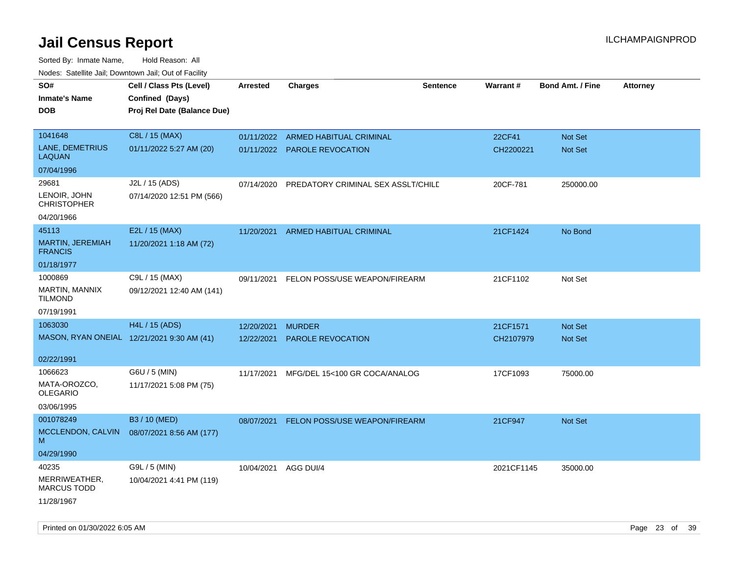| roaco. Catolino dall, Downtown dall, Out of Fability |                                            |                 |                                    |                 |                 |                         |                 |
|------------------------------------------------------|--------------------------------------------|-----------------|------------------------------------|-----------------|-----------------|-------------------------|-----------------|
| SO#                                                  | Cell / Class Pts (Level)                   | <b>Arrested</b> | Charges                            | <b>Sentence</b> | <b>Warrant#</b> | <b>Bond Amt. / Fine</b> | <b>Attorney</b> |
| <b>Inmate's Name</b>                                 | Confined (Days)                            |                 |                                    |                 |                 |                         |                 |
| <b>DOB</b>                                           | Proj Rel Date (Balance Due)                |                 |                                    |                 |                 |                         |                 |
|                                                      |                                            |                 |                                    |                 |                 |                         |                 |
| 1041648                                              | C8L / 15 (MAX)                             | 01/11/2022      | ARMED HABITUAL CRIMINAL            |                 | 22CF41          | <b>Not Set</b>          |                 |
| LANE, DEMETRIUS<br>LAQUAN                            | 01/11/2022 5:27 AM (20)                    |                 | 01/11/2022 PAROLE REVOCATION       |                 | CH2200221       | Not Set                 |                 |
| 07/04/1996                                           |                                            |                 |                                    |                 |                 |                         |                 |
| 29681                                                | J2L / 15 (ADS)                             | 07/14/2020      | PREDATORY CRIMINAL SEX ASSLT/CHILD |                 | 20CF-781        | 250000.00               |                 |
| LENOIR, JOHN<br><b>CHRISTOPHER</b>                   | 07/14/2020 12:51 PM (566)                  |                 |                                    |                 |                 |                         |                 |
| 04/20/1966                                           |                                            |                 |                                    |                 |                 |                         |                 |
| 45113                                                | E2L / 15 (MAX)                             | 11/20/2021      | ARMED HABITUAL CRIMINAL            |                 | 21CF1424        | No Bond                 |                 |
| MARTIN, JEREMIAH<br><b>FRANCIS</b>                   | 11/20/2021 1:18 AM (72)                    |                 |                                    |                 |                 |                         |                 |
| 01/18/1977                                           |                                            |                 |                                    |                 |                 |                         |                 |
| 1000869                                              | C9L / 15 (MAX)                             | 09/11/2021      | FELON POSS/USE WEAPON/FIREARM      |                 | 21CF1102        | Not Set                 |                 |
| <b>MARTIN, MANNIX</b><br>TILMOND                     | 09/12/2021 12:40 AM (141)                  |                 |                                    |                 |                 |                         |                 |
| 07/19/1991                                           |                                            |                 |                                    |                 |                 |                         |                 |
| 1063030                                              | H4L / 15 (ADS)                             | 12/20/2021      | <b>MURDER</b>                      |                 | 21CF1571        | <b>Not Set</b>          |                 |
|                                                      | MASON, RYAN ONEIAL 12/21/2021 9:30 AM (41) | 12/22/2021      | <b>PAROLE REVOCATION</b>           |                 | CH2107979       | <b>Not Set</b>          |                 |
|                                                      |                                            |                 |                                    |                 |                 |                         |                 |
| 02/22/1991                                           |                                            |                 |                                    |                 |                 |                         |                 |
| 1066623                                              | G6U / 5 (MIN)                              | 11/17/2021      | MFG/DEL 15<100 GR COCA/ANALOG      |                 | 17CF1093        | 75000.00                |                 |
| MATA-OROZCO.<br>OLEGARIO                             | 11/17/2021 5:08 PM (75)                    |                 |                                    |                 |                 |                         |                 |
| 03/06/1995                                           |                                            |                 |                                    |                 |                 |                         |                 |
| 001078249                                            | B3 / 10 (MED)                              | 08/07/2021      | FELON POSS/USE WEAPON/FIREARM      |                 | 21CF947         | Not Set                 |                 |
| MCCLENDON, CALVIN                                    | 08/07/2021 8:56 AM (177)                   |                 |                                    |                 |                 |                         |                 |
| М                                                    |                                            |                 |                                    |                 |                 |                         |                 |
| 04/29/1990                                           |                                            |                 |                                    |                 |                 |                         |                 |
| 40235                                                | G9L / 5 (MIN)                              | 10/04/2021      | AGG DUI/4                          |                 | 2021CF1145      | 35000.00                |                 |
| MERRIWEATHER,<br><b>MARCUS TODD</b>                  | 10/04/2021 4:41 PM (119)                   |                 |                                    |                 |                 |                         |                 |
| 11/28/1967                                           |                                            |                 |                                    |                 |                 |                         |                 |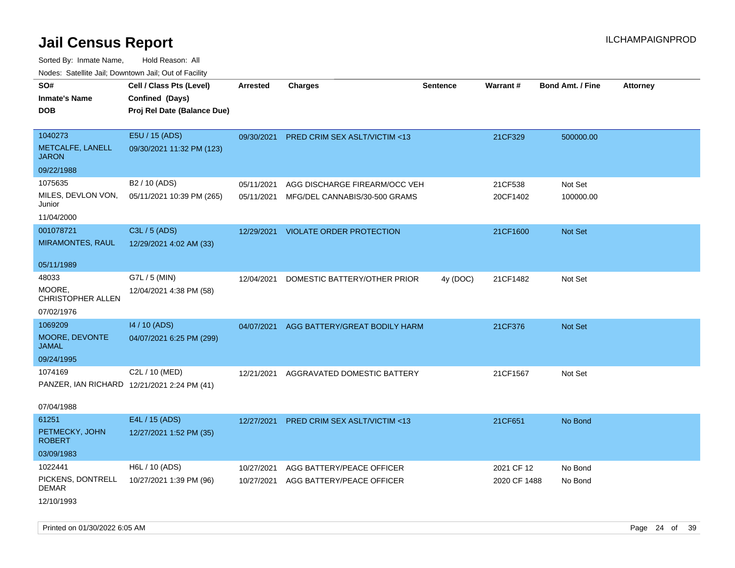| rouco. Calcinic Jan, Downtown Jan, Out of Facility |                                                                            |                 |                                          |                 |              |                         |                 |
|----------------------------------------------------|----------------------------------------------------------------------------|-----------------|------------------------------------------|-----------------|--------------|-------------------------|-----------------|
| SO#<br>Inmate's Name<br><b>DOB</b>                 | Cell / Class Pts (Level)<br>Confined (Days)<br>Proj Rel Date (Balance Due) | <b>Arrested</b> | <b>Charges</b>                           | <b>Sentence</b> | Warrant#     | <b>Bond Amt. / Fine</b> | <b>Attorney</b> |
| 1040273<br>METCALFE, LANELL<br>JARON               | E5U / 15 (ADS)<br>09/30/2021 11:32 PM (123)                                | 09/30/2021      | PRED CRIM SEX ASLT/VICTIM <13            |                 | 21CF329      | 500000.00               |                 |
| 09/22/1988                                         |                                                                            |                 |                                          |                 |              |                         |                 |
| 1075635                                            | B <sub>2</sub> / 10 (ADS)                                                  | 05/11/2021      | AGG DISCHARGE FIREARM/OCC VEH            |                 | 21CF538      | Not Set                 |                 |
| MILES, DEVLON VON,<br>Junior                       | 05/11/2021 10:39 PM (265)                                                  | 05/11/2021      | MFG/DEL CANNABIS/30-500 GRAMS            |                 | 20CF1402     | 100000.00               |                 |
| 11/04/2000                                         |                                                                            |                 |                                          |                 |              |                         |                 |
| 001078721                                          | C3L / 5 (ADS)                                                              | 12/29/2021      | <b>VIOLATE ORDER PROTECTION</b>          |                 | 21CF1600     | Not Set                 |                 |
| <b>MIRAMONTES, RAUL</b>                            | 12/29/2021 4:02 AM (33)                                                    |                 |                                          |                 |              |                         |                 |
| 05/11/1989                                         |                                                                            |                 |                                          |                 |              |                         |                 |
| 48033                                              | G7L / 5 (MIN)                                                              | 12/04/2021      | DOMESTIC BATTERY/OTHER PRIOR             | 4y (DOC)        | 21CF1482     | Not Set                 |                 |
| MOORE.<br>CHRISTOPHER ALLEN                        | 12/04/2021 4:38 PM (58)                                                    |                 |                                          |                 |              |                         |                 |
| 07/02/1976                                         |                                                                            |                 |                                          |                 |              |                         |                 |
| 1069209                                            | 14 / 10 (ADS)                                                              |                 | 04/07/2021 AGG BATTERY/GREAT BODILY HARM |                 | 21CF376      | <b>Not Set</b>          |                 |
| MOORE, DEVONTE<br>JAMAL                            | 04/07/2021 6:25 PM (299)                                                   |                 |                                          |                 |              |                         |                 |
| 09/24/1995                                         |                                                                            |                 |                                          |                 |              |                         |                 |
| 1074169                                            | C2L / 10 (MED)                                                             | 12/21/2021      | AGGRAVATED DOMESTIC BATTERY              |                 | 21CF1567     | Not Set                 |                 |
|                                                    | PANZER, IAN RICHARD 12/21/2021 2:24 PM (41)                                |                 |                                          |                 |              |                         |                 |
| 07/04/1988                                         |                                                                            |                 |                                          |                 |              |                         |                 |
| 61251                                              | E4L / 15 (ADS)                                                             | 12/27/2021      | <b>PRED CRIM SEX ASLT/VICTIM &lt;13</b>  |                 | 21CF651      | No Bond                 |                 |
| PETMECKY, JOHN<br>ROBERT                           | 12/27/2021 1:52 PM (35)                                                    |                 |                                          |                 |              |                         |                 |
| 03/09/1983                                         |                                                                            |                 |                                          |                 |              |                         |                 |
| 1022441                                            | H6L / 10 (ADS)                                                             | 10/27/2021      | AGG BATTERY/PEACE OFFICER                |                 | 2021 CF 12   | No Bond                 |                 |
| PICKENS, DONTRELL<br>DEMAR                         | 10/27/2021 1:39 PM (96)                                                    | 10/27/2021      | AGG BATTERY/PEACE OFFICER                |                 | 2020 CF 1488 | No Bond                 |                 |
| 12/10/1993                                         |                                                                            |                 |                                          |                 |              |                         |                 |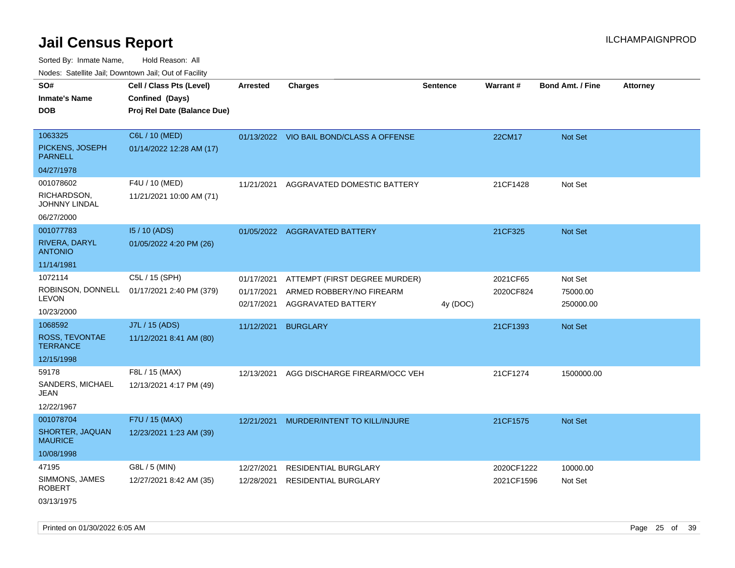Sorted By: Inmate Name, Hold Reason: All Nodes: Satellite Jail; Downtown Jail; Out of Facility

| rouco. Calcinic Jan, Downtown Jan, Out of Facility                    |                                                                            |                                        |                                                                                 |                 |                          |                                  |                 |
|-----------------------------------------------------------------------|----------------------------------------------------------------------------|----------------------------------------|---------------------------------------------------------------------------------|-----------------|--------------------------|----------------------------------|-----------------|
| SO#<br>Inmate's Name<br><b>DOB</b>                                    | Cell / Class Pts (Level)<br>Confined (Days)<br>Proj Rel Date (Balance Due) | <b>Arrested</b>                        | <b>Charges</b>                                                                  | <b>Sentence</b> | Warrant#                 | <b>Bond Amt. / Fine</b>          | <b>Attorney</b> |
| 1063325<br>PICKENS, JOSEPH<br><b>PARNELL</b>                          | C6L / 10 (MED)<br>01/14/2022 12:28 AM (17)                                 |                                        | 01/13/2022 VIO BAIL BOND/CLASS A OFFENSE                                        |                 | 22CM17                   | Not Set                          |                 |
| 04/27/1978<br>001078602<br>RICHARDSON,<br>JOHNNY LINDAL<br>06/27/2000 | F4U / 10 (MED)<br>11/21/2021 10:00 AM (71)                                 | 11/21/2021                             | AGGRAVATED DOMESTIC BATTERY                                                     |                 | 21CF1428                 | Not Set                          |                 |
| 001077783<br>RIVERA, DARYL<br><b>ANTONIO</b><br>11/14/1981            | 15 / 10 (ADS)<br>01/05/2022 4:20 PM (26)                                   |                                        | 01/05/2022 AGGRAVATED BATTERY                                                   |                 | 21CF325                  | Not Set                          |                 |
| 1072114<br>ROBINSON, DONNELL<br>LEVON<br>10/23/2000                   | C5L / 15 (SPH)<br>01/17/2021 2:40 PM (379)                                 | 01/17/2021<br>01/17/2021<br>02/17/2021 | ATTEMPT (FIRST DEGREE MURDER)<br>ARMED ROBBERY/NO FIREARM<br>AGGRAVATED BATTERY | 4y (DOC)        | 2021CF65<br>2020CF824    | Not Set<br>75000.00<br>250000.00 |                 |
| 1068592<br>ROSS, TEVONTAE<br>TERRANCE<br>12/15/1998                   | J7L / 15 (ADS)<br>11/12/2021 8:41 AM (80)                                  | 11/12/2021                             | <b>BURGLARY</b>                                                                 |                 | 21CF1393                 | <b>Not Set</b>                   |                 |
| 59178<br>SANDERS, MICHAEL<br>JEAN<br>12/22/1967                       | F8L / 15 (MAX)<br>12/13/2021 4:17 PM (49)                                  | 12/13/2021                             | AGG DISCHARGE FIREARM/OCC VEH                                                   |                 | 21CF1274                 | 1500000.00                       |                 |
| 001078704<br>SHORTER, JAQUAN<br>MAURICE<br>10/08/1998                 | F7U / 15 (MAX)<br>12/23/2021 1:23 AM (39)                                  | 12/21/2021                             | MURDER/INTENT TO KILL/INJURE                                                    |                 | 21CF1575                 | Not Set                          |                 |
| 47195<br>SIMMONS, JAMES<br>ROBERT<br>03/13/1975                       | G8L / 5 (MIN)<br>12/27/2021 8:42 AM (35)                                   | 12/27/2021<br>12/28/2021               | <b>RESIDENTIAL BURGLARY</b><br><b>RESIDENTIAL BURGLARY</b>                      |                 | 2020CF1222<br>2021CF1596 | 10000.00<br>Not Set              |                 |

Printed on 01/30/2022 6:05 AM Page 25 of 39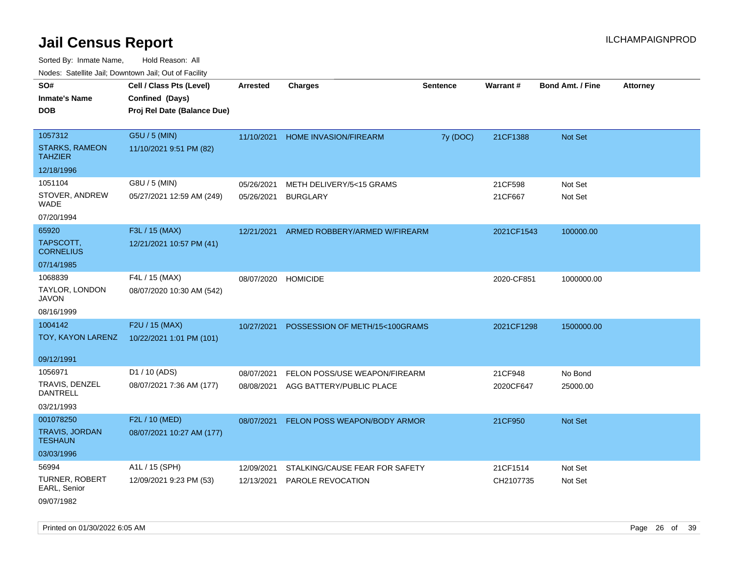Sorted By: Inmate Name, Hold Reason: All

|                                         | Nodes: Satellite Jail; Downtown Jail; Out of Facility |                 |                                |                 |                 |                         |                 |
|-----------------------------------------|-------------------------------------------------------|-----------------|--------------------------------|-----------------|-----------------|-------------------------|-----------------|
| SO#                                     | Cell / Class Pts (Level)                              | <b>Arrested</b> | <b>Charges</b>                 | <b>Sentence</b> | <b>Warrant#</b> | <b>Bond Amt. / Fine</b> | <b>Attorney</b> |
| <b>Inmate's Name</b>                    | Confined (Days)                                       |                 |                                |                 |                 |                         |                 |
| <b>DOB</b>                              | Proj Rel Date (Balance Due)                           |                 |                                |                 |                 |                         |                 |
|                                         |                                                       |                 |                                |                 |                 |                         |                 |
| 1057312                                 | G5U / 5 (MIN)                                         | 11/10/2021      | HOME INVASION/FIREARM          | 7y (DOC)        | 21CF1388        | Not Set                 |                 |
| <b>STARKS, RAMEON</b><br><b>TAHZIER</b> | 11/10/2021 9:51 PM (82)                               |                 |                                |                 |                 |                         |                 |
| 12/18/1996                              |                                                       |                 |                                |                 |                 |                         |                 |
| 1051104                                 | G8U / 5 (MIN)                                         | 05/26/2021      | METH DELIVERY/5<15 GRAMS       |                 | 21CF598         | Not Set                 |                 |
| STOVER, ANDREW<br><b>WADE</b>           | 05/27/2021 12:59 AM (249)                             | 05/26/2021      | <b>BURGLARY</b>                |                 | 21CF667         | Not Set                 |                 |
| 07/20/1994                              |                                                       |                 |                                |                 |                 |                         |                 |
| 65920                                   | F3L / 15 (MAX)                                        | 12/21/2021      | ARMED ROBBERY/ARMED W/FIREARM  |                 | 2021CF1543      | 100000.00               |                 |
| TAPSCOTT,<br><b>CORNELIUS</b>           | 12/21/2021 10:57 PM (41)                              |                 |                                |                 |                 |                         |                 |
| 07/14/1985                              |                                                       |                 |                                |                 |                 |                         |                 |
| 1068839                                 | F4L / 15 (MAX)                                        |                 | 08/07/2020 HOMICIDE            |                 | 2020-CF851      | 1000000.00              |                 |
| TAYLOR, LONDON<br><b>JAVON</b>          | 08/07/2020 10:30 AM (542)                             |                 |                                |                 |                 |                         |                 |
| 08/16/1999                              |                                                       |                 |                                |                 |                 |                         |                 |
| 1004142                                 | F2U / 15 (MAX)                                        | 10/27/2021      | POSSESSION OF METH/15<100GRAMS |                 | 2021CF1298      | 1500000.00              |                 |
| TOY, KAYON LARENZ                       | 10/22/2021 1:01 PM (101)                              |                 |                                |                 |                 |                         |                 |
|                                         |                                                       |                 |                                |                 |                 |                         |                 |
| 09/12/1991                              |                                                       |                 |                                |                 |                 |                         |                 |
| 1056971                                 | D1 / 10 (ADS)                                         | 08/07/2021      | FELON POSS/USE WEAPON/FIREARM  |                 | 21CF948         | No Bond                 |                 |
| TRAVIS, DENZEL<br>DANTRELL              | 08/07/2021 7:36 AM (177)                              | 08/08/2021      | AGG BATTERY/PUBLIC PLACE       |                 | 2020CF647       | 25000.00                |                 |
| 03/21/1993                              |                                                       |                 |                                |                 |                 |                         |                 |
| 001078250                               | F2L / 10 (MED)                                        | 08/07/2021      | FELON POSS WEAPON/BODY ARMOR   |                 | 21CF950         | Not Set                 |                 |
| <b>TRAVIS, JORDAN</b><br><b>TESHAUN</b> | 08/07/2021 10:27 AM (177)                             |                 |                                |                 |                 |                         |                 |
| 03/03/1996                              |                                                       |                 |                                |                 |                 |                         |                 |
| 56994                                   | A1L / 15 (SPH)                                        | 12/09/2021      | STALKING/CAUSE FEAR FOR SAFETY |                 | 21CF1514        | Not Set                 |                 |
| TURNER, ROBERT<br>EARL, Senior          | 12/09/2021 9:23 PM (53)                               | 12/13/2021      | <b>PAROLE REVOCATION</b>       |                 | CH2107735       | Not Set                 |                 |
| 09/07/1982                              |                                                       |                 |                                |                 |                 |                         |                 |

Printed on 01/30/2022 6:05 AM Page 26 of 39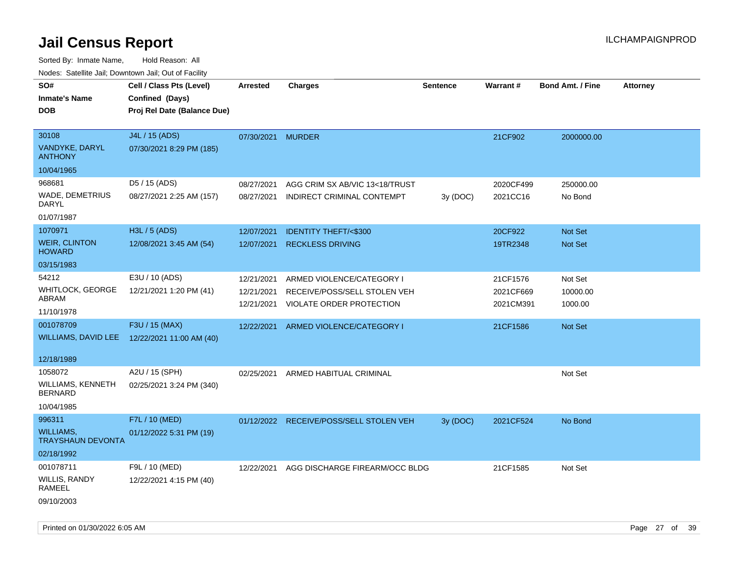| roaco. Catolino cali, Domntonn cali, Out of Facility |                             |                 |                                         |                 |           |                         |                 |
|------------------------------------------------------|-----------------------------|-----------------|-----------------------------------------|-----------------|-----------|-------------------------|-----------------|
| SO#                                                  | Cell / Class Pts (Level)    | <b>Arrested</b> | <b>Charges</b>                          | <b>Sentence</b> | Warrant#  | <b>Bond Amt. / Fine</b> | <b>Attorney</b> |
| <b>Inmate's Name</b>                                 | Confined (Days)             |                 |                                         |                 |           |                         |                 |
| <b>DOB</b>                                           | Proj Rel Date (Balance Due) |                 |                                         |                 |           |                         |                 |
|                                                      |                             |                 |                                         |                 |           |                         |                 |
| 30108                                                | J4L / 15 (ADS)              | 07/30/2021      | <b>MURDER</b>                           |                 | 21CF902   | 2000000.00              |                 |
| <b>VANDYKE, DARYL</b><br><b>ANTHONY</b>              | 07/30/2021 8:29 PM (185)    |                 |                                         |                 |           |                         |                 |
| 10/04/1965                                           |                             |                 |                                         |                 |           |                         |                 |
| 968681                                               | D5 / 15 (ADS)               | 08/27/2021      | AGG CRIM SX AB/VIC 13<18/TRUST          |                 | 2020CF499 | 250000.00               |                 |
| WADE, DEMETRIUS<br>DARYL                             | 08/27/2021 2:25 AM (157)    | 08/27/2021      | INDIRECT CRIMINAL CONTEMPT              | 3y (DOC)        | 2021CC16  | No Bond                 |                 |
| 01/07/1987                                           |                             |                 |                                         |                 |           |                         |                 |
| 1070971                                              | H3L / 5 (ADS)               | 12/07/2021      | <b>IDENTITY THEFT/&lt;\$300</b>         |                 | 20CF922   | Not Set                 |                 |
| <b>WEIR, CLINTON</b><br><b>HOWARD</b>                | 12/08/2021 3:45 AM (54)     | 12/07/2021      | <b>RECKLESS DRIVING</b>                 |                 | 19TR2348  | Not Set                 |                 |
| 03/15/1983                                           |                             |                 |                                         |                 |           |                         |                 |
| 54212                                                | E3U / 10 (ADS)              | 12/21/2021      | ARMED VIOLENCE/CATEGORY I               |                 | 21CF1576  | Not Set                 |                 |
| WHITLOCK, GEORGE                                     | 12/21/2021 1:20 PM (41)     | 12/21/2021      | RECEIVE/POSS/SELL STOLEN VEH            |                 | 2021CF669 | 10000.00                |                 |
| ABRAM                                                |                             | 12/21/2021      | VIOLATE ORDER PROTECTION                |                 | 2021CM391 | 1000.00                 |                 |
| 11/10/1978                                           |                             |                 |                                         |                 |           |                         |                 |
| 001078709                                            | F3U / 15 (MAX)              | 12/22/2021      | ARMED VIOLENCE/CATEGORY I               |                 | 21CF1586  | Not Set                 |                 |
| WILLIAMS, DAVID LEE                                  | 12/22/2021 11:00 AM (40)    |                 |                                         |                 |           |                         |                 |
| 12/18/1989                                           |                             |                 |                                         |                 |           |                         |                 |
| 1058072                                              | A2U / 15 (SPH)              | 02/25/2021      | ARMED HABITUAL CRIMINAL                 |                 |           | Not Set                 |                 |
| WILLIAMS, KENNETH<br>BERNARD                         | 02/25/2021 3:24 PM (340)    |                 |                                         |                 |           |                         |                 |
| 10/04/1985                                           |                             |                 |                                         |                 |           |                         |                 |
| 996311                                               | F7L / 10 (MED)              |                 | 01/12/2022 RECEIVE/POSS/SELL STOLEN VEH | 3y (DOC)        | 2021CF524 | No Bond                 |                 |
| WILLIAMS,<br><b>TRAYSHAUN DEVONTA</b>                | 01/12/2022 5:31 PM (19)     |                 |                                         |                 |           |                         |                 |
| 02/18/1992                                           |                             |                 |                                         |                 |           |                         |                 |
| 001078711                                            | F9L / 10 (MED)              | 12/22/2021      | AGG DISCHARGE FIREARM/OCC BLDG          |                 | 21CF1585  | Not Set                 |                 |
| WILLIS, RANDY<br>RAMEEL                              | 12/22/2021 4:15 PM (40)     |                 |                                         |                 |           |                         |                 |
| 09/10/2003                                           |                             |                 |                                         |                 |           |                         |                 |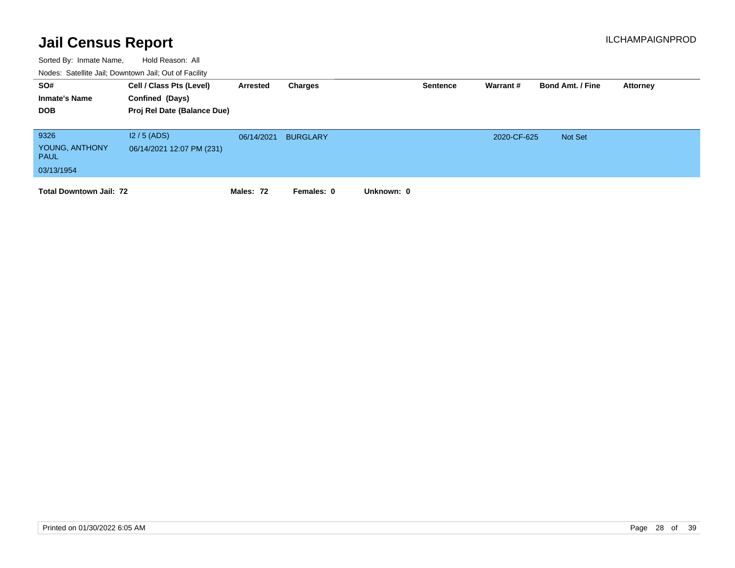| SO#<br><b>Inmate's Name</b><br><b>DOB</b>           | Cell / Class Pts (Level)<br>Confined (Days)<br>Proj Rel Date (Balance Due) | Arrested   | Charges         |            | <b>Sentence</b> | Warrant #   | <b>Bond Amt. / Fine</b> | Attorney |
|-----------------------------------------------------|----------------------------------------------------------------------------|------------|-----------------|------------|-----------------|-------------|-------------------------|----------|
| 9326<br>YOUNG, ANTHONY<br><b>PAUL</b><br>03/13/1954 | $12/5$ (ADS)<br>06/14/2021 12:07 PM (231)                                  | 06/14/2021 | <b>BURGLARY</b> |            |                 | 2020-CF-625 | Not Set                 |          |
| <b>Total Downtown Jail: 72</b>                      |                                                                            | Males: 72  | Females: 0      | Unknown: 0 |                 |             |                         |          |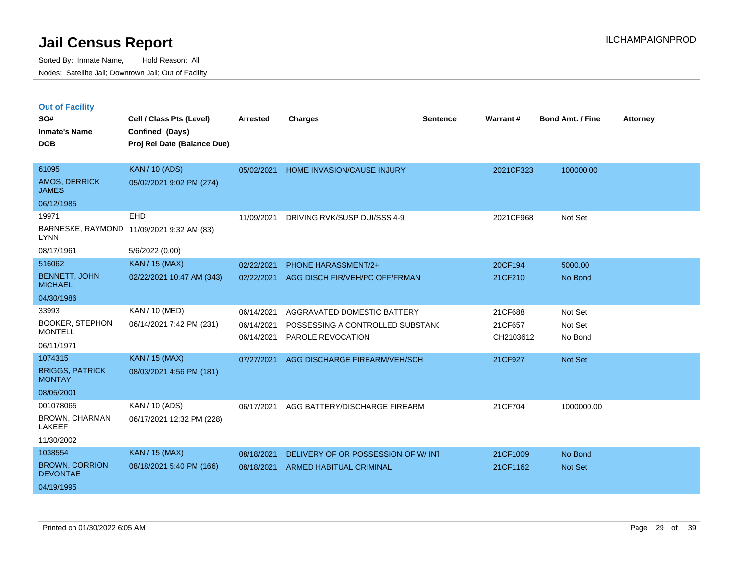|  | <b>Out of Facility</b> |  |
|--|------------------------|--|
|  |                        |  |

| SO#<br><b>Inmate's Name</b>              | Cell / Class Pts (Level)<br>Confined (Days) | <b>Arrested</b> | <b>Charges</b>                     | <b>Sentence</b> | Warrant#  | <b>Bond Amt. / Fine</b> | <b>Attorney</b> |
|------------------------------------------|---------------------------------------------|-----------------|------------------------------------|-----------------|-----------|-------------------------|-----------------|
| <b>DOB</b>                               | Proj Rel Date (Balance Due)                 |                 |                                    |                 |           |                         |                 |
| 61095                                    | <b>KAN / 10 (ADS)</b>                       | 05/02/2021      | HOME INVASION/CAUSE INJURY         |                 | 2021CF323 | 100000.00               |                 |
| AMOS, DERRICK<br><b>JAMES</b>            | 05/02/2021 9:02 PM (274)                    |                 |                                    |                 |           |                         |                 |
| 06/12/1985                               |                                             |                 |                                    |                 |           |                         |                 |
| 19971                                    | <b>EHD</b>                                  | 11/09/2021      | DRIVING RVK/SUSP DUI/SSS 4-9       |                 | 2021CF968 | Not Set                 |                 |
| <b>LYNN</b>                              | BARNESKE, RAYMOND 11/09/2021 9:32 AM (83)   |                 |                                    |                 |           |                         |                 |
| 08/17/1961                               | 5/6/2022 (0.00)                             |                 |                                    |                 |           |                         |                 |
| 516062                                   | <b>KAN / 15 (MAX)</b>                       | 02/22/2021      | PHONE HARASSMENT/2+                |                 | 20CF194   | 5000.00                 |                 |
| <b>BENNETT, JOHN</b><br><b>MICHAEL</b>   | 02/22/2021 10:47 AM (343)                   | 02/22/2021      | AGG DISCH FIR/VEH/PC OFF/FRMAN     |                 | 21CF210   | No Bond                 |                 |
| 04/30/1986                               |                                             |                 |                                    |                 |           |                         |                 |
| 33993                                    | KAN / 10 (MED)                              | 06/14/2021      | AGGRAVATED DOMESTIC BATTERY        |                 | 21CF688   | Not Set                 |                 |
| <b>BOOKER, STEPHON</b><br><b>MONTELL</b> | 06/14/2021 7:42 PM (231)                    | 06/14/2021      | POSSESSING A CONTROLLED SUBSTANC   |                 | 21CF657   | Not Set                 |                 |
| 06/11/1971                               |                                             | 06/14/2021      | PAROLE REVOCATION                  |                 | CH2103612 | No Bond                 |                 |
| 1074315                                  | <b>KAN / 15 (MAX)</b>                       | 07/27/2021      | AGG DISCHARGE FIREARM/VEH/SCH      |                 | 21CF927   | Not Set                 |                 |
| <b>BRIGGS, PATRICK</b>                   | 08/03/2021 4:56 PM (181)                    |                 |                                    |                 |           |                         |                 |
| <b>MONTAY</b>                            |                                             |                 |                                    |                 |           |                         |                 |
| 08/05/2001                               |                                             |                 |                                    |                 |           |                         |                 |
| 001078065                                | KAN / 10 (ADS)                              | 06/17/2021      | AGG BATTERY/DISCHARGE FIREARM      |                 | 21CF704   | 1000000.00              |                 |
| BROWN, CHARMAN<br>LAKEEF                 | 06/17/2021 12:32 PM (228)                   |                 |                                    |                 |           |                         |                 |
| 11/30/2002                               |                                             |                 |                                    |                 |           |                         |                 |
| 1038554                                  | <b>KAN / 15 (MAX)</b>                       | 08/18/2021      | DELIVERY OF OR POSSESSION OF W/INT |                 | 21CF1009  | No Bond                 |                 |
| <b>BROWN, CORRION</b><br><b>DEVONTAE</b> | 08/18/2021 5:40 PM (166)                    | 08/18/2021      | <b>ARMED HABITUAL CRIMINAL</b>     |                 | 21CF1162  | <b>Not Set</b>          |                 |
| 04/19/1995                               |                                             |                 |                                    |                 |           |                         |                 |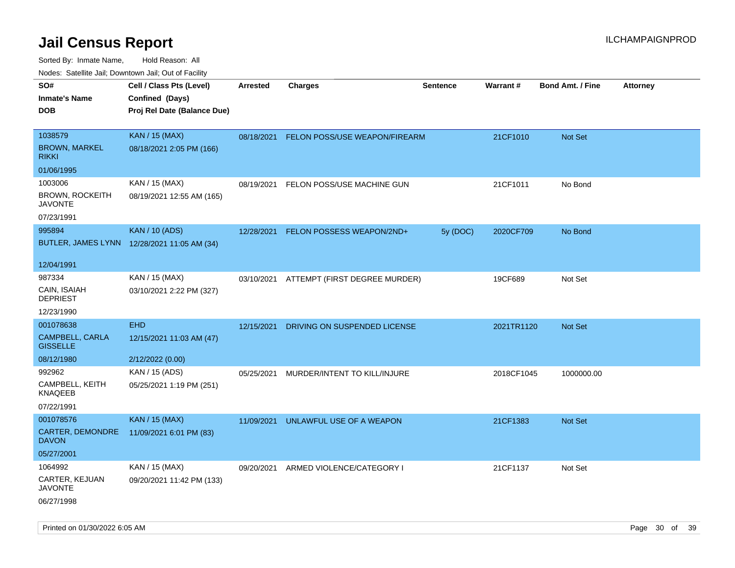| ivouss. Satellite Jali, Downtown Jali, Out of Facility |                                             |            |                                          |                 |            |                         |                 |
|--------------------------------------------------------|---------------------------------------------|------------|------------------------------------------|-----------------|------------|-------------------------|-----------------|
| SO#                                                    | Cell / Class Pts (Level)                    | Arrested   | <b>Charges</b>                           | <b>Sentence</b> | Warrant#   | <b>Bond Amt. / Fine</b> | <b>Attorney</b> |
| Inmate's Name                                          | Confined (Days)                             |            |                                          |                 |            |                         |                 |
| DOB                                                    | Proj Rel Date (Balance Due)                 |            |                                          |                 |            |                         |                 |
|                                                        |                                             |            |                                          |                 |            |                         |                 |
| 1038579                                                | <b>KAN / 15 (MAX)</b>                       | 08/18/2021 | FELON POSS/USE WEAPON/FIREARM            |                 | 21CF1010   | Not Set                 |                 |
| <b>BROWN, MARKEL</b><br>rikki                          | 08/18/2021 2:05 PM (166)                    |            |                                          |                 |            |                         |                 |
| 01/06/1995                                             |                                             |            |                                          |                 |            |                         |                 |
| 1003006                                                | KAN / 15 (MAX)                              | 08/19/2021 | FELON POSS/USE MACHINE GUN               |                 | 21CF1011   | No Bond                 |                 |
| BROWN, ROCKEITH<br>JAVONTE                             | 08/19/2021 12:55 AM (165)                   |            |                                          |                 |            |                         |                 |
| 07/23/1991                                             |                                             |            |                                          |                 |            |                         |                 |
| 995894                                                 | <b>KAN / 10 (ADS)</b>                       | 12/28/2021 | FELON POSSESS WEAPON/2ND+                | 5y (DOC)        | 2020CF709  | No Bond                 |                 |
|                                                        | BUTLER, JAMES LYNN 12/28/2021 11:05 AM (34) |            |                                          |                 |            |                         |                 |
| 12/04/1991                                             |                                             |            |                                          |                 |            |                         |                 |
| 987334                                                 | KAN / 15 (MAX)                              |            | 03/10/2021 ATTEMPT (FIRST DEGREE MURDER) |                 | 19CF689    | Not Set                 |                 |
| CAIN, ISAIAH<br><b>DEPRIEST</b>                        | 03/10/2021 2:22 PM (327)                    |            |                                          |                 |            |                         |                 |
| 12/23/1990                                             |                                             |            |                                          |                 |            |                         |                 |
| 001078638                                              | <b>EHD</b>                                  | 12/15/2021 | DRIVING ON SUSPENDED LICENSE             |                 | 2021TR1120 | <b>Not Set</b>          |                 |
| CAMPBELL, CARLA<br><b>GISSELLE</b>                     | 12/15/2021 11:03 AM (47)                    |            |                                          |                 |            |                         |                 |
| 08/12/1980                                             | 2/12/2022 (0.00)                            |            |                                          |                 |            |                         |                 |
| 992962                                                 | KAN / 15 (ADS)                              | 05/25/2021 | MURDER/INTENT TO KILL/INJURE             |                 | 2018CF1045 | 1000000.00              |                 |
| CAMPBELL, KEITH<br>KNAQEEB                             | 05/25/2021 1:19 PM (251)                    |            |                                          |                 |            |                         |                 |
| 07/22/1991                                             |                                             |            |                                          |                 |            |                         |                 |
| 001078576                                              | <b>KAN / 15 (MAX)</b>                       | 11/09/2021 | UNLAWFUL USE OF A WEAPON                 |                 | 21CF1383   | <b>Not Set</b>          |                 |
| <b>CARTER, DEMONDRE</b><br>DAVON                       | 11/09/2021 6:01 PM (83)                     |            |                                          |                 |            |                         |                 |
| 05/27/2001                                             |                                             |            |                                          |                 |            |                         |                 |
| 1064992                                                | KAN / 15 (MAX)                              | 09/20/2021 | ARMED VIOLENCE/CATEGORY I                |                 | 21CF1137   | Not Set                 |                 |
| CARTER, KEJUAN<br>JAVONTE                              | 09/20/2021 11:42 PM (133)                   |            |                                          |                 |            |                         |                 |
| 06/27/1998                                             |                                             |            |                                          |                 |            |                         |                 |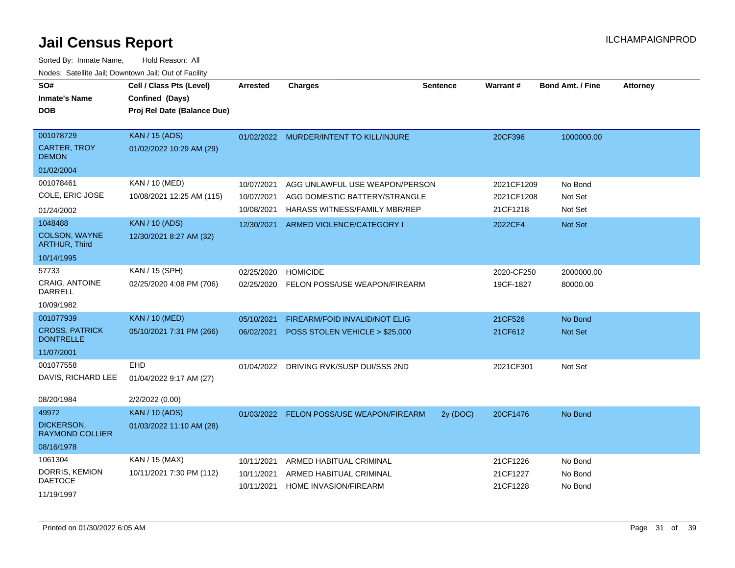| SO#<br><b>Inmate's Name</b><br><b>DOB</b> | Cell / Class Pts (Level)<br>Confined (Days)<br>Proj Rel Date (Balance Due) | Arrested   | <b>Charges</b>                           | <b>Sentence</b> | <b>Warrant#</b> | <b>Bond Amt. / Fine</b> | <b>Attorney</b> |
|-------------------------------------------|----------------------------------------------------------------------------|------------|------------------------------------------|-----------------|-----------------|-------------------------|-----------------|
| 001078729                                 | <b>KAN / 15 (ADS)</b>                                                      |            | 01/02/2022 MURDER/INTENT TO KILL/INJURE  |                 | 20CF396         | 1000000.00              |                 |
| <b>CARTER, TROY</b><br><b>DEMON</b>       | 01/02/2022 10:29 AM (29)                                                   |            |                                          |                 |                 |                         |                 |
| 01/02/2004                                |                                                                            |            |                                          |                 |                 |                         |                 |
| 001078461                                 | KAN / 10 (MED)                                                             | 10/07/2021 | AGG UNLAWFUL USE WEAPON/PERSON           |                 | 2021CF1209      | No Bond                 |                 |
| COLE, ERIC JOSE                           | 10/08/2021 12:25 AM (115)                                                  | 10/07/2021 | AGG DOMESTIC BATTERY/STRANGLE            |                 | 2021CF1208      | Not Set                 |                 |
| 01/24/2002                                |                                                                            | 10/08/2021 | HARASS WITNESS/FAMILY MBR/REP            |                 | 21CF1218        | Not Set                 |                 |
| 1048488                                   | <b>KAN / 10 (ADS)</b>                                                      | 12/30/2021 | ARMED VIOLENCE/CATEGORY I                |                 | 2022CF4         | Not Set                 |                 |
| COLSON, WAYNE<br><b>ARTHUR, Third</b>     | 12/30/2021 8:27 AM (32)                                                    |            |                                          |                 |                 |                         |                 |
| 10/14/1995                                |                                                                            |            |                                          |                 |                 |                         |                 |
| 57733                                     | KAN / 15 (SPH)                                                             | 02/25/2020 | <b>HOMICIDE</b>                          |                 | 2020-CF250      | 2000000.00              |                 |
| <b>CRAIG, ANTOINE</b><br><b>DARRELL</b>   | 02/25/2020 4:08 PM (706)                                                   | 02/25/2020 | FELON POSS/USE WEAPON/FIREARM            |                 | 19CF-1827       | 80000.00                |                 |
| 10/09/1982                                |                                                                            |            |                                          |                 |                 |                         |                 |
| 001077939                                 | <b>KAN / 10 (MED)</b>                                                      | 05/10/2021 | FIREARM/FOID INVALID/NOT ELIG            |                 | 21CF526         | No Bond                 |                 |
| <b>CROSS, PATRICK</b><br><b>DONTRELLE</b> | 05/10/2021 7:31 PM (266)                                                   | 06/02/2021 | POSS STOLEN VEHICLE > \$25,000           |                 | 21CF612         | Not Set                 |                 |
| 11/07/2001                                |                                                                            |            |                                          |                 |                 |                         |                 |
| 001077558                                 | <b>EHD</b>                                                                 | 01/04/2022 | DRIVING RVK/SUSP DUI/SSS 2ND             |                 | 2021CF301       | Not Set                 |                 |
| DAVIS, RICHARD LEE                        | 01/04/2022 9:17 AM (27)                                                    |            |                                          |                 |                 |                         |                 |
| 08/20/1984                                | 2/2/2022 (0.00)                                                            |            |                                          |                 |                 |                         |                 |
| 49972                                     | <b>KAN / 10 (ADS)</b>                                                      |            | 01/03/2022 FELON POSS/USE WEAPON/FIREARM | 2y (DOC)        | 20CF1476        | No Bond                 |                 |
| DICKERSON,<br><b>RAYMOND COLLIER</b>      | 01/03/2022 11:10 AM (28)                                                   |            |                                          |                 |                 |                         |                 |
| 08/16/1978                                |                                                                            |            |                                          |                 |                 |                         |                 |
| 1061304                                   | KAN / 15 (MAX)                                                             | 10/11/2021 | ARMED HABITUAL CRIMINAL                  |                 | 21CF1226        | No Bond                 |                 |
| DORRIS, KEMION<br><b>DAETOCE</b>          | 10/11/2021 7:30 PM (112)                                                   | 10/11/2021 | ARMED HABITUAL CRIMINAL                  |                 | 21CF1227        | No Bond                 |                 |
| 11/19/1997                                |                                                                            | 10/11/2021 | HOME INVASION/FIREARM                    |                 | 21CF1228        | No Bond                 |                 |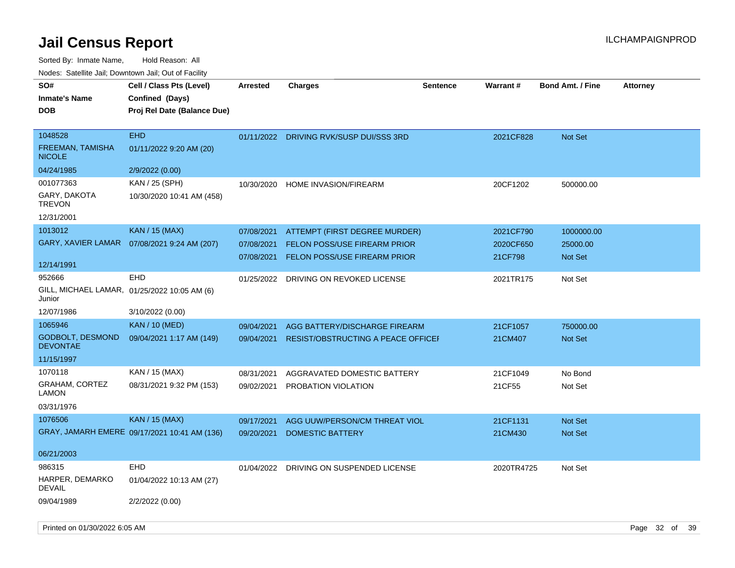| SO#<br><b>Inmate's Name</b><br><b>DOB</b>                        | Cell / Class Pts (Level)<br>Confined (Days)<br>Proj Rel Date (Balance Due) | <b>Arrested</b> | Charges                             | <b>Sentence</b> | <b>Warrant#</b> | <b>Bond Amt. / Fine</b> | <b>Attorney</b> |
|------------------------------------------------------------------|----------------------------------------------------------------------------|-----------------|-------------------------------------|-----------------|-----------------|-------------------------|-----------------|
| 1048528                                                          | <b>EHD</b>                                                                 | 01/11/2022      | DRIVING RVK/SUSP DUI/SSS 3RD        |                 | 2021CF828       | <b>Not Set</b>          |                 |
| <b>FREEMAN, TAMISHA</b><br><b>NICOLE</b>                         | 01/11/2022 9:20 AM (20)                                                    |                 |                                     |                 |                 |                         |                 |
| 04/24/1985                                                       | 2/9/2022 (0.00)                                                            |                 |                                     |                 |                 |                         |                 |
| 001077363                                                        | KAN / 25 (SPH)                                                             | 10/30/2020      | HOME INVASION/FIREARM               |                 | 20CF1202        | 500000.00               |                 |
| GARY, DAKOTA<br><b>TREVON</b>                                    | 10/30/2020 10:41 AM (458)                                                  |                 |                                     |                 |                 |                         |                 |
| 12/31/2001                                                       |                                                                            |                 |                                     |                 |                 |                         |                 |
| 1013012                                                          | <b>KAN / 15 (MAX)</b>                                                      | 07/08/2021      | ATTEMPT (FIRST DEGREE MURDER)       |                 | 2021CF790       | 1000000.00              |                 |
|                                                                  | GARY, XAVIER LAMAR  07/08/2021 9:24 AM (207)                               | 07/08/2021      | <b>FELON POSS/USE FIREARM PRIOR</b> |                 | 2020CF650       | 25000.00                |                 |
|                                                                  |                                                                            | 07/08/2021      | <b>FELON POSS/USE FIREARM PRIOR</b> |                 | 21CF798         | Not Set                 |                 |
| 12/14/1991                                                       |                                                                            |                 |                                     |                 |                 |                         |                 |
| 952666<br>GILL, MICHAEL LAMAR, 01/25/2022 10:05 AM (6)<br>Junior | EHD                                                                        | 01/25/2022      | DRIVING ON REVOKED LICENSE          |                 | 2021TR175       | Not Set                 |                 |
| 12/07/1986                                                       | 3/10/2022 (0.00)                                                           |                 |                                     |                 |                 |                         |                 |
| 1065946                                                          | <b>KAN / 10 (MED)</b>                                                      | 09/04/2021      | AGG BATTERY/DISCHARGE FIREARM       |                 | 21CF1057        | 750000.00               |                 |
| <b>GODBOLT, DESMOND</b><br><b>DEVONTAE</b>                       | 09/04/2021 1:17 AM (149)                                                   | 09/04/2021      | RESIST/OBSTRUCTING A PEACE OFFICER  |                 | 21CM407         | <b>Not Set</b>          |                 |
| 11/15/1997                                                       |                                                                            |                 |                                     |                 |                 |                         |                 |
| 1070118                                                          | KAN / 15 (MAX)                                                             | 08/31/2021      | AGGRAVATED DOMESTIC BATTERY         |                 | 21CF1049        | No Bond                 |                 |
| <b>GRAHAM, CORTEZ</b><br>LAMON                                   | 08/31/2021 9:32 PM (153)                                                   | 09/02/2021      | PROBATION VIOLATION                 |                 | 21CF55          | Not Set                 |                 |
| 03/31/1976                                                       |                                                                            |                 |                                     |                 |                 |                         |                 |
| 1076506                                                          | KAN / 15 (MAX)                                                             | 09/17/2021      | AGG UUW/PERSON/CM THREAT VIOL       |                 | 21CF1131        | <b>Not Set</b>          |                 |
|                                                                  | GRAY, JAMARH EMERE 09/17/2021 10:41 AM (136)                               | 09/20/2021      | <b>DOMESTIC BATTERY</b>             |                 | 21CM430         | <b>Not Set</b>          |                 |
| 06/21/2003                                                       |                                                                            |                 |                                     |                 |                 |                         |                 |
| 986315                                                           | EHD                                                                        | 01/04/2022      | DRIVING ON SUSPENDED LICENSE        |                 | 2020TR4725      | Not Set                 |                 |
| <b>HARPER, DEMARKO</b><br>DEVAIL                                 | 01/04/2022 10:13 AM (27)                                                   |                 |                                     |                 |                 |                         |                 |
| 09/04/1989                                                       | 2/2/2022 (0.00)                                                            |                 |                                     |                 |                 |                         |                 |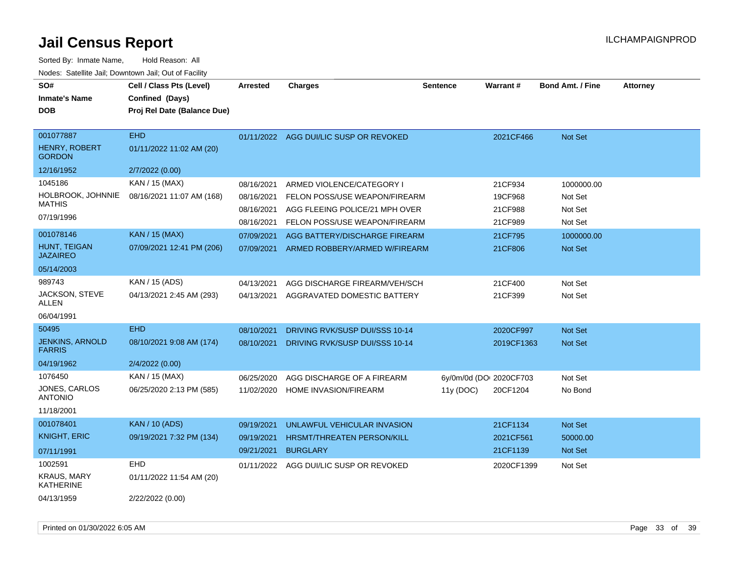| SO#<br><b>Inmate's Name</b><br><b>DOB</b>   | Cell / Class Pts (Level)<br>Confined (Days)<br>Proj Rel Date (Balance Due) | <b>Arrested</b> | <b>Charges</b>                 | <b>Sentence</b>         | Warrant#   | <b>Bond Amt. / Fine</b> | <b>Attorney</b> |
|---------------------------------------------|----------------------------------------------------------------------------|-----------------|--------------------------------|-------------------------|------------|-------------------------|-----------------|
| 001077887<br>HENRY, ROBERT<br><b>GORDON</b> | <b>EHD</b><br>01/11/2022 11:02 AM (20)                                     | 01/11/2022      | AGG DUI/LIC SUSP OR REVOKED    |                         | 2021CF466  | <b>Not Set</b>          |                 |
| 12/16/1952                                  | 2/7/2022 (0.00)                                                            |                 |                                |                         |            |                         |                 |
| 1045186                                     | KAN / 15 (MAX)                                                             | 08/16/2021      | ARMED VIOLENCE/CATEGORY I      |                         | 21CF934    | 1000000.00              |                 |
| HOLBROOK, JOHNNIE<br><b>MATHIS</b>          | 08/16/2021 11:07 AM (168)                                                  | 08/16/2021      | FELON POSS/USE WEAPON/FIREARM  |                         | 19CF968    | Not Set                 |                 |
| 07/19/1996                                  |                                                                            | 08/16/2021      | AGG FLEEING POLICE/21 MPH OVER |                         | 21CF988    | Not Set                 |                 |
|                                             |                                                                            | 08/16/2021      | FELON POSS/USE WEAPON/FIREARM  |                         | 21CF989    | Not Set                 |                 |
| 001078146                                   | <b>KAN / 15 (MAX)</b>                                                      | 07/09/2021      | AGG BATTERY/DISCHARGE FIREARM  |                         | 21CF795    | 1000000.00              |                 |
| HUNT, TEIGAN<br><b>JAZAIREO</b>             | 07/09/2021 12:41 PM (206)                                                  | 07/09/2021      | ARMED ROBBERY/ARMED W/FIREARM  |                         | 21CF806    | <b>Not Set</b>          |                 |
| 05/14/2003                                  |                                                                            |                 |                                |                         |            |                         |                 |
| 989743                                      | KAN / 15 (ADS)                                                             | 04/13/2021      | AGG DISCHARGE FIREARM/VEH/SCH  |                         | 21CF400    | Not Set                 |                 |
| JACKSON, STEVE<br>ALLEN                     | 04/13/2021 2:45 AM (293)                                                   | 04/13/2021      | AGGRAVATED DOMESTIC BATTERY    |                         | 21CF399    | Not Set                 |                 |
| 06/04/1991                                  |                                                                            |                 |                                |                         |            |                         |                 |
| 50495                                       | <b>EHD</b>                                                                 | 08/10/2021      | DRIVING RVK/SUSP DUI/SSS 10-14 |                         | 2020CF997  | <b>Not Set</b>          |                 |
| <b>JENKINS, ARNOLD</b><br><b>FARRIS</b>     | 08/10/2021 9:08 AM (174)                                                   | 08/10/2021      | DRIVING RVK/SUSP DUI/SSS 10-14 |                         | 2019CF1363 | <b>Not Set</b>          |                 |
| 04/19/1962                                  | 2/4/2022 (0.00)                                                            |                 |                                |                         |            |                         |                 |
| 1076450                                     | KAN / 15 (MAX)                                                             | 06/25/2020      | AGG DISCHARGE OF A FIREARM     | 6y/0m/0d (DOI 2020CF703 |            | Not Set                 |                 |
| <b>JONES, CARLOS</b><br><b>ANTONIO</b>      | 06/25/2020 2:13 PM (585)                                                   | 11/02/2020      | HOME INVASION/FIREARM          | 11y(DOC)                | 20CF1204   | No Bond                 |                 |
| 11/18/2001                                  |                                                                            |                 |                                |                         |            |                         |                 |
| 001078401                                   | <b>KAN / 10 (ADS)</b>                                                      | 09/19/2021      | UNLAWFUL VEHICULAR INVASION    |                         | 21CF1134   | <b>Not Set</b>          |                 |
| <b>KNIGHT, ERIC</b>                         | 09/19/2021 7:32 PM (134)                                                   | 09/19/2021      | HRSMT/THREATEN PERSON/KILL     |                         | 2021CF561  | 50000.00                |                 |
| 07/11/1991                                  |                                                                            | 09/21/2021      | <b>BURGLARY</b>                |                         | 21CF1139   | Not Set                 |                 |
| 1002591                                     | <b>EHD</b>                                                                 | 01/11/2022      | AGG DUI/LIC SUSP OR REVOKED    |                         | 2020CF1399 | Not Set                 |                 |
| <b>KRAUS, MARY</b><br>KATHERINE             | 01/11/2022 11:54 AM (20)                                                   |                 |                                |                         |            |                         |                 |
| 04/13/1959                                  | 2/22/2022 (0.00)                                                           |                 |                                |                         |            |                         |                 |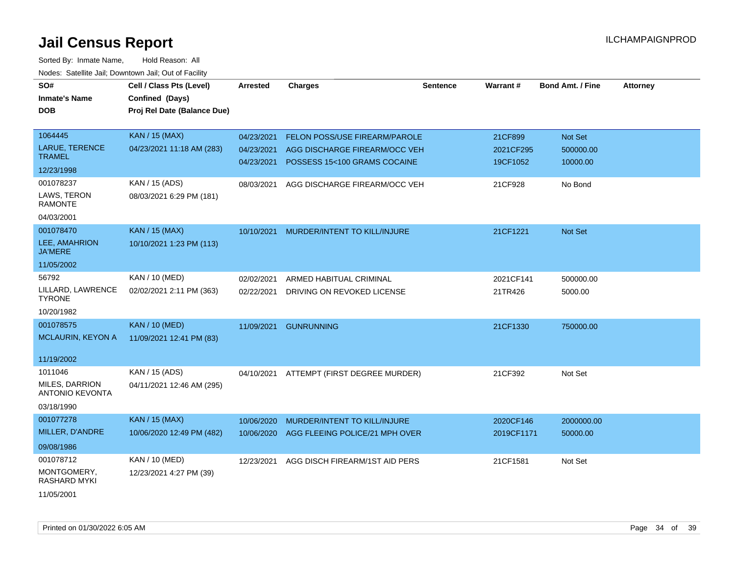| SO#                                      |                             |                 |                                |          | Warrant#   | <b>Bond Amt. / Fine</b> |                 |
|------------------------------------------|-----------------------------|-----------------|--------------------------------|----------|------------|-------------------------|-----------------|
|                                          | Cell / Class Pts (Level)    | <b>Arrested</b> | <b>Charges</b>                 | Sentence |            |                         | <b>Attorney</b> |
| <b>Inmate's Name</b>                     | Confined (Days)             |                 |                                |          |            |                         |                 |
| <b>DOB</b>                               | Proj Rel Date (Balance Due) |                 |                                |          |            |                         |                 |
|                                          |                             |                 |                                |          |            |                         |                 |
| 1064445                                  | <b>KAN / 15 (MAX)</b>       | 04/23/2021      | FELON POSS/USE FIREARM/PAROLE  |          | 21CF899    | Not Set                 |                 |
| <b>LARUE, TERENCE</b>                    | 04/23/2021 11:18 AM (283)   | 04/23/2021      | AGG DISCHARGE FIREARM/OCC VEH  |          | 2021CF295  | 500000.00               |                 |
| <b>TRAMEL</b>                            |                             | 04/23/2021      | POSSESS 15<100 GRAMS COCAINE   |          | 19CF1052   | 10000.00                |                 |
| 12/23/1998                               |                             |                 |                                |          |            |                         |                 |
| 001078237                                | KAN / 15 (ADS)              | 08/03/2021      | AGG DISCHARGE FIREARM/OCC VEH  |          | 21CF928    | No Bond                 |                 |
| LAWS, TERON<br><b>RAMONTE</b>            | 08/03/2021 6:29 PM (181)    |                 |                                |          |            |                         |                 |
| 04/03/2001                               |                             |                 |                                |          |            |                         |                 |
| 001078470                                | <b>KAN / 15 (MAX)</b>       | 10/10/2021      | MURDER/INTENT TO KILL/INJURE   |          | 21CF1221   | Not Set                 |                 |
| LEE, AMAHRION<br><b>JA'MERE</b>          | 10/10/2021 1:23 PM (113)    |                 |                                |          |            |                         |                 |
| 11/05/2002                               |                             |                 |                                |          |            |                         |                 |
| 56792                                    | KAN / 10 (MED)              | 02/02/2021      | ARMED HABITUAL CRIMINAL        |          | 2021CF141  | 500000.00               |                 |
| LILLARD, LAWRENCE<br><b>TYRONE</b>       | 02/02/2021 2:11 PM (363)    | 02/22/2021      | DRIVING ON REVOKED LICENSE     |          | 21TR426    | 5000.00                 |                 |
| 10/20/1982                               |                             |                 |                                |          |            |                         |                 |
| 001078575                                | <b>KAN / 10 (MED)</b>       | 11/09/2021      | <b>GUNRUNNING</b>              |          | 21CF1330   | 750000.00               |                 |
| MCLAURIN, KEYON A                        | 11/09/2021 12:41 PM (83)    |                 |                                |          |            |                         |                 |
|                                          |                             |                 |                                |          |            |                         |                 |
| 11/19/2002                               |                             |                 |                                |          |            |                         |                 |
| 1011046                                  | KAN / 15 (ADS)              | 04/10/2021      | ATTEMPT (FIRST DEGREE MURDER)  |          | 21CF392    | Not Set                 |                 |
| MILES, DARRION<br><b>ANTONIO KEVONTA</b> | 04/11/2021 12:46 AM (295)   |                 |                                |          |            |                         |                 |
| 03/18/1990                               |                             |                 |                                |          |            |                         |                 |
| 001077278                                | <b>KAN / 15 (MAX)</b>       | 10/06/2020      | MURDER/INTENT TO KILL/INJURE   |          | 2020CF146  | 2000000.00              |                 |
| MILLER, D'ANDRE                          | 10/06/2020 12:49 PM (482)   | 10/06/2020      | AGG FLEEING POLICE/21 MPH OVER |          | 2019CF1171 | 50000.00                |                 |
| 09/08/1986                               |                             |                 |                                |          |            |                         |                 |
| 001078712                                | KAN / 10 (MED)              | 12/23/2021      | AGG DISCH FIREARM/1ST AID PERS |          | 21CF1581   | Not Set                 |                 |
| MONTGOMERY,<br><b>RASHARD MYKI</b>       | 12/23/2021 4:27 PM (39)     |                 |                                |          |            |                         |                 |
| 11/05/2001                               |                             |                 |                                |          |            |                         |                 |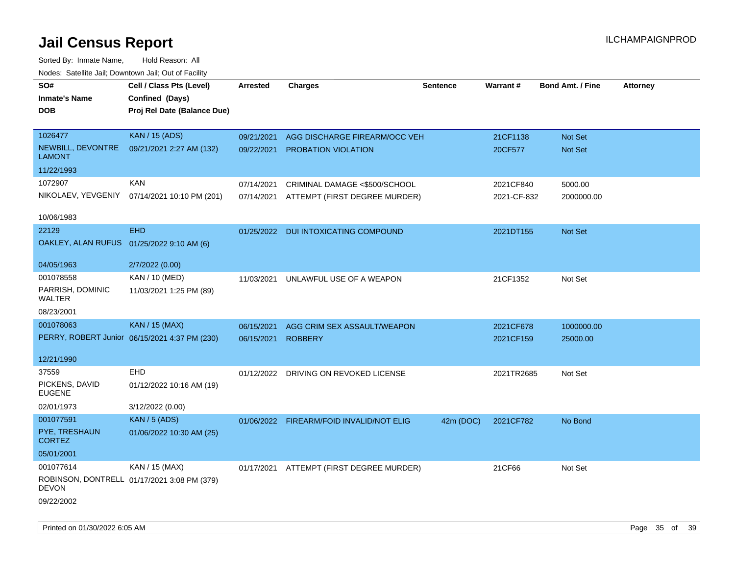| SO#<br><b>Inmate's Name</b><br><b>DOB</b> | Cell / Class Pts (Level)<br>Confined (Days)<br>Proj Rel Date (Balance Due) | Arrested   | <b>Charges</b>                           | <b>Sentence</b> | <b>Warrant#</b> | <b>Bond Amt. / Fine</b> | <b>Attorney</b> |
|-------------------------------------------|----------------------------------------------------------------------------|------------|------------------------------------------|-----------------|-----------------|-------------------------|-----------------|
| 1026477                                   | <b>KAN / 15 (ADS)</b>                                                      | 09/21/2021 | AGG DISCHARGE FIREARM/OCC VEH            |                 | 21CF1138        | Not Set                 |                 |
| NEWBILL, DEVONTRE<br><b>LAMONT</b>        | 09/21/2021 2:27 AM (132)                                                   | 09/22/2021 | <b>PROBATION VIOLATION</b>               |                 | 20CF577         | Not Set                 |                 |
| 11/22/1993                                |                                                                            |            |                                          |                 |                 |                         |                 |
| 1072907                                   | <b>KAN</b>                                                                 | 07/14/2021 | CRIMINAL DAMAGE <\$500/SCHOOL            |                 | 2021CF840       | 5000.00                 |                 |
| NIKOLAEV, YEVGENIY                        | 07/14/2021 10:10 PM (201)                                                  |            | 07/14/2021 ATTEMPT (FIRST DEGREE MURDER) |                 | 2021-CF-832     | 2000000.00              |                 |
| 10/06/1983                                |                                                                            |            |                                          |                 |                 |                         |                 |
| 22129                                     | <b>EHD</b>                                                                 |            | 01/25/2022 DUI INTOXICATING COMPOUND     |                 | 2021DT155       | Not Set                 |                 |
| OAKLEY, ALAN RUFUS 01/25/2022 9:10 AM (6) |                                                                            |            |                                          |                 |                 |                         |                 |
| 04/05/1963                                | 2/7/2022 (0.00)                                                            |            |                                          |                 |                 |                         |                 |
| 001078558                                 | KAN / 10 (MED)                                                             | 11/03/2021 | UNLAWFUL USE OF A WEAPON                 |                 | 21CF1352        | Not Set                 |                 |
| PARRISH, DOMINIC<br>WALTER                | 11/03/2021 1:25 PM (89)                                                    |            |                                          |                 |                 |                         |                 |
| 08/23/2001                                |                                                                            |            |                                          |                 |                 |                         |                 |
| 001078063                                 | <b>KAN / 15 (MAX)</b>                                                      | 06/15/2021 | AGG CRIM SEX ASSAULT/WEAPON              |                 | 2021CF678       | 1000000.00              |                 |
|                                           | PERRY, ROBERT Junior 06/15/2021 4:37 PM (230)                              | 06/15/2021 | <b>ROBBERY</b>                           |                 | 2021CF159       | 25000.00                |                 |
| 12/21/1990                                |                                                                            |            |                                          |                 |                 |                         |                 |
| 37559                                     | <b>EHD</b>                                                                 |            | 01/12/2022 DRIVING ON REVOKED LICENSE    |                 | 2021TR2685      | Not Set                 |                 |
| PICKENS, DAVID<br><b>EUGENE</b>           | 01/12/2022 10:16 AM (19)                                                   |            |                                          |                 |                 |                         |                 |
| 02/01/1973                                | 3/12/2022 (0.00)                                                           |            |                                          |                 |                 |                         |                 |
| 001077591                                 | <b>KAN / 5 (ADS)</b>                                                       |            | 01/06/2022 FIREARM/FOID INVALID/NOT ELIG | 42m (DOC)       | 2021CF782       | No Bond                 |                 |
| PYE, TRESHAUN<br><b>CORTEZ</b>            | 01/06/2022 10:30 AM (25)                                                   |            |                                          |                 |                 |                         |                 |
| 05/01/2001                                |                                                                            |            |                                          |                 |                 |                         |                 |
| 001077614                                 | KAN / 15 (MAX)                                                             |            | 01/17/2021 ATTEMPT (FIRST DEGREE MURDER) |                 | 21CF66          | Not Set                 |                 |
| <b>DEVON</b>                              | ROBINSON, DONTRELL 01/17/2021 3:08 PM (379)                                |            |                                          |                 |                 |                         |                 |
| 09/22/2002                                |                                                                            |            |                                          |                 |                 |                         |                 |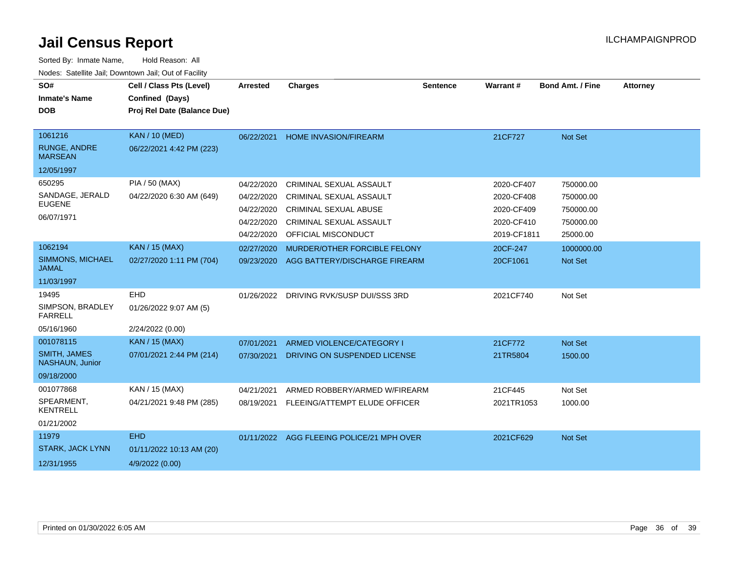| SO#<br><b>Inmate's Name</b>             | Cell / Class Pts (Level)<br>Confined (Days) | <b>Arrested</b> | <b>Charges</b>                            | <b>Sentence</b> | <b>Warrant#</b> | <b>Bond Amt. / Fine</b> | <b>Attorney</b> |
|-----------------------------------------|---------------------------------------------|-----------------|-------------------------------------------|-----------------|-----------------|-------------------------|-----------------|
| <b>DOB</b>                              | Proj Rel Date (Balance Due)                 |                 |                                           |                 |                 |                         |                 |
|                                         |                                             |                 |                                           |                 |                 |                         |                 |
| 1061216                                 | <b>KAN / 10 (MED)</b>                       | 06/22/2021      | <b>HOME INVASION/FIREARM</b>              |                 | 21CF727         | Not Set                 |                 |
| RUNGE, ANDRE<br><b>MARSEAN</b>          | 06/22/2021 4:42 PM (223)                    |                 |                                           |                 |                 |                         |                 |
| 12/05/1997                              |                                             |                 |                                           |                 |                 |                         |                 |
| 650295                                  | PIA / 50 (MAX)                              | 04/22/2020      | CRIMINAL SEXUAL ASSAULT                   |                 | 2020-CF407      | 750000.00               |                 |
| SANDAGE, JERALD                         | 04/22/2020 6:30 AM (649)                    | 04/22/2020      | <b>CRIMINAL SEXUAL ASSAULT</b>            |                 | 2020-CF408      | 750000.00               |                 |
| <b>EUGENE</b>                           |                                             | 04/22/2020      | <b>CRIMINAL SEXUAL ABUSE</b>              |                 | 2020-CF409      | 750000.00               |                 |
| 06/07/1971                              |                                             | 04/22/2020      | <b>CRIMINAL SEXUAL ASSAULT</b>            |                 | 2020-CF410      | 750000.00               |                 |
|                                         |                                             | 04/22/2020      | OFFICIAL MISCONDUCT                       |                 | 2019-CF1811     | 25000.00                |                 |
| 1062194                                 | <b>KAN / 15 (MAX)</b>                       | 02/27/2020      | MURDER/OTHER FORCIBLE FELONY              |                 | 20CF-247        | 1000000.00              |                 |
| <b>SIMMONS, MICHAEL</b><br><b>JAMAL</b> | 02/27/2020 1:11 PM (704)                    | 09/23/2020      | AGG BATTERY/DISCHARGE FIREARM             |                 | 20CF1061        | Not Set                 |                 |
| 11/03/1997                              |                                             |                 |                                           |                 |                 |                         |                 |
| 19495                                   | <b>EHD</b>                                  | 01/26/2022      | DRIVING RVK/SUSP DUI/SSS 3RD              |                 | 2021CF740       | Not Set                 |                 |
| SIMPSON, BRADLEY<br><b>FARRELL</b>      | 01/26/2022 9:07 AM (5)                      |                 |                                           |                 |                 |                         |                 |
| 05/16/1960                              | 2/24/2022 (0.00)                            |                 |                                           |                 |                 |                         |                 |
| 001078115                               | <b>KAN / 15 (MAX)</b>                       | 07/01/2021      | ARMED VIOLENCE/CATEGORY I                 |                 | 21CF772         | Not Set                 |                 |
| <b>SMITH, JAMES</b><br>NASHAUN, Junior  | 07/01/2021 2:44 PM (214)                    | 07/30/2021      | DRIVING ON SUSPENDED LICENSE              |                 | 21TR5804        | 1500.00                 |                 |
| 09/18/2000                              |                                             |                 |                                           |                 |                 |                         |                 |
| 001077868                               | KAN / 15 (MAX)                              | 04/21/2021      | ARMED ROBBERY/ARMED W/FIREARM             |                 | 21CF445         | Not Set                 |                 |
| SPEARMENT,<br><b>KENTRELL</b>           | 04/21/2021 9:48 PM (285)                    | 08/19/2021      | FLEEING/ATTEMPT ELUDE OFFICER             |                 | 2021TR1053      | 1000.00                 |                 |
| 01/21/2002                              |                                             |                 |                                           |                 |                 |                         |                 |
| 11979                                   | <b>EHD</b>                                  |                 | 01/11/2022 AGG FLEEING POLICE/21 MPH OVER |                 | 2021CF629       | Not Set                 |                 |
| <b>STARK, JACK LYNN</b>                 | 01/11/2022 10:13 AM (20)                    |                 |                                           |                 |                 |                         |                 |
| 12/31/1955                              | 4/9/2022 (0.00)                             |                 |                                           |                 |                 |                         |                 |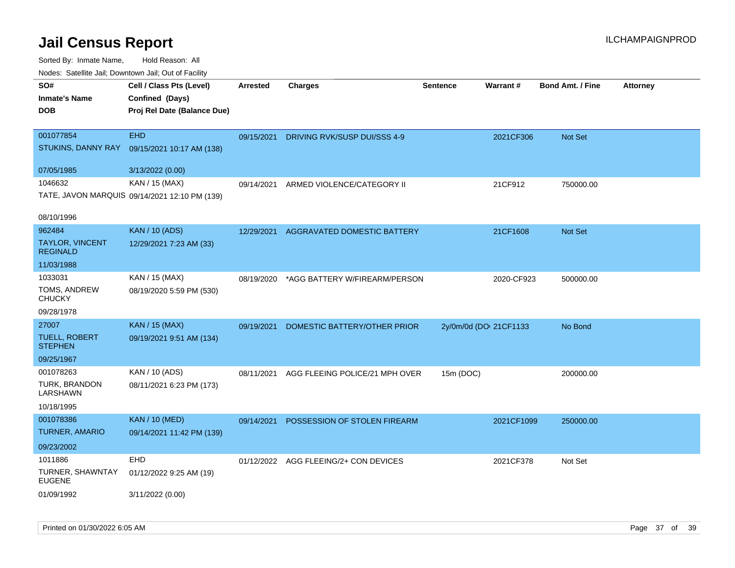| rougs. Calcing Jan, Downtown Jan, Out of Facinty              |                                                                 |            |                                       |                        |            |                         |                 |
|---------------------------------------------------------------|-----------------------------------------------------------------|------------|---------------------------------------|------------------------|------------|-------------------------|-----------------|
| SO#<br><b>Inmate's Name</b>                                   | Cell / Class Pts (Level)<br>Confined (Days)                     | Arrested   | <b>Charges</b>                        | <b>Sentence</b>        | Warrant#   | <b>Bond Amt. / Fine</b> | <b>Attorney</b> |
| <b>DOB</b>                                                    | Proj Rel Date (Balance Due)                                     |            |                                       |                        |            |                         |                 |
| 001077854<br>STUKINS, DANNY RAY                               | <b>EHD</b><br>09/15/2021 10:17 AM (138)                         | 09/15/2021 | DRIVING RVK/SUSP DUI/SSS 4-9          |                        | 2021CF306  | Not Set                 |                 |
| 07/05/1985                                                    | 3/13/2022 (0.00)                                                |            |                                       |                        |            |                         |                 |
| 1046632                                                       | KAN / 15 (MAX)<br>TATE, JAVON MARQUIS 09/14/2021 12:10 PM (139) | 09/14/2021 | ARMED VIOLENCE/CATEGORY II            |                        | 21CF912    | 750000.00               |                 |
| 08/10/1996                                                    |                                                                 |            |                                       |                        |            |                         |                 |
| 962484<br>TAYLOR, VINCENT<br><b>REGINALD</b>                  | <b>KAN / 10 (ADS)</b><br>12/29/2021 7:23 AM (33)                | 12/29/2021 | <b>AGGRAVATED DOMESTIC BATTERY</b>    |                        | 21CF1608   | <b>Not Set</b>          |                 |
| 11/03/1988                                                    |                                                                 |            |                                       |                        |            |                         |                 |
| 1033031<br>TOMS, ANDREW<br><b>CHUCKY</b>                      | KAN / 15 (MAX)<br>08/19/2020 5:59 PM (530)                      | 08/19/2020 | *AGG BATTERY W/FIREARM/PERSON         |                        | 2020-CF923 | 500000.00               |                 |
| 09/28/1978                                                    |                                                                 |            |                                       |                        |            |                         |                 |
| 27007<br><b>TUELL, ROBERT</b><br><b>STEPHEN</b><br>09/25/1967 | KAN / 15 (MAX)<br>09/19/2021 9:51 AM (134)                      | 09/19/2021 | DOMESTIC BATTERY/OTHER PRIOR          | 2y/0m/0d (DOI 21CF1133 |            | No Bond                 |                 |
| 001078263                                                     | KAN / 10 (ADS)                                                  | 08/11/2021 | AGG FLEEING POLICE/21 MPH OVER        | 15m (DOC)              |            | 200000.00               |                 |
| <b>TURK, BRANDON</b><br>LARSHAWN                              | 08/11/2021 6:23 PM (173)                                        |            |                                       |                        |            |                         |                 |
| 10/18/1995                                                    |                                                                 |            |                                       |                        |            |                         |                 |
| 001078386<br><b>TURNER, AMARIO</b>                            | <b>KAN / 10 (MED)</b><br>09/14/2021 11:42 PM (139)              | 09/14/2021 | POSSESSION OF STOLEN FIREARM          |                        | 2021CF1099 | 250000.00               |                 |
| 09/23/2002                                                    |                                                                 |            |                                       |                        |            |                         |                 |
| 1011886<br>TURNER, SHAWNTAY<br><b>EUGENE</b>                  | <b>EHD</b><br>01/12/2022 9:25 AM (19)                           |            | 01/12/2022 AGG FLEEING/2+ CON DEVICES |                        | 2021CF378  | Not Set                 |                 |
| 01/09/1992                                                    | 3/11/2022 (0.00)                                                |            |                                       |                        |            |                         |                 |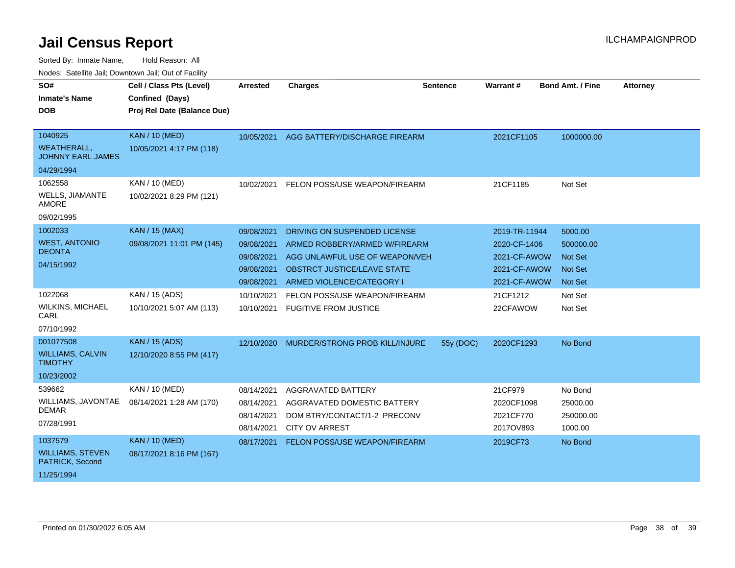| SO#<br><b>Inmate's Name</b><br><b>DOB</b>                              | Cell / Class Pts (Level)<br>Confined (Days)<br>Proj Rel Date (Balance Due) | <b>Arrested</b>                                                    | <b>Charges</b>                                                                                                                                                     | Sentence  | Warrant#                                                                      | <b>Bond Amt. / Fine</b>                                             | <b>Attorney</b> |
|------------------------------------------------------------------------|----------------------------------------------------------------------------|--------------------------------------------------------------------|--------------------------------------------------------------------------------------------------------------------------------------------------------------------|-----------|-------------------------------------------------------------------------------|---------------------------------------------------------------------|-----------------|
| 1040925<br><b>WEATHERALL,</b><br><b>JOHNNY EARL JAMES</b>              | <b>KAN / 10 (MED)</b><br>10/05/2021 4:17 PM (118)                          | 10/05/2021                                                         | AGG BATTERY/DISCHARGE FIREARM                                                                                                                                      |           | 2021CF1105                                                                    | 1000000.00                                                          |                 |
| 04/29/1994<br>1062558<br>WELLS, JIAMANTE<br><b>AMORE</b><br>09/02/1995 | KAN / 10 (MED)<br>10/02/2021 8:29 PM (121)                                 | 10/02/2021                                                         | FELON POSS/USE WEAPON/FIREARM                                                                                                                                      |           | 21CF1185                                                                      | Not Set                                                             |                 |
| 1002033<br><b>WEST, ANTONIO</b><br><b>DEONTA</b><br>04/15/1992         | <b>KAN / 15 (MAX)</b><br>09/08/2021 11:01 PM (145)                         | 09/08/2021<br>09/08/2021<br>09/08/2021<br>09/08/2021<br>09/08/2021 | DRIVING ON SUSPENDED LICENSE<br>ARMED ROBBERY/ARMED W/FIREARM<br>AGG UNLAWFUL USE OF WEAPON/VEH<br><b>OBSTRCT JUSTICE/LEAVE STATE</b><br>ARMED VIOLENCE/CATEGORY I |           | 2019-TR-11944<br>2020-CF-1406<br>2021-CF-AWOW<br>2021-CF-AWOW<br>2021-CF-AWOW | 5000.00<br>500000.00<br><b>Not Set</b><br>Not Set<br><b>Not Set</b> |                 |
| 1022068<br><b>WILKINS, MICHAEL</b><br>CARL<br>07/10/1992               | KAN / 15 (ADS)<br>10/10/2021 5:07 AM (113)                                 | 10/10/2021<br>10/10/2021                                           | FELON POSS/USE WEAPON/FIREARM<br><b>FUGITIVE FROM JUSTICE</b>                                                                                                      |           | 21CF1212<br>22CFAWOW                                                          | Not Set<br>Not Set                                                  |                 |
| 001077508<br><b>WILLIAMS, CALVIN</b><br><b>TIMOTHY</b><br>10/23/2002   | <b>KAN / 15 (ADS)</b><br>12/10/2020 8:55 PM (417)                          | 12/10/2020                                                         | MURDER/STRONG PROB KILL/INJURE                                                                                                                                     | 55y (DOC) | 2020CF1293                                                                    | No Bond                                                             |                 |
| 539662<br>WILLIAMS, JAVONTAE<br>DEMAR<br>07/28/1991                    | KAN / 10 (MED)<br>08/14/2021 1:28 AM (170)                                 | 08/14/2021<br>08/14/2021<br>08/14/2021<br>08/14/2021               | AGGRAVATED BATTERY<br>AGGRAVATED DOMESTIC BATTERY<br>DOM BTRY/CONTACT/1-2 PRECONV<br><b>CITY OV ARREST</b>                                                         |           | 21CF979<br>2020CF1098<br>2021CF770<br>2017OV893                               | No Bond<br>25000.00<br>250000.00<br>1000.00                         |                 |
| 1037579<br><b>WILLIAMS, STEVEN</b><br>PATRICK, Second<br>11/25/1994    | <b>KAN / 10 (MED)</b><br>08/17/2021 8:16 PM (167)                          | 08/17/2021                                                         | FELON POSS/USE WEAPON/FIREARM                                                                                                                                      |           | 2019CF73                                                                      | No Bond                                                             |                 |